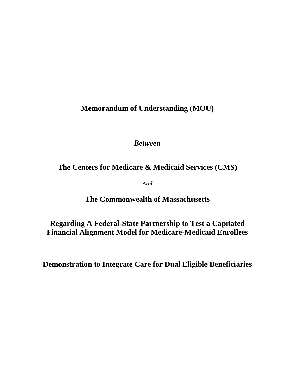**Memorandum of Understanding (MOU)**

*Between* 

# **The Centers for Medicare & Medicaid Services (CMS)**

*And*

**The Commonwealth of Massachusetts**

**Regarding A Federal-State Partnership to Test a Capitated Financial Alignment Model for Medicare-Medicaid Enrollees**

**Demonstration to Integrate Care for Dual Eligible Beneficiaries**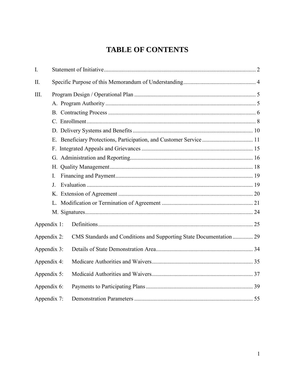# **TABLE OF CONTENTS**

| $\mathbf{I}$ . |                |                                                                     |  |
|----------------|----------------|---------------------------------------------------------------------|--|
| II.            |                |                                                                     |  |
| III.           |                |                                                                     |  |
|                |                |                                                                     |  |
|                |                |                                                                     |  |
|                |                |                                                                     |  |
|                |                |                                                                     |  |
|                |                |                                                                     |  |
|                |                |                                                                     |  |
|                |                |                                                                     |  |
|                |                |                                                                     |  |
|                | $\mathbf{I}$ . |                                                                     |  |
|                | $J_{-}$        |                                                                     |  |
|                |                |                                                                     |  |
|                |                |                                                                     |  |
|                |                |                                                                     |  |
| Appendix 1:    |                |                                                                     |  |
| Appendix 2:    |                | CMS Standards and Conditions and Supporting State Documentation  29 |  |
| Appendix 3:    |                |                                                                     |  |
| Appendix 4:    |                |                                                                     |  |
| Appendix 5:    |                |                                                                     |  |
| Appendix 6:    |                |                                                                     |  |
| Appendix 7:    |                |                                                                     |  |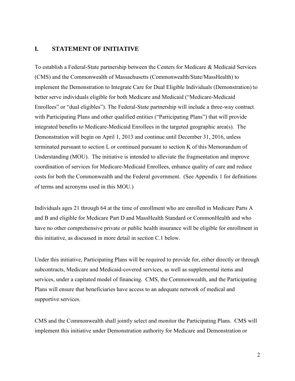## <span id="page-3-0"></span>**I. STATEMENT OF INITIATIVE**

To establish a Federal-State partnership between the Centers for Medicare & Medicaid Services (CMS) and the Commonwealth of Massachusetts (Commonwealth/State/MassHealth) to implement the Demonstration to Integrate Care for Dual Eligible Individuals (Demonstration) to better serve individuals eligible for both Medicare and Medicaid ("Medicare-Medicaid Enrollees" or "dual eligibles"). The Federal-State partnership will include a three-way contract with Participating Plans and other qualified entities ("Participating Plans") that will provide integrated benefits to Medicare-Medicaid Enrollees in the targeted geographic area(s). The Demonstration will begin on April 1, 2013 and continue until December 31, 2016, unless terminated pursuant to section L or continued pursuant to section K of this Memorandum of Understanding (MOU). The initiative is intended to alleviate the fragmentation and improve coordination of services for Medicare-Medicaid Enrollees, enhance quality of care and reduce costs for both the Commonwealth and the Federal government. (See Appendix 1 for definitions of terms and acronyms used in this MOU.)

Individuals ages 21 through 64 at the time of enrollment who are enrolled in Medicare Parts A and B and eligible for Medicare Part D and MassHealth Standard or CommonHealth and who have no other comprehensive private or public health insurance will be eligible for enrollment in this initiative, as discussed in more detail in section C.1 below.

Under this initiative, Participating Plans will be required to provide for, either directly or through subcontracts, Medicare and Medicaid-covered services, as well as supplemental items and services, under a capitated model of financing. CMS, the Commonwealth, and the Participating Plans will ensure that beneficiaries have access to an adequate network of medical and supportive services.

CMS and the Commonwealth shall jointly select and monitor the Participating Plans. CMS will implement this initiative under Demonstration authority for Medicare and Demonstration or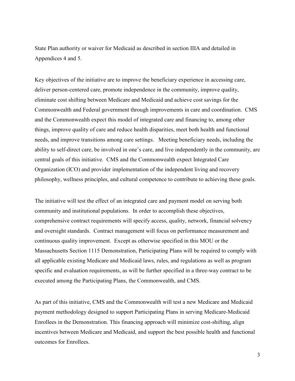State Plan authority or waiver for Medicaid as described in section IIIA and detailed in Appendices 4 and 5.

Key objectives of the initiative are to improve the beneficiary experience in accessing care, deliver person-centered care, promote independence in the community, improve quality, eliminate cost shifting between Medicare and Medicaid and achieve cost savings for the Commonwealth and Federal government through improvements in care and coordination. CMS and the Commonwealth expect this model of integrated care and financing to, among other things, improve quality of care and reduce health disparities, meet both health and functional needs, and improve transitions among care settings. Meeting beneficiary needs, including the ability to self-direct care, be involved in one's care, and live independently in the community, are central goals of this initiative. CMS and the Commonwealth expect Integrated Care Organization (ICO) and provider implementation of the independent living and recovery philosophy, wellness principles, and cultural competence to contribute to achieving these goals.

The initiative will test the effect of an integrated care and payment model on serving both community and institutional populations. In order to accomplish these objectives, comprehensive contract requirements will specify access, quality, network, financial solvency and oversight standards. Contract management will focus on performance measurement and continuous quality improvement. Except as otherwise specified in this MOU or the Massachusetts Section 1115 Demonstration, Participating Plans will be required to comply with all applicable existing Medicare and Medicaid laws, rules, and regulations as well as program specific and evaluation requirements, as will be further specified in a three-way contract to be executed among the Participating Plans, the Commonwealth, and CMS.

As part of this initiative, CMS and the Commonwealth will test a new Medicare and Medicaid payment methodology designed to support Participating Plans in serving Medicare-Medicaid Enrollees in the Demonstration. This financing approach will minimize cost-shifting, align incentives between Medicare and Medicaid, and support the best possible health and functional outcomes for Enrollees.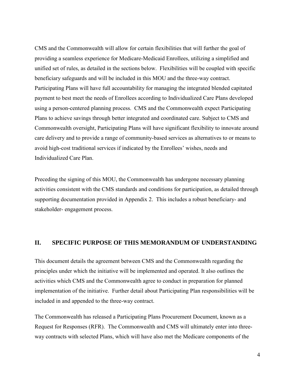CMS and the Commonwealth will allow for certain flexibilities that will further the goal of providing a seamless experience for Medicare-Medicaid Enrollees, utilizing a simplified and unified set of rules, as detailed in the sections below. Flexibilities will be coupled with specific beneficiary safeguards and will be included in this MOU and the three-way contract. Participating Plans will have full accountability for managing the integrated blended capitated payment to best meet the needs of Enrollees according to Individualized Care Plans developed using a person-centered planning process. CMS and the Commonwealth expect Participating Plans to achieve savings through better integrated and coordinated care. Subject to CMS and Commonwealth oversight, Participating Plans will have significant flexibility to innovate around care delivery and to provide a range of community-based services as alternatives to or means to avoid high-cost traditional services if indicated by the Enrollees' wishes, needs and Individualized Care Plan.

Preceding the signing of this MOU, the Commonwealth has undergone necessary planning activities consistent with the CMS standards and conditions for participation, as detailed through supporting documentation provided in Appendix 2. This includes a robust beneficiary- and stakeholder- engagement process.

#### <span id="page-5-0"></span>**II. SPECIFIC PURPOSE OF THIS MEMORANDUM OF UNDERSTANDING**

This document details the agreement between CMS and the Commonwealth regarding the principles under which the initiative will be implemented and operated. It also outlines the activities which CMS and the Commonwealth agree to conduct in preparation for planned implementation of the initiative. Further detail about Participating Plan responsibilities will be included in and appended to the three-way contract.

The Commonwealth has released a Participating Plans Procurement Document, known as a Request for Responses (RFR). The Commonwealth and CMS will ultimately enter into threeway contracts with selected Plans, which will have also met the Medicare components of the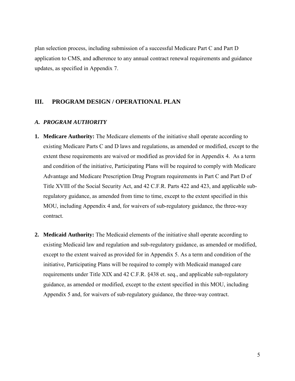plan selection process, including submission of a successful Medicare Part C and Part D application to CMS, and adherence to any annual contract renewal requirements and guidance updates, as specified in Appendix 7.

## <span id="page-6-0"></span>**III. PROGRAM DESIGN / OPERATIONAL PLAN**

#### <span id="page-6-1"></span>*A. PROGRAM AUTHORITY*

- **1. Medicare Authority:** The Medicare elements of the initiative shall operate according to existing Medicare Parts C and D laws and regulations, as amended or modified, except to the extent these requirements are waived or modified as provided for in Appendix 4. As a term and condition of the initiative, Participating Plans will be required to comply with Medicare Advantage and Medicare Prescription Drug Program requirements in Part C and Part D of Title XVIII of the Social Security Act, and 42 C.F.R. Parts 422 and 423, and applicable subregulatory guidance, as amended from time to time, except to the extent specified in this MOU, including Appendix 4 and, for waivers of sub-regulatory guidance, the three-way contract.
- **2. Medicaid Authority:** The Medicaid elements of the initiative shall operate according to existing Medicaid law and regulation and sub-regulatory guidance, as amended or modified, except to the extent waived as provided for in Appendix 5. As a term and condition of the initiative, Participating Plans will be required to comply with Medicaid managed care requirements under Title XIX and 42 C.F.R. §438 et. seq., and applicable sub-regulatory guidance, as amended or modified, except to the extent specified in this MOU, including Appendix 5 and, for waivers of sub-regulatory guidance, the three-way contract.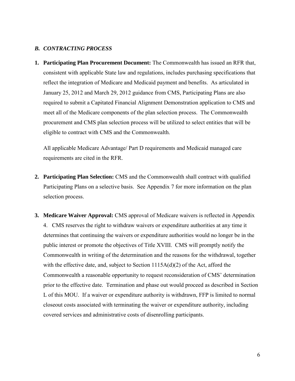#### <span id="page-7-0"></span>*B. CONTRACTING PROCESS*

**1. Participating Plan Procurement Document:** The Commonwealth has issued an RFR that, consistent with applicable State law and regulations, includes purchasing specifications that reflect the integration of Medicare and Medicaid payment and benefits. As articulated in January 25, 2012 and March 29, 2012 guidance from CMS, Participating Plans are also required to submit a Capitated Financial Alignment Demonstration application to CMS and meet all of the Medicare components of the plan selection process. The Commonwealth procurement and CMS plan selection process will be utilized to select entities that will be eligible to contract with CMS and the Commonwealth.

All applicable Medicare Advantage/ Part D requirements and Medicaid managed care requirements are cited in the RFR.

- **2. Participating Plan Selection:** CMS and the Commonwealth shall contract with qualified Participating Plans on a selective basis. See Appendix 7 for more information on the plan selection process.
- **3. Medicare Waiver Approval:** CMS approval of Medicare waivers is reflected in Appendix 4. CMS reserves the right to withdraw waivers or expenditure authorities at any time it determines that continuing the waivers or expenditure authorities would no longer be in the public interest or promote the objectives of Title XVIII. CMS will promptly notify the Commonwealth in writing of the determination and the reasons for the withdrawal, together with the effective date, and, subject to Section 1115A(d)(2) of the Act, afford the Commonwealth a reasonable opportunity to request reconsideration of CMS' determination prior to the effective date. Termination and phase out would proceed as described in Section L of this MOU. If a waiver or expenditure authority is withdrawn, FFP is limited to normal closeout costs associated with terminating the waiver or expenditure authority, including covered services and administrative costs of disenrolling participants.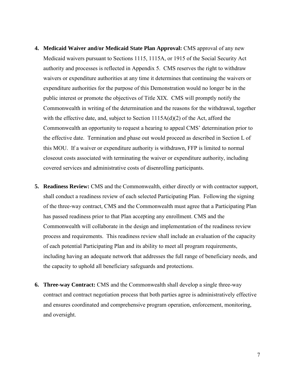- **4. Medicaid Waiver and/or Medicaid State Plan Approval:** CMS approval of any new Medicaid waivers pursuant to Sections 1115, 1115A, or 1915 of the Social Security Act authority and processes is reflected in Appendix 5. CMS reserves the right to withdraw waivers or expenditure authorities at any time it determines that continuing the waivers or expenditure authorities for the purpose of this Demonstration would no longer be in the public interest or promote the objectives of Title XIX. CMS will promptly notify the Commonwealth in writing of the determination and the reasons for the withdrawal, together with the effective date, and, subject to Section 1115A(d)(2) of the Act, afford the Commonwealth an opportunity to request a hearing to appeal CMS' determination prior to the effective date. Termination and phase out would proceed as described in Section L of this MOU. If a waiver or expenditure authority is withdrawn, FFP is limited to normal closeout costs associated with terminating the waiver or expenditure authority, including covered services and administrative costs of disenrolling participants.
- **5. Readiness Review:** CMS and the Commonwealth, either directly or with contractor support, shall conduct a readiness review of each selected Participating Plan. Following the signing of the three-way contract, CMS and the Commonwealth must agree that a Participating Plan has passed readiness prior to that Plan accepting any enrollment. CMS and the Commonwealth will collaborate in the design and implementation of the readiness review process and requirements. This readiness review shall include an evaluation of the capacity of each potential Participating Plan and its ability to meet all program requirements, including having an adequate network that addresses the full range of beneficiary needs, and the capacity to uphold all beneficiary safeguards and protections.
- **6. Three-way Contract:** CMS and the Commonwealth shall develop a single three-way contract and contract negotiation process that both parties agree is administratively effective and ensures coordinated and comprehensive program operation, enforcement, monitoring, and oversight.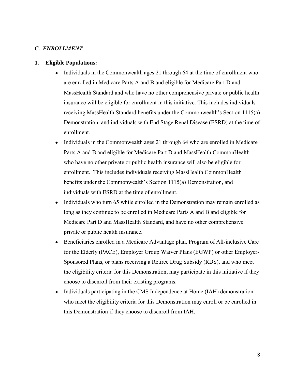#### <span id="page-9-0"></span>*C. ENROLLMENT*

#### **1. Eligible Populations:**

- Individuals in the Commonwealth ages 21 through 64 at the time of enrollment who are enrolled in Medicare Parts A and B and eligible for Medicare Part D and MassHealth Standard and who have no other comprehensive private or public health insurance will be eligible for enrollment in this initiative. This includes individuals receiving MassHealth Standard benefits under the Commonwealth's Section 1115(a) Demonstration, and individuals with End Stage Renal Disease (ESRD) at the time of enrollment.
- Individuals in the Commonwealth ages 21 through 64 who are enrolled in Medicare Parts A and B and eligible for Medicare Part D and MassHealth CommonHealth who have no other private or public health insurance will also be eligible for enrollment. This includes individuals receiving MassHealth CommonHealth benefits under the Commonwealth's Section 1115(a) Demonstration, and individuals with ESRD at the time of enrollment.
- Individuals who turn 65 while enrolled in the Demonstration may remain enrolled as long as they continue to be enrolled in Medicare Parts A and B and eligible for Medicare Part D and MassHealth Standard, and have no other comprehensive private or public health insurance.
- Beneficiaries enrolled in a Medicare Advantage plan, Program of All-inclusive Care for the Elderly (PACE), Employer Group Waiver Plans (EGWP) or other Employer-Sponsored Plans, or plans receiving a Retiree Drug Subsidy (RDS), and who meet the eligibility criteria for this Demonstration, may participate in this initiative if they choose to disenroll from their existing programs.
- Individuals participating in the CMS Independence at Home (IAH) demonstration who meet the eligibility criteria for this Demonstration may enroll or be enrolled in this Demonstration if they choose to disenroll from IAH.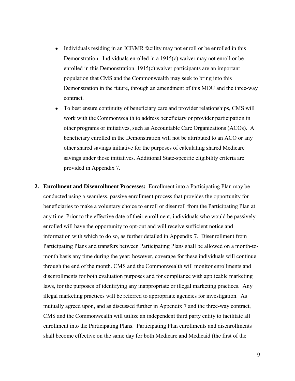- Individuals residing in an ICF/MR facility may not enroll or be enrolled in this Demonstration. Individuals enrolled in a 1915(c) waiver may not enroll or be enrolled in this Demonstration. 1915(c) waiver participants are an important population that CMS and the Commonwealth may seek to bring into this Demonstration in the future, through an amendment of this MOU and the three-way contract.
- To best ensure continuity of beneficiary care and provider relationships, CMS will work with the Commonwealth to address beneficiary or provider participation in other programs or initiatives, such as Accountable Care Organizations (ACOs). A beneficiary enrolled in the Demonstration will not be attributed to an ACO or any other shared savings initiative for the purposes of calculating shared Medicare savings under those initiatives. Additional State-specific eligibility criteria are provided in Appendix 7.
- **2. Enrollment and Disenrollment Processes:** Enrollment into a Participating Plan may be conducted using a seamless, passive enrollment process that provides the opportunity for beneficiaries to make a voluntary choice to enroll or disenroll from the Participating Plan at any time. Prior to the effective date of their enrollment, individuals who would be passively enrolled will have the opportunity to opt-out and will receive sufficient notice and information with which to do so, as further detailed in Appendix 7. Disenrollment from Participating Plans and transfers between Participating Plans shall be allowed on a month-tomonth basis any time during the year; however, coverage for these individuals will continue through the end of the month. CMS and the Commonwealth will monitor enrollments and disenrollments for both evaluation purposes and for compliance with applicable marketing laws, for the purposes of identifying any inappropriate or illegal marketing practices. Any illegal marketing practices will be referred to appropriate agencies for investigation. As mutually agreed upon, and as discussed further in Appendix 7 and the three-way contract, CMS and the Commonwealth will utilize an independent third party entity to facilitate all enrollment into the Participating Plans. Participating Plan enrollments and disenrollments shall become effective on the same day for both Medicare and Medicaid (the first of the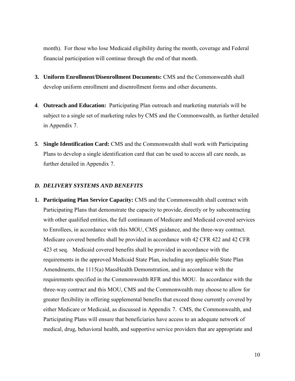month). For those who lose Medicaid eligibility during the month, coverage and Federal financial participation will continue through the end of that month.

- **3. Uniform Enrollment/Disenrollment Documents:** CMS and the Commonwealth shall develop uniform enrollment and disenrollment forms and other documents.
- **4**. **Outreach and Education:** Participating Plan outreach and marketing materials will be subject to a single set of marketing rules by CMS and the Commonwealth, as further detailed in Appendix 7.
- **5**. **Single Identification Card:** CMS and the Commonwealth shall work with Participating Plans to develop a single identification card that can be used to access all care needs, as further detailed in Appendix 7.

#### <span id="page-11-0"></span>*D. DELIVERY SYSTEMS AND BENEFITS*

**1. Participating Plan Service Capacity:** CMS and the Commonwealth shall contract with Participating Plans that demonstrate the capacity to provide, directly or by subcontracting with other qualified entities, the full continuum of Medicare and Medicaid covered services to Enrollees, in accordance with this MOU, CMS guidance, and the three-way contract. Medicare covered benefits shall be provided in accordance with 42 CFR 422 and 42 CFR 423 et seq. Medicaid covered benefits shall be provided in accordance with the requirements in the approved Medicaid State Plan, including any applicable State Plan Amendments, the 1115(a) MassHealth Demonstration, and in accordance with the requirements specified in the Commonwealth RFR and this MOU. In accordance with the three-way contract and this MOU, CMS and the Commonwealth may choose to allow for greater flexibility in offering supplemental benefits that exceed those currently covered by either Medicare or Medicaid, as discussed in Appendix 7. CMS, the Commonwealth, and Participating Plans will ensure that beneficiaries have access to an adequate network of medical, drug, behavioral health, and supportive service providers that are appropriate and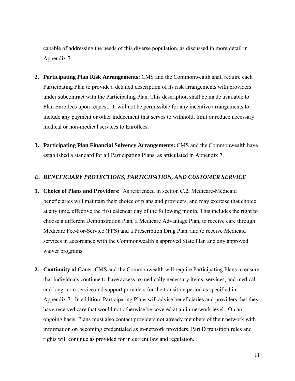capable of addressing the needs of this diverse population, as discussed in more detail in Appendix 7.

- **2. Participating Plan Risk Arrangements:** CMS and the Commonwealth shall require each Participating Plan to provide a detailed description of its risk arrangements with providers under subcontract with the Participating Plan. This description shall be made available to Plan Enrollees upon request. It will not be permissible for any incentive arrangements to include any payment or other inducement that serves to withhold, limit or reduce necessary medical or non-medical services to Enrollees.
- **3. Participating Plan Financial Solvency Arrangements:** CMS and the Commonwealth have established a standard for all Participating Plans, as articulated in Appendix 7.

#### <span id="page-12-0"></span>*E. BENEFICIARY PROTECTIONS, PARTICIPATION, AND CUSTOMER SERVICE*

- **1. Choice of Plans and Providers:** As referenced in section C.2, Medicare-Medicaid beneficiaries will maintain their choice of plans and providers, and may exercise that choice at any time, effective the first calendar day of the following month. This includes the right to choose a different Demonstration Plan, a Medicare Advantage Plan, to receive care through Medicare Fee-For-Service (FFS) and a Prescription Drug Plan, and to receive Medicaid services in accordance with the Commonwealth's approved State Plan and any approved waiver programs.
- **2. Continuity of Care:** CMS and the Commonwealth will require Participating Plans to ensure that individuals continue to have access to medically necessary items, services, and medical and long-term service and support providers for the transition period as specified in Appendix 7. In addition, Participating Plans will advise beneficiaries and providers that they have received care that would not otherwise be covered at an in-network level. On an ongoing basis, Plans must also contact providers not already members of their network with information on becoming credentialed as in-network providers. Part D transition rules and rights will continue as provided for in current law and regulation.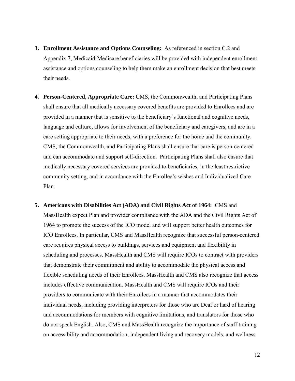- **3. Enrollment Assistance and Options Counseling:** As referenced in section C.2 and Appendix 7, Medicaid-Medicare beneficiaries will be provided with independent enrollment assistance and options counseling to help them make an enrollment decision that best meets their needs.
- **4. Person-Centered**, **Appropriate Care:** CMS, the Commonwealth, and Participating Plans shall ensure that all medically necessary covered benefits are provided to Enrollees and are provided in a manner that is sensitive to the beneficiary's functional and cognitive needs, language and culture, allows for involvement of the beneficiary and caregivers, and are in a care setting appropriate to their needs, with a preference for the home and the community. CMS, the Commonwealth, and Participating Plans shall ensure that care is person-centered and can accommodate and support self-direction. Participating Plans shall also ensure that medically necessary covered services are provided to beneficiaries, in the least restrictive community setting, and in accordance with the Enrollee's wishes and Individualized Care Plan.
- **5. Americans with Disabilities Act (ADA) and Civil Rights Act of 1964:** CMS and MassHealth expect Plan and provider compliance with the ADA and the Civil Rights Act of 1964 to promote the success of the ICO model and will support better health outcomes for ICO Enrollees. In particular, CMS and MassHealth recognize that successful person-centered care requires physical access to buildings, services and equipment and flexibility in scheduling and processes. MassHealth and CMS will require ICOs to contract with providers that demonstrate their commitment and ability to accommodate the physical access and flexible scheduling needs of their Enrollees. MassHealth and CMS also recognize that access includes effective communication. MassHealth and CMS will require ICOs and their providers to communicate with their Enrollees in a manner that accommodates their individual needs, including providing interpreters for those who are Deaf or hard of hearing and accommodations for members with cognitive limitations, and translators for those who do not speak English. Also, CMS and MassHealth recognize the importance of staff training on accessibility and accommodation, independent living and recovery models, and wellness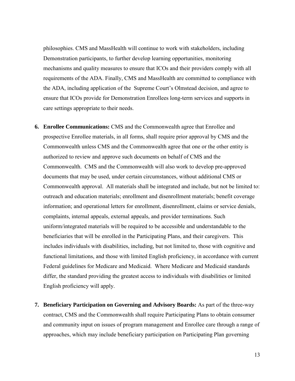philosophies. CMS and MassHealth will continue to work with stakeholders, including Demonstration participants, to further develop learning opportunities, monitoring mechanisms and quality measures to ensure that ICOs and their providers comply with all requirements of the ADA. Finally, CMS and MassHealth are committed to compliance with the ADA, including application of the Supreme Court's Olmstead decision, and agree to ensure that ICOs provide for Demonstration Enrollees long-term services and supports in care settings appropriate to their needs.

- **6. Enrollee Communications:** CMS and the Commonwealth agree that Enrollee and prospective Enrollee materials, in all forms, shall require prior approval by CMS and the Commonwealth unless CMS and the Commonwealth agree that one or the other entity is authorized to review and approve such documents on behalf of CMS and the Commonwealth. CMS and the Commonwealth will also work to develop pre-approved documents that may be used, under certain circumstances, without additional CMS or Commonwealth approval. All materials shall be integrated and include, but not be limited to: outreach and education materials; enrollment and disenrollment materials; benefit coverage information; and operational letters for enrollment, disenrollment, claims or service denials, complaints, internal appeals, external appeals, and provider terminations. Such uniform/integrated materials will be required to be accessible and understandable to the beneficiaries that will be enrolled in the Participating Plans, and their caregivers. This includes individuals with disabilities, including, but not limited to, those with cognitive and functional limitations, and those with limited English proficiency, in accordance with current Federal guidelines for Medicare and Medicaid. Where Medicare and Medicaid standards differ, the standard providing the greatest access to individuals with disabilities or limited English proficiency will apply.
- **7. Beneficiary Participation on Governing and Advisory Boards:** As part of the three-way contract, CMS and the Commonwealth shall require Participating Plans to obtain consumer and community input on issues of program management and Enrollee care through a range of approaches, which may include beneficiary participation on Participating Plan governing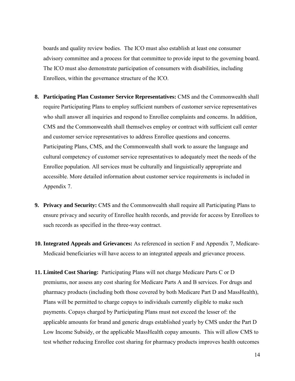boards and quality review bodies. The ICO must also establish at least one consumer advisory committee and a process for that committee to provide input to the governing board. The ICO must also demonstrate participation of consumers with disabilities, including Enrollees, within the governance structure of the ICO.

- **8. Participating Plan Customer Service Representatives:** CMS and the Commonwealth shall require Participating Plans to employ sufficient numbers of customer service representatives who shall answer all inquiries and respond to Enrollee complaints and concerns. In addition, CMS and the Commonwealth shall themselves employ or contract with sufficient call center and customer service representatives to address Enrollee questions and concerns. Participating Plans, CMS, and the Commonwealth shall work to assure the language and cultural competency of customer service representatives to adequately meet the needs of the Enrollee population. All services must be culturally and linguistically appropriate and accessible. More detailed information about customer service requirements is included in Appendix 7.
- **9. Privacy and Security:** CMS and the Commonwealth shall require all Participating Plans to ensure privacy and security of Enrollee health records, and provide for access by Enrollees to such records as specified in the three-way contract.
- **10. Integrated Appeals and Grievances:** As referenced in section F and Appendix 7, Medicare-Medicaid beneficiaries will have access to an integrated appeals and grievance process.
- **11. Limited Cost Sharing:** Participating Plans will not charge Medicare Parts C or D premiums, nor assess any cost sharing for Medicare Parts A and B services. For drugs and pharmacy products (including both those covered by both Medicare Part D and MassHealth), Plans will be permitted to charge copays to individuals currently eligible to make such payments. Copays charged by Participating Plans must not exceed the lesser of: the applicable amounts for brand and generic drugs established yearly by CMS under the Part D Low Income Subsidy, or the applicable MassHealth copay amounts. This will allow CMS to test whether reducing Enrollee cost sharing for pharmacy products improves health outcomes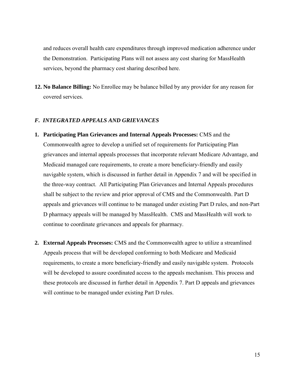and reduces overall health care expenditures through improved medication adherence under the Demonstration. Participating Plans will not assess any cost sharing for MassHealth services, beyond the pharmacy cost sharing described here.

**12. No Balance Billing:** No Enrollee may be balance billed by any provider for any reason for covered services.

## <span id="page-16-0"></span>*F. INTEGRATED APPEALS AND GRIEVANCES*

- **1. Participating Plan Grievances and Internal Appeals Processes:** CMS and the Commonwealth agree to develop a unified set of requirements for Participating Plan grievances and internal appeals processes that incorporate relevant Medicare Advantage, and Medicaid managed care requirements, to create a more beneficiary-friendly and easily navigable system, which is discussed in further detail in Appendix 7 and will be specified in the three-way contract. All Participating Plan Grievances and Internal Appeals procedures shall be subject to the review and prior approval of CMS and the Commonwealth. Part D appeals and grievances will continue to be managed under existing Part D rules, and non-Part D pharmacy appeals will be managed by MassHealth. CMS and MassHealth will work to continue to coordinate grievances and appeals for pharmacy.
- **2. External Appeals Processes:** CMS and the Commonwealth agree to utilize a streamlined Appeals process that will be developed conforming to both Medicare and Medicaid requirements, to create a more beneficiary-friendly and easily navigable system. Protocols will be developed to assure coordinated access to the appeals mechanism. This process and these protocols are discussed in further detail in Appendix 7. Part D appeals and grievances will continue to be managed under existing Part D rules.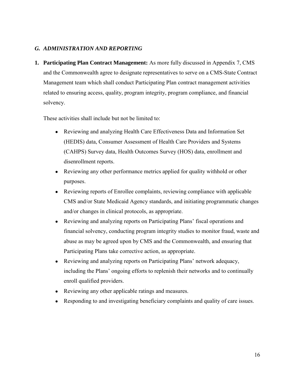# <span id="page-17-0"></span>*G. ADMINISTRATION AND REPORTING*

**1. Participating Plan Contract Management:** As more fully discussed in Appendix 7, CMS and the Commonwealth agree to designate representatives to serve on a CMS-State Contract Management team which shall conduct Participating Plan contract management activities related to ensuring access, quality, program integrity, program compliance, and financial solvency.

These activities shall include but not be limited to:

- Reviewing and analyzing Health Care Effectiveness Data and Information Set (HEDIS) data, Consumer Assessment of Health Care Providers and Systems (CAHPS) Survey data, Health Outcomes Survey (HOS) data, enrollment and disenrollment reports.
- Reviewing any other performance metrics applied for quality withhold or other purposes.
- Reviewing reports of Enrollee complaints, reviewing compliance with applicable CMS and/or State Medicaid Agency standards, and initiating programmatic changes and/or changes in clinical protocols, as appropriate.
- Reviewing and analyzing reports on Participating Plans' fiscal operations and financial solvency, conducting program integrity studies to monitor fraud, waste and abuse as may be agreed upon by CMS and the Commonwealth, and ensuring that Participating Plans take corrective action, as appropriate.
- Reviewing and analyzing reports on Participating Plans' network adequacy, including the Plans' ongoing efforts to replenish their networks and to continually enroll qualified providers.
- Reviewing any other applicable ratings and measures.
- Responding to and investigating beneficiary complaints and quality of care issues.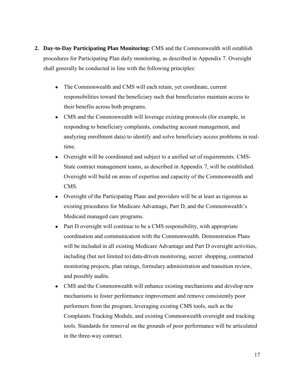- **2. Day-to-Day Participating Plan Monitoring:** CMS and the Commonwealth will establish procedures for Participating Plan daily monitoring, as described in Appendix 7. Oversight shall generally be conducted in line with the following principles:
	- The Commonwealth and CMS will each retain, yet coordinate, current responsibilities toward the beneficiary such that beneficiaries maintain access to their benefits across both programs.
	- CMS and the Commonwealth will leverage existing protocols (for example, in responding to beneficiary complaints, conducting account management, and analyzing enrollment data) to identify and solve beneficiary access problems in realtime.
	- Oversight will be coordinated and subject to a unified set of requirements. CMS-State contract management teams, as described in Appendix 7, will be established. Oversight will build on areas of expertise and capacity of the Commonwealth and CMS.
	- Oversight of the Participating Plans and providers will be at least as rigorous as existing procedures for Medicare Advantage, Part D, and the Commonwealth's Medicaid managed care programs.
	- Part D oversight will continue to be a CMS responsibility, with appropriate coordination and communication with the Commonwealth. Demonstration Plans will be included in all existing Medicare Advantage and Part D oversight activities, including (but not limited to) data-driven monitoring, secret shopping, contracted monitoring projects, plan ratings, formulary administration and transition review, and possibly audits.
	- CMS and the Commonwealth will enhance existing mechanisms and develop new mechanisms to foster performance improvement and remove consistently poor performers from the program, leveraging existing CMS tools, such as the Complaints Tracking Module, and existing Commonwealth oversight and tracking tools. Standards for removal on the grounds of poor performance will be articulated in the three-way contract.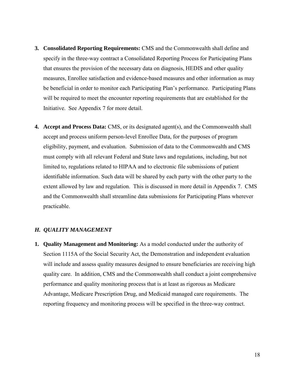- **3. Consolidated Reporting Requirements:** CMS and the Commonwealth shall define and specify in the three-way contract a Consolidated Reporting Process for Participating Plans that ensures the provision of the necessary data on diagnosis, HEDIS and other quality measures, Enrollee satisfaction and evidence-based measures and other information as may be beneficial in order to monitor each Participating Plan's performance. Participating Plans will be required to meet the encounter reporting requirements that are established for the Initiative. See Appendix 7 for more detail.
- **4. Accept and Process Data:** CMS, or its designated agent(s), and the Commonwealth shall accept and process uniform person-level Enrollee Data, for the purposes of program eligibility, payment, and evaluation. Submission of data to the Commonwealth and CMS must comply with all relevant Federal and State laws and regulations, including, but not limited to, regulations related to HIPAA and to electronic file submissions of patient identifiable information. Such data will be shared by each party with the other party to the extent allowed by law and regulation. This is discussed in more detail in Appendix 7. CMS and the Commonwealth shall streamline data submissions for Participating Plans wherever practicable.

#### <span id="page-19-0"></span>*H. QUALITY MANAGEMENT*

**1. Quality Management and Monitoring:** As a model conducted under the authority of Section 1115A of the Social Security Act, the Demonstration and independent evaluation will include and assess quality measures designed to ensure beneficiaries are receiving high quality care. In addition, CMS and the Commonwealth shall conduct a joint comprehensive performance and quality monitoring process that is at least as rigorous as Medicare Advantage, Medicare Prescription Drug, and Medicaid managed care requirements. The reporting frequency and monitoring process will be specified in the three-way contract.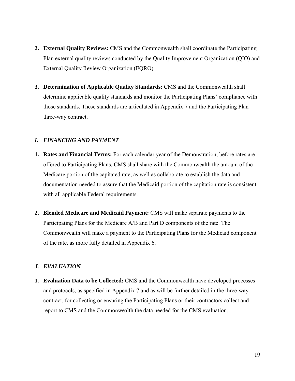- **2. External Quality Reviews:** CMS and the Commonwealth shall coordinate the Participating Plan external quality reviews conducted by the Quality Improvement Organization (QIO) and External Quality Review Organization (EQRO).
- **3. Determination of Applicable Quality Standards:** CMS and the Commonwealth shall determine applicable quality standards and monitor the Participating Plans' compliance with those standards. These standards are articulated in Appendix 7 and the Participating Plan three-way contract.

# <span id="page-20-0"></span>*I. FINANCING AND PAYMENT*

- **1. Rates and Financial Terms:** For each calendar year of the Demonstration, before rates are offered to Participating Plans, CMS shall share with the Commonwealth the amount of the Medicare portion of the capitated rate, as well as collaborate to establish the data and documentation needed to assure that the Medicaid portion of the capitation rate is consistent with all applicable Federal requirements.
- **2. Blended Medicare and Medicaid Payment:** CMS will make separate payments to the Participating Plans for the Medicare A/B and Part D components of the rate. The Commonwealth will make a payment to the Participating Plans for the Medicaid component of the rate, as more fully detailed in Appendix 6.

#### <span id="page-20-1"></span>*J. EVALUATION*

**1. Evaluation Data to be Collected:** CMS and the Commonwealth have developed processes and protocols, as specified in Appendix 7 and as will be further detailed in the three-way contract, for collecting or ensuring the Participating Plans or their contractors collect and report to CMS and the Commonwealth the data needed for the CMS evaluation.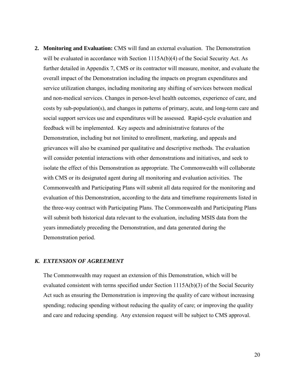**2. Monitoring and Evaluation:** CMS will fund an external evaluation.The Demonstration will be evaluated in accordance with Section 1115A(b)(4) of the Social Security Act. As further detailed in Appendix 7, CMS or its contractor will measure, monitor, and evaluate the overall impact of the Demonstration including the impacts on program expenditures and service utilization changes, including monitoring any shifting of services between medical and non-medical services. Changes in person-level health outcomes, experience of care, and costs by sub-population(s), and changes in patterns of primary, acute, and long-term care and social support services use and expenditures will be assessed. Rapid-cycle evaluation and feedback will be implemented. Key aspects and administrative features of the Demonstration, including but not limited to enrollment, marketing, and appeals and grievances will also be examined per qualitative and descriptive methods. The evaluation will consider potential interactions with other demonstrations and initiatives, and seek to isolate the effect of this Demonstration as appropriate. The Commonwealth will collaborate with CMS or its designated agent during all monitoring and evaluation activities. The Commonwealth and Participating Plans will submit all data required for the monitoring and evaluation of this Demonstration, according to the data and timeframe requirements listed in the three-way contract with Participating Plans. The Commonwealth and Participating Plans will submit both historical data relevant to the evaluation, including MSIS data from the years immediately preceding the Demonstration, and data generated during the Demonstration period.

#### <span id="page-21-0"></span>*K. EXTENSION OF AGREEMENT*

The Commonwealth may request an extension of this Demonstration, which will be evaluated consistent with terms specified under Section 1115A(b)(3) of the Social Security Act such as ensuring the Demonstration is improving the quality of care without increasing spending; reducing spending without reducing the quality of care; or improving the quality and care and reducing spending. Any extension request will be subject to CMS approval.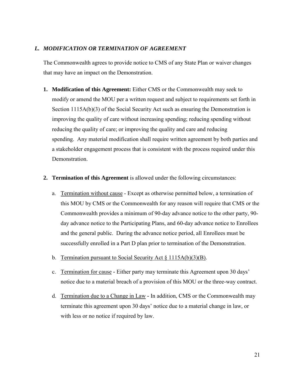# <span id="page-22-0"></span>*L. MODIFICATION OR TERMINATION OF AGREEMENT*

The Commonwealth agrees to provide notice to CMS of any State Plan or waiver changes that may have an impact on the Demonstration.

- **1. Modification of this Agreement:** Either CMS or the Commonwealth may seek to modify or amend the MOU per a written request and subject to requirements set forth in Section 1115A(b)(3) of the Social Security Act such as ensuring the Demonstration is improving the quality of care without increasing spending; reducing spending without reducing the quality of care; or improving the quality and care and reducing spending. Any material modification shall require written agreement by both parties and a stakeholder engagement process that is consistent with the process required under this Demonstration.
- **2. Termination of this Agreement** is allowed under the following circumstances:
	- a. Termination without cause Except as otherwise permitted below, a termination of this MOU by CMS or the Commonwealth for any reason will require that CMS or the Commonwealth provides a minimum of 90-day advance notice to the other party, 90 day advance notice to the Participating Plans, and 60-day advance notice to Enrollees and the general public. During the advance notice period, all Enrollees must be successfully enrolled in a Part D plan prior to termination of the Demonstration.
	- b. Termination pursuant to Social Security Act § 1115A(b)(3)(B).
	- c. Termination for cause Either party may terminate this Agreement upon 30 days' notice due to a material breach of a provision of this MOU or the three-way contract.
	- d. Termination due to a Change in Law **-** In addition, CMS or the Commonwealth may terminate this agreement upon 30 days' notice due to a material change in law, or with less or no notice if required by law.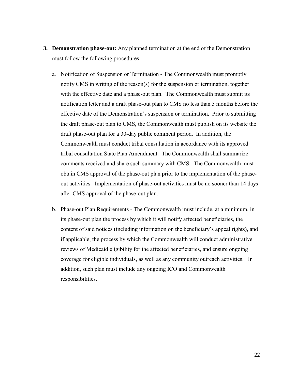- **3. Demonstration phase-out:** Any planned termination at the end of the Demonstration must follow the following procedures:
	- a. Notification of Suspension or Termination The Commonwealth must promptly notify CMS in writing of the reason(s) for the suspension or termination, together with the effective date and a phase-out plan. The Commonwealth must submit its notification letter and a draft phase-out plan to CMS no less than 5 months before the effective date of the Demonstration's suspension or termination. Prior to submitting the draft phase-out plan to CMS, the Commonwealth must publish on its website the draft phase-out plan for a 30-day public comment period. In addition, the Commonwealth must conduct tribal consultation in accordance with its approved tribal consultation State Plan Amendment. The Commonwealth shall summarize comments received and share such summary with CMS. The Commonwealth must obtain CMS approval of the phase-out plan prior to the implementation of the phaseout activities. Implementation of phase-out activities must be no sooner than 14 days after CMS approval of the phase-out plan.
	- b. Phase-out Plan Requirements The Commonwealth must include, at a minimum, in its phase-out plan the process by which it will notify affected beneficiaries, the content of said notices (including information on the beneficiary's appeal rights), and if applicable, the process by which the Commonwealth will conduct administrative reviews of Medicaid eligibility for the affected beneficiaries, and ensure ongoing coverage for eligible individuals, as well as any community outreach activities. In addition, such plan must include any ongoing ICO and Commonwealth responsibilities.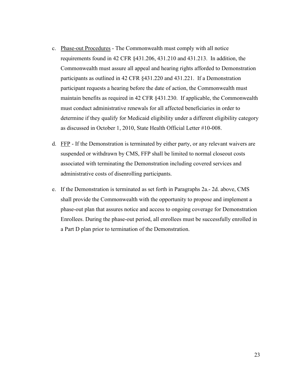- c. Phase-out Procedures The Commonwealth must comply with all notice requirements found in 42 CFR §431.206, 431.210 and 431.213. In addition, the Commonwealth must assure all appeal and hearing rights afforded to Demonstration participants as outlined in 42 CFR §431.220 and 431.221. If a Demonstration participant requests a hearing before the date of action, the Commonwealth must maintain benefits as required in 42 CFR §431.230. If applicable, the Commonwealth must conduct administrative renewals for all affected beneficiaries in order to determine if they qualify for Medicaid eligibility under a different eligibility category as discussed in October 1, 2010, State Health Official Letter #10-008.
- d. FFP If the Demonstration is terminated by either party, or any relevant waivers are suspended or withdrawn by CMS, FFP shall be limited to normal closeout costs associated with terminating the Demonstration including covered services and administrative costs of disenrolling participants.
- e. If the Demonstration is terminated as set forth in Paragraphs 2a.- 2d. above, CMS shall provide the Commonwealth with the opportunity to propose and implement a phase-out plan that assures notice and access to ongoing coverage for Demonstration Enrollees. During the phase-out period, all enrollees must be successfully enrolled in a Part D plan prior to termination of the Demonstration.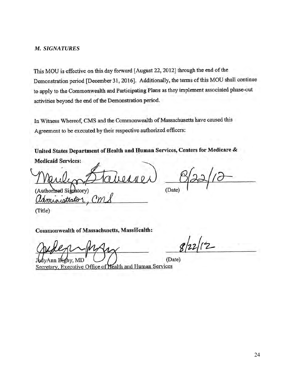#### <span id="page-25-0"></span>*M. SIGNATURES*

This MOU is effective on this day forward [August 22, 2012] through the end of the Demonstration period [December 31, 2016]. Additionally, the terms of this MOU shall continue to apply to the Commonwealth and Participating Plans as they implement associated phase-out activities beyond the end of the Demonstration period.

In Witness Whereof, CMS and the Commonwealth of Massachusetts have caused this Agreement to be executed by their respective authorized officers:

United States Department of Health and Human Services, Centers for Medicare & **Medicaid Services:** 

(Authorized Signatory) administrato

(Date)

(Title)

Commonwealth of Massachusetts, MassHealth:

 $2/12$ 

(Date)

Ann Bigby, MD Secretary, Executive Office of Health and Human Services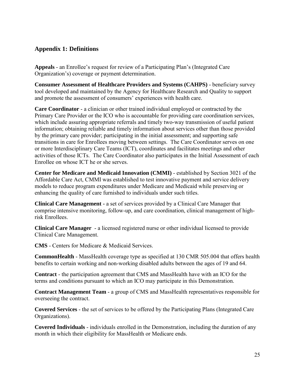# <span id="page-26-0"></span>**Appendix 1: Definitions**

**Appeals** - an Enrollee's request for review of a Participating Plan's (Integrated Care Organization's) coverage or payment determination.

**Consumer Assessment of Healthcare Providers and Systems (CAHPS)** - beneficiary survey tool developed and maintained by the Agency for Healthcare Research and Quality to support and promote the assessment of consumers' experiences with health care.

**Care Coordinator** - a clinician or other trained individual employed or contracted by the Primary Care Provider or the ICO who is accountable for providing care coordination services, which include assuring appropriate referrals and timely two-way transmission of useful patient information; obtaining reliable and timely information about services other than those provided by the primary care provider; participating in the initial assessment; and supporting safe transitions in care for Enrollees moving between settings. The Care Coordinator serves on one or more Interdisciplinary Care Teams (ICT), coordinates and facilitates meetings and other activities of those ICTs. The Care Coordinator also participates in the Initial Assessment of each Enrollee on whose ICT he or she serves.

**Center for Medicare and Medicaid Innovation (CMMI)** - established by Section 3021 of the Affordable Care Act, CMMI was established to test innovative payment and service delivery models to reduce program expenditures under Medicare and Medicaid while preserving or enhancing the quality of care furnished to individuals under such titles.

**Clinical Care Management -** a set of services provided by a Clinical Care Manager that comprise intensive monitoring, follow-up, and care coordination, clinical management of highrisk Enrollees.

**Clinical Care Manager** - a licensed registered nurse or other individual licensed to provide Clinical Care Management.

**CMS** - Centers for Medicare & Medicaid Services.

**CommonHealth** - MassHealth coverage type as specified at 130 CMR 505.004 that offers health benefits to certain working and non-working disabled adults between the ages of 19 and 64.

**Contract** - the participation agreement that CMS and MassHealth have with an ICO for the terms and conditions pursuant to which an ICO may participate in this Demonstration.

**Contract Management Team** - a group of CMS and MassHealth representatives responsible for overseeing the contract.

**Covered Services** - the set of services to be offered by the Participating Plans (Integrated Care Organizations).

**Covered Individuals** - individuals enrolled in the Demonstration, including the duration of any month in which their eligibility for MassHealth or Medicare ends.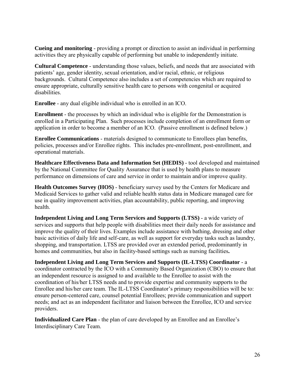**Cueing and monitoring** - providing a prompt or direction to assist an individual in performing activities they are physically capable of performing but unable to independently initiate.

**Cultural Competence** - understanding those values, beliefs, and needs that are associated with patients' age, gender identity, sexual orientation, and/or racial, ethnic, or religious backgrounds. Cultural Competence also includes a set of competencies which are required to ensure appropriate, culturally sensitive health care to persons with congenital or acquired disabilities.

**Enrollee** - any dual eligible individual who is enrolled in an ICO.

**Enrollment** - the processes by which an individual who is eligible for the Demonstration is enrolled in a Participating Plan. Such processes include completion of an enrollment form or application in order to become a member of an ICO. (Passive enrollment is defined below.)

**Enrollee Communications** - materials designed to communicate to Enrollees plan benefits, policies, processes and/or Enrollee rights. This includes pre-enrollment, post-enrollment, and operational materials.

**Healthcare Effectiveness Data and Information Set (HEDIS)** - tool developed and maintained by the National Committee for Quality Assurance that is used by health plans to measure performance on dimensions of care and service in order to maintain and/or improve quality.

**Health Outcomes Survey (HOS)** - beneficiary survey used by the Centers for Medicare and Medicaid Services to gather valid and reliable health status data in Medicare managed care for use in quality improvement activities, plan accountability, public reporting, and improving health.

**Independent Living and Long Term Services and Supports (LTSS)** - a wide variety of services and supports that help people with disabilities meet their daily needs for assistance and improve the quality of their lives. Examples include assistance with bathing, dressing and other basic activities of daily life and self-care, as well as support for everyday tasks such as laundry, shopping, and transportation. LTSS are provided over an extended period, predominantly in homes and communities, but also in facility-based settings such as nursing facilities**.** 

**Independent Living and Long Term Services and Supports (IL-LTSS) Coordinator** - a coordinator contracted by the ICO with a Community Based Organization (CBO) to ensure that an independent resource is assigned to and available to the Enrollee to assist with the coordination of his/her LTSS needs and to provide expertise and community supports to the Enrollee and his/her care team. The IL-LTSS Coordinator's primary responsibilities will be to: ensure person-centered care, counsel potential Enrollees; provide communication and support needs; and act as an independent facilitator and liaison between the Enrollee, ICO and service providers.

**Individualized Care Plan - the plan of care developed by an Enrollee and an Enrollee's** Interdisciplinary Care Team.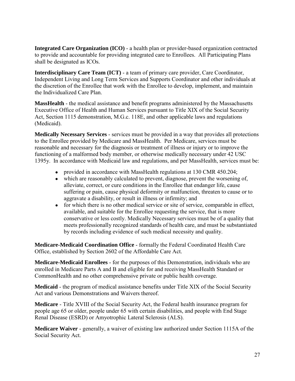**Integrated Care Organization (ICO)** - a health plan or provider-based organization contracted to provide and accountable for providing integrated care to Enrollees. All Participating Plans shall be designated as ICOs.

**Interdisciplinary Care Team (ICT)** - a team of primary care provider, Care Coordinator, Independent Living and Long Term Services and Supports Coordinator and other individuals at the discretion of the Enrollee that work with the Enrollee to develop, implement, and maintain the Individualized Care Plan.

**MassHealth** - the medical assistance and benefit programs administered by the Massachusetts Executive Office of Health and Human Services pursuant to Title XIX of the Social Security Act, Section 1115 demonstration, M.G.c. 118E, and other applicable laws and regulations (Medicaid).

**Medically Necessary Services** - services must be provided in a way that provides all protections to the Enrollee provided by Medicare and MassHealth. Per Medicare, services must be reasonable and necessary for the diagnosis or treatment of illness or injury or to improve the functioning of a malformed body member, or otherwise medically necessary under 42 USC 1395y. In accordance with Medicaid law and regulations, and per MassHealth, services must be:

- provided in accordance with MassHealth regulations at 130 CMR 450.204;
- which are reasonably calculated to prevent, diagnose, prevent the worsening of, alleviate, correct, or cure conditions in the Enrollee that endanger life, cause suffering or pain, cause physical deformity or malfunction, threaten to cause or to aggravate a disability, or result in illness or infirmity; and
- for which there is no other medical service or site of service, comparable in effect, available, and suitable for the Enrollee requesting the service, that is more conservative or less costly. Medically Necessary services must be of a quality that meets professionally recognized standards of health care, and must be substantiated by records including evidence of such medical necessity and quality.

**Medicare-Medicaid Coordination Office** - formally the Federal Coordinated Health Care Office, established by Section 2602 of the Affordable Care Act.

**Medicare-Medicaid Enrollees** - for the purposes of this Demonstration, individuals who are enrolled in Medicare Parts A and B and eligible for and receiving MassHealth Standard or CommonHealth and no other comprehensive private or public health coverage.

**Medicaid** - the program of medical assistance benefits under Title XIX of the Social Security Act and various Demonstrations and Waivers thereof.

**Medicare** - Title XVIII of the Social Security Act, the Federal health insurance program for people age 65 or older, people under 65 with certain disabilities, and people with End Stage Renal Disease (ESRD) or Amyotrophic Lateral Sclerosis (ALS).

**Medicare Waiver** - generally, a waiver of existing law authorized under Section 1115A of the Social Security Act.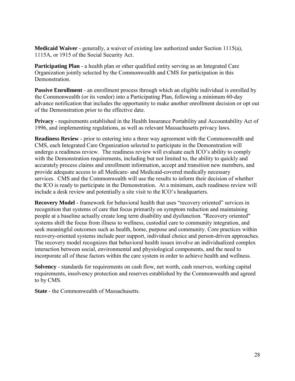**Medicaid Waiver** - generally, a waiver of existing law authorized under Section 1115(a), 1115A, or 1915 of the Social Security Act.

**Participating Plan** - a health plan or other qualified entity serving as an Integrated Care Organization jointly selected by the Commonwealth and CMS for participation in this Demonstration.

**Passive Enrollment** - an enrollment process through which an eligible individual is enrolled by the Commonwealth (or its vendor) into a Participating Plan, following a minimum 60-day advance notification that includes the opportunity to make another enrollment decision or opt out of the Demonstration prior to the effective date.

**Privacy** - requirements established in the Health Insurance Portability and Accountability Act of 1996, and implementing regulations, as well as relevant Massachusetts privacy laws.

**Readiness Review** - prior to entering into a three way agreement with the Commonwealth and CMS, each Integrated Care Organization selected to participate in the Demonstration will undergo a readiness review. The readiness review will evaluate each ICO's ability to comply with the Demonstration requirements, including but not limited to, the ability to quickly and accurately process claims and enrollment information, accept and transition new members, and provide adequate access to all Medicare- and Medicaid-covered medically necessary services. CMS and the Commonwealth will use the results to inform their decision of whether the ICO is ready to participate in the Demonstration. At a minimum, each readiness review will include a desk review and potentially a site visit to the ICO's headquarters.

**Recovery Model** - framework for behavioral health that uses "recovery oriented" services in recognition that systems of care that focus primarily on symptom reduction and maintaining people at a baseline actually create long term disability and dysfunction. "Recovery oriented" systems shift the focus from illness to wellness, custodial care to community integration, and seek meaningful outcomes such as health, home, purpose and community. Core practices within recovery-oriented systems include peer support, individual choice and person-driven approaches. The recovery model recognizes that behavioral health issues involve an individualized complex interaction between social, environmental and physiological components, and the need to incorporate all of these factors within the care system in order to achieve health and wellness.

**Solvency** - standards for requirements on cash flow, net worth, cash reserves, working capital requirements, insolvency protection and reserves established by the Commonwealth and agreed to by CMS.

**State** - the Commonwealth of Massachusetts.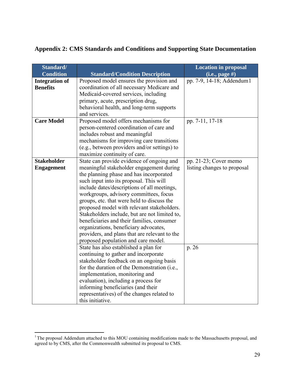<span id="page-30-0"></span>

| <b>Appendix 2: CMS Standards and Conditions and Supporting State Documentation</b> |
|------------------------------------------------------------------------------------|
|------------------------------------------------------------------------------------|

| Standard/<br><b>Condition</b> | <b>Standard/Condition Description</b>                                                  | <b>Location in proposal</b><br>$(i.e., page \#)$ |
|-------------------------------|----------------------------------------------------------------------------------------|--------------------------------------------------|
| <b>Integration of</b>         | Proposed model ensures the provision and                                               | pp. 7-9, 14-18; Addendum1                        |
| <b>Benefits</b>               | coordination of all necessary Medicare and                                             |                                                  |
|                               | Medicaid-covered services, including                                                   |                                                  |
|                               | primary, acute, prescription drug,                                                     |                                                  |
|                               | behavioral health, and long-term supports                                              |                                                  |
|                               | and services.                                                                          |                                                  |
| <b>Care Model</b>             | Proposed model offers mechanisms for                                                   | pp. 7-11, 17-18                                  |
|                               | person-centered coordination of care and                                               |                                                  |
|                               | includes robust and meaningful                                                         |                                                  |
|                               | mechanisms for improving care transitions                                              |                                                  |
|                               | (e.g., between providers and/or settings) to                                           |                                                  |
|                               | maximize continuity of care.                                                           |                                                  |
| <b>Stakeholder</b>            | State can provide evidence of ongoing and                                              | pp. 21-23; Cover memo                            |
| <b>Engagement</b>             | meaningful stakeholder engagement during                                               | listing changes to proposal                      |
|                               | the planning phase and has incorporated                                                |                                                  |
|                               | such input into its proposal. This will<br>include dates/descriptions of all meetings, |                                                  |
|                               | workgroups, advisory committees, focus                                                 |                                                  |
|                               | groups, etc. that were held to discuss the                                             |                                                  |
|                               | proposed model with relevant stakeholders.                                             |                                                  |
|                               | Stakeholders include, but are not limited to,                                          |                                                  |
|                               | beneficiaries and their families, consumer                                             |                                                  |
|                               | organizations, beneficiary advocates,                                                  |                                                  |
|                               | providers, and plans that are relevant to the                                          |                                                  |
|                               | proposed population and care model.                                                    |                                                  |
|                               | State has also established a plan for                                                  | p. 26                                            |
|                               | continuing to gather and incorporate                                                   |                                                  |
|                               | stakeholder feedback on an ongoing basis                                               |                                                  |
|                               | for the duration of the Demonstration (i.e.,                                           |                                                  |
|                               | implementation, monitoring and                                                         |                                                  |
|                               | evaluation), including a process for                                                   |                                                  |
|                               | informing beneficiaries (and their                                                     |                                                  |
|                               | representatives) of the changes related to                                             |                                                  |
|                               | this initiative.                                                                       |                                                  |

<span id="page-30-1"></span> $\overline{a}$  $1$ <sup>1</sup> The proposal Addendum attached to this MOU containing modifications made to the Massachusetts proposal, and agreed to by CMS, after the Commonwealth submitted its proposal to CMS.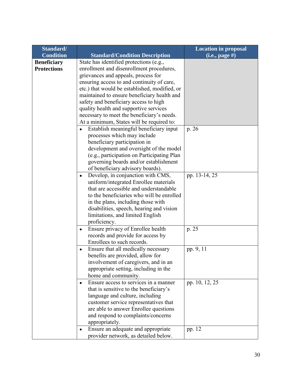| Standard/          |                                                    | <b>Location in proposal</b> |
|--------------------|----------------------------------------------------|-----------------------------|
| <b>Condition</b>   | <b>Standard/Condition Description</b>              | $(i.e., page \#)$           |
| <b>Beneficiary</b> | State has identified protections (e.g.,            |                             |
| <b>Protections</b> | enrollment and disenrollment procedures,           |                             |
|                    | grievances and appeals, process for                |                             |
|                    | ensuring access to and continuity of care,         |                             |
|                    | etc.) that would be established, modified, or      |                             |
|                    | maintained to ensure beneficiary health and        |                             |
|                    | safety and beneficiary access to high              |                             |
|                    | quality health and supportive services             |                             |
|                    | necessary to meet the beneficiary's needs.         |                             |
|                    | At a minimum, States will be required to:          |                             |
|                    | Establish meaningful beneficiary input             | p. 26                       |
|                    | processes which may include                        |                             |
|                    | beneficiary participation in                       |                             |
|                    | development and oversight of the model             |                             |
|                    | (e.g., participation on Participating Plan         |                             |
|                    | governing boards and/or establishment              |                             |
|                    | of beneficiary advisory boards).                   |                             |
|                    | Develop, in conjunction with CMS,<br>$\bullet$     | pp. 13-14, 25               |
|                    | uniform/integrated Enrollee materials              |                             |
|                    | that are accessible and understandable             |                             |
|                    | to the beneficiaries who will be enrolled          |                             |
|                    | in the plans, including those with                 |                             |
|                    | disabilities, speech, hearing and vision           |                             |
|                    | limitations, and limited English                   |                             |
|                    | proficiency.                                       |                             |
|                    | Ensure privacy of Enrollee health                  | p. 25                       |
|                    | records and provide for access by                  |                             |
|                    | Enrollees to such records.                         |                             |
|                    | Ensure that all medically necessary                | pp. 9, 11                   |
|                    | benefits are provided, allow for                   |                             |
|                    | involvement of caregivers, and in an               |                             |
|                    | appropriate setting, including in the              |                             |
|                    | home and community.                                |                             |
|                    | Ensure access to services in a manner<br>$\bullet$ | pp. 10, 12, 25              |
|                    | that is sensitive to the beneficiary's             |                             |
|                    | language and culture, including                    |                             |
|                    | customer service representatives that              |                             |
|                    | are able to answer Enrollee questions              |                             |
|                    | and respond to complaints/concerns                 |                             |
|                    | appropriately.                                     |                             |
|                    | Ensure an adequate and appropriate<br>$\bullet$    | pp. 12                      |
|                    | provider network, as detailed below.               |                             |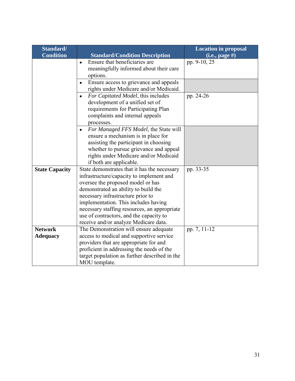| Standard/             |                                                                                                                                                                                                                                                                                                                                                                                        | <b>Location in proposal</b> |
|-----------------------|----------------------------------------------------------------------------------------------------------------------------------------------------------------------------------------------------------------------------------------------------------------------------------------------------------------------------------------------------------------------------------------|-----------------------------|
| <b>Condition</b>      | <b>Standard/Condition Description</b>                                                                                                                                                                                                                                                                                                                                                  | $(i.e., page \#)$           |
|                       | Ensure that beneficiaries are<br>$\bullet$<br>meaningfully informed about their care<br>options.                                                                                                                                                                                                                                                                                       | pp. 9-10, 25                |
|                       | Ensure access to grievance and appeals<br>rights under Medicare and/or Medicaid.                                                                                                                                                                                                                                                                                                       |                             |
|                       | For Capitated Model, this includes<br>$\bullet$<br>development of a unified set of<br>requirements for Participating Plan<br>complaints and internal appeals<br>processes.                                                                                                                                                                                                             | pp. 24-26                   |
|                       | For Managed FFS Model, the State will<br>$\bullet$<br>ensure a mechanism is in place for<br>assisting the participant in choosing<br>whether to pursue grievance and appeal<br>rights under Medicare and/or Medicaid<br>if both are applicable.                                                                                                                                        |                             |
| <b>State Capacity</b> | State demonstrates that it has the necessary<br>infrastructure/capacity to implement and<br>oversee the proposed model or has<br>demonstrated an ability to build the<br>necessary infrastructure prior to<br>implementation. This includes having<br>necessary staffing resources, an appropriate<br>use of contractors, and the capacity to<br>receive and/or analyze Medicare data. | pp. 33-35                   |
| <b>Network</b>        | The Demonstration will ensure adequate                                                                                                                                                                                                                                                                                                                                                 | pp. 7, 11-12                |
| <b>Adequacy</b>       | access to medical and supportive service<br>providers that are appropriate for and<br>proficient in addressing the needs of the<br>target population as further described in the<br>MOU template.                                                                                                                                                                                      |                             |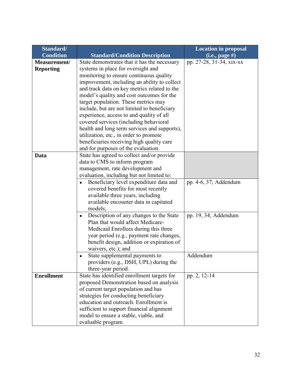| Standard/         |                                                      | <b>Location in proposal</b> |
|-------------------|------------------------------------------------------|-----------------------------|
| <b>Condition</b>  | <b>Standard/Condition Description</b>                | $(i.e., page \#)$           |
| Measurement/      | State demonstrates that it has the necessary         | pp. 27-28, 31-34, xix-xx    |
| <b>Reporting</b>  | systems in place for oversight and                   |                             |
|                   | monitoring to ensure continuous quality              |                             |
|                   | improvement, including an ability to collect         |                             |
|                   | and track data on key metrics related to the         |                             |
|                   | model's quality and cost outcomes for the            |                             |
|                   | target population. These metrics may                 |                             |
|                   | include, but are not limited to beneficiary          |                             |
|                   | experience, access to and quality of all             |                             |
|                   | covered services (including behavioral               |                             |
|                   | health and long term services and supports),         |                             |
|                   | utilization, etc., in order to promote               |                             |
|                   | beneficiaries receiving high quality care            |                             |
|                   | and for purposes of the evaluation.                  |                             |
| Data              | State has agreed to collect and/or provide           |                             |
|                   | data to CMS to inform program                        |                             |
|                   | management, rate development and                     |                             |
|                   | evaluation, including but not limited to:            |                             |
|                   | Beneficiary level expenditure data and               | pp. 4-6, 37; Addendum       |
|                   | covered benefits for most recently                   |                             |
|                   | available three years, including                     |                             |
|                   | available encounter data in capitated                |                             |
|                   | models;                                              |                             |
|                   | Description of any changes to the State<br>$\bullet$ | pp. 19, 34; Addendum        |
|                   | Plan that would affect Medicare-                     |                             |
|                   | Medicaid Enrollees during this three                 |                             |
|                   | year period (e.g., payment rate changes,             |                             |
|                   | benefit design, addition or expiration of            |                             |
|                   | waivers, etc.); and                                  |                             |
|                   | State supplemental payments to                       | Addendum                    |
|                   | providers (e.g., DSH, UPL) during the                |                             |
|                   | three-year period.                                   |                             |
| <b>Enrollment</b> | State has identified enrollment targets for          | pp. 2, 12-14                |
|                   | proposed Demonstration based on analysis             |                             |
|                   | of current target population and has                 |                             |
|                   | strategies for conducting beneficiary                |                             |
|                   | education and outreach. Enrollment is                |                             |
|                   | sufficient to support financial alignment            |                             |
|                   | model to ensure a stable, viable, and                |                             |
|                   | evaluable program.                                   |                             |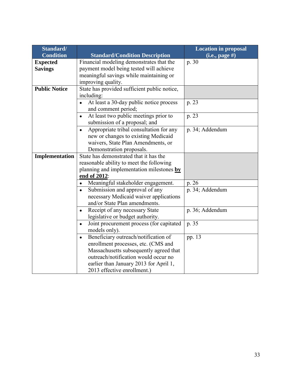| Standard/            |                                                       | <b>Location in proposal</b> |
|----------------------|-------------------------------------------------------|-----------------------------|
| <b>Condition</b>     | <b>Standard/Condition Description</b>                 | $(i.e., page \#)$           |
| <b>Expected</b>      | Financial modeling demonstrates that the              | p. 30                       |
| <b>Savings</b>       | payment model being tested will achieve               |                             |
|                      | meaningful savings while maintaining or               |                             |
|                      | improving quality.                                    |                             |
| <b>Public Notice</b> | State has provided sufficient public notice,          |                             |
|                      | including:                                            |                             |
|                      | At least a 30-day public notice process               | p. 23                       |
|                      | and comment period;                                   |                             |
|                      | At least two public meetings prior to<br>$\bullet$    | p. 23                       |
|                      | submission of a proposal; and                         |                             |
|                      | Appropriate tribal consultation for any               | p. 34; Addendum             |
|                      | new or changes to existing Medicaid                   |                             |
|                      | waivers, State Plan Amendments, or                    |                             |
|                      | Demonstration proposals.                              |                             |
| Implementation       | State has demonstrated that it has the                |                             |
|                      | reasonable ability to meet the following              |                             |
|                      | planning and implementation milestones by             |                             |
|                      | end of 2012:                                          |                             |
|                      | Meaningful stakeholder engagement.<br>$\bullet$       | p. 26                       |
|                      | Submission and approval of any<br>$\bullet$           | p. 34; Addendum             |
|                      | necessary Medicaid waiver applications                |                             |
|                      | and/or State Plan amendments.                         |                             |
|                      | Receipt of any necessary State<br>$\bullet$           | p. 36; Addendum             |
|                      | legislative or budget authority.                      |                             |
|                      | Joint procurement process (for capitated<br>$\bullet$ | p. 35                       |
|                      | models only).                                         |                             |
|                      | Beneficiary outreach/notification of<br>$\bullet$     | pp. 13                      |
|                      | enrollment processes, etc. (CMS and                   |                             |
|                      | Massachusetts subsequently agreed that                |                             |
|                      | outreach/notification would occur no                  |                             |
|                      | earlier than January 2013 for April 1,                |                             |
|                      | 2013 effective enrollment.)                           |                             |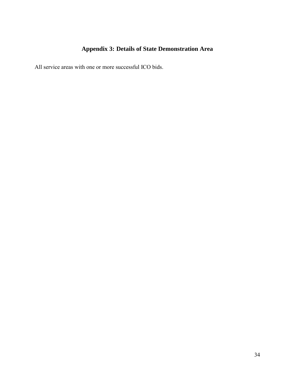# **Appendix 3: Details of State Demonstration Area**

<span id="page-35-0"></span>All service areas with one or more successful ICO bids.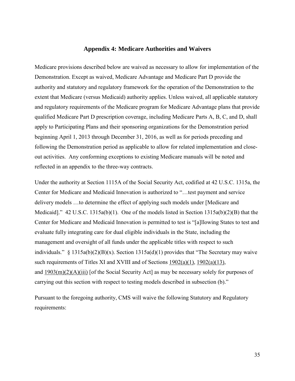#### **Appendix 4: Medicare Authorities and Waivers**

Medicare provisions described below are waived as necessary to allow for implementation of the Demonstration. Except as waived, Medicare Advantage and Medicare Part D provide the authority and statutory and regulatory framework for the operation of the Demonstration to the extent that Medicare (versus Medicaid) authority applies. Unless waived, all applicable statutory and regulatory requirements of the Medicare program for Medicare Advantage plans that provide qualified Medicare Part D prescription coverage, including Medicare Parts A, B, C, and D, shall apply to Participating Plans and their sponsoring organizations for the Demonstration period beginning April 1, 2013 through December 31, 2016, as well as for periods preceding and following the Demonstration period as applicable to allow for related implementation and closeout activities. Any conforming exceptions to existing Medicare manuals will be noted and reflected in an appendix to the three-way contracts.

Under the authority at Section 1115A of the Social Security Act, codified at 42 U.S.C. 1315a, the Center for Medicare and Medicaid Innovation is authorized to "…test payment and service delivery models …to determine the effect of applying such models under [Medicare and Medicaid]." 42 U.S.C. 1315a(b)(1). One of the models listed in Section 1315a(b)(2)(B) that the Center for Medicare and Medicaid Innovation is permitted to test is "[a]llowing States to test and evaluate fully integrating care for dual eligible individuals in the State, including the management and oversight of all funds under the applicable titles with respect to such individuals." § 1315a(b)(2)(B)(x). Section 1315a(d)(1) provides that "The Secretary may waive such requirements of Titles XI and XVIII and of Sections [1902\(a\)\(1\),](http://www.ssa.gov/OP_Home/ssact/title19/1902.htm#act-1902-a-1) [1902\(a\)\(13\),](http://www.ssa.gov/OP_Home/ssact/title19/1902.htm#act-1902-a-13) and [1903\(m\)\(2\)\(A\)\(iii\)](http://www.ssa.gov/OP_Home/ssact/title19/1903.htm#act-1903-m-2-a-iii) [of the Social Security Act] as may be necessary solely for purposes of carrying out this section with respect to testing models described in subsection (b)."

Pursuant to the foregoing authority, CMS will waive the following Statutory and Regulatory requirements: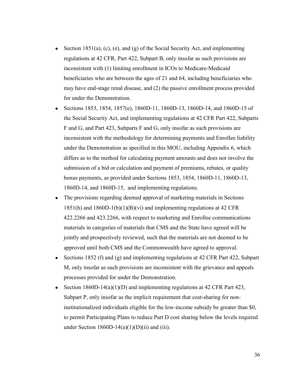- Section 1851(a), (c), (e), and (g) of the Social Security Act, and implementing regulations at 42 CFR, Part 422, Subpart B, only insofar as such provisions are inconsistent with (1) limiting enrollment in ICOs to Medicare-Medicaid beneficiaries who are between the ages of 21 and 64, including beneficiaries who may have end-stage renal disease, and (2) the passive enrollment process provided for under the Demonstration.
- Sections 1853, 1854, 1857(e), 1860D-11, 1860D-13, 1860D-14, and 1860D-15 of the Social Security Act, and implementing regulations at 42 CFR Part 422, Subparts F and G, and Part 423, Subparts F and G, only insofar as such provisions are inconsistent with the methodology for determining payments and Enrollee liability under the Demonstration as specified in this MOU, including Appendix 6, which differs as to the method for calculating payment amounts and does not involve the submission of a bid or calculation and payment of premiums, rebates, or quality bonus payments, as provided under Sections 1853, 1854, 1860D-11, 1860D-13, 1860D-14, and 1860D-15, and implementing regulations.
- The provisions regarding deemed approval of marketing materials in Sections 1851(h) and 1860D-1(b)(1)(B)(vi) and implementing regulations at 42 CFR 422.2266 and 423.2266, with respect to marketing and Enrollee communications materials in categories of materials that CMS and the State have agreed will be jointly and prospectively reviewed, such that the materials are not deemed to be approved until both CMS and the Commonwealth have agreed to approval.
- Sections 1852 (f) and (g) and implementing regulations at 42 CFR Part 422, Subpart M, only insofar as such provisions are inconsistent with the grievance and appeals processes provided for under the Demonstration.
- Section 1860D-14(a)(1)(D) and implementing regulations at 42 CFR Part 423, Subpart P, only insofar as the implicit requirement that cost-sharing for noninstitutionalized individuals eligible for the low-income subsidy be greater than \$0, to permit Participating Plans to reduce Part D cost sharing below the levels required under Section 1860D-14(a)(1)(D)(ii) and (iii).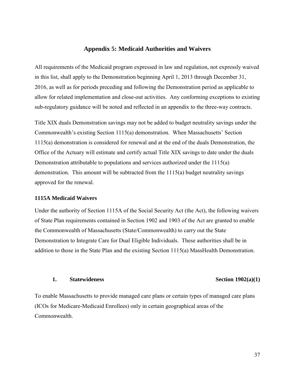#### **Appendix 5: Medicaid Authorities and Waivers**

All requirements of the Medicaid program expressed in law and regulation, not expressly waived in this list, shall apply to the Demonstration beginning April 1, 2013 through December 31, 2016, as well as for periods preceding and following the Demonstration period as applicable to allow for related implementation and close-out activities. Any conforming exceptions to existing sub-regulatory guidance will be noted and reflected in an appendix to the three-way contracts.

Title XIX duals Demonstration savings may not be added to budget neutrality savings under the Commonwealth's existing Section 1115(a) demonstration. When Massachusetts' Section 1115(a) demonstration is considered for renewal and at the end of the duals Demonstration, the Office of the Actuary will estimate and certify actual Title XIX savings to date under the duals Demonstration attributable to populations and services authorized under the 1115(a) demonstration. This amount will be subtracted from the 1115(a) budget neutrality savings approved for the renewal.

#### **1115A Medicaid Waivers**

Under the authority of Section 1115A of the Social Security Act (the Act), the following waivers of State Plan requirements contained in Section 1902 and 1903 of the Act are granted to enable the Commonwealth of Massachusetts (State/Commonwealth) to carry out the State Demonstration to Integrate Care for Dual Eligible Individuals. These authorities shall be in addition to those in the State Plan and the existing Section 1115(a) MassHealth Demonstration.

#### 1. **Statewideness** Section 1902(a)(1)

To enable Massachusetts to provide managed care plans or certain types of managed care plans (ICOs for Medicare-Medicaid Enrollees) only in certain geographical areas of the **Commonwealth**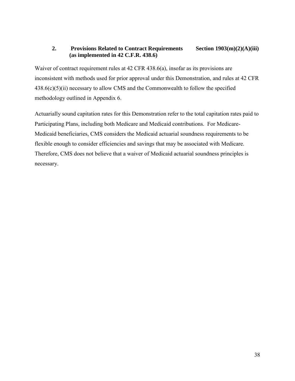### **2. Provisions Related to Contract Requirements Section 1903(m)(2)(A)(iii) (as implemented in 42 C.F.R. 438.6)**

Waiver of contract requirement rules at 42 CFR 438.6(a), insofar as its provisions are inconsistent with methods used for prior approval under this Demonstration, and rules at 42 CFR  $438.6(c)(5)(ii)$  necessary to allow CMS and the Commonwealth to follow the specified methodology outlined in Appendix 6.

Actuarially sound capitation rates for this Demonstration refer to the total capitation rates paid to Participating Plans, including both Medicare and Medicaid contributions. For Medicare-Medicaid beneficiaries, CMS considers the Medicaid actuarial soundness requirements to be flexible enough to consider efficiencies and savings that may be associated with Medicare. Therefore, CMS does not believe that a waiver of Medicaid actuarial soundness principles is necessary.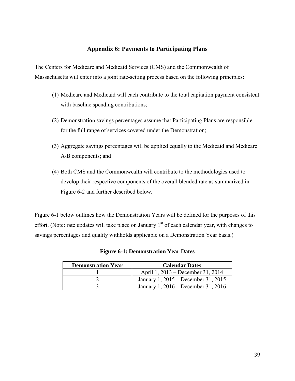## **Appendix 6: Payments to Participating Plans**

The Centers for Medicare and Medicaid Services (CMS) and the Commonwealth of Massachusetts will enter into a joint rate-setting process based on the following principles:

- (1) Medicare and Medicaid will each contribute to the total capitation payment consistent with baseline spending contributions;
- (2) Demonstration savings percentages assume that Participating Plans are responsible for the full range of services covered under the Demonstration;
- (3) Aggregate savings percentages will be applied equally to the Medicaid and Medicare A/B components; and
- (4) Both CMS and the Commonwealth will contribute to the methodologies used to develop their respective components of the overall blended rate as summarized in Figure 6-2 and further described below.

Figure 6-1 below outlines how the Demonstration Years will be defined for the purposes of this effort. (Note: rate updates will take place on January  $1<sup>st</sup>$  of each calendar year, with changes to savings percentages and quality withholds applicable on a Demonstration Year basis.)

| <b>Demonstration Year</b> | <b>Calendar Dates</b>               |
|---------------------------|-------------------------------------|
|                           | April 1, 2013 – December 31, 2014   |
|                           | January 1, 2015 – December 31, 2015 |
|                           | January 1, 2016 – December 31, 2016 |

|  | <b>Figure 6-1: Demonstration Year Dates</b> |  |
|--|---------------------------------------------|--|
|--|---------------------------------------------|--|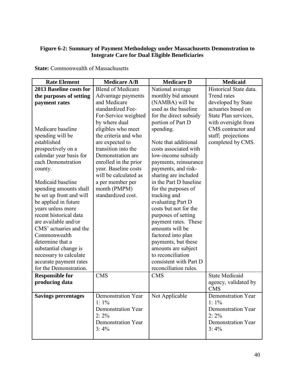### **Figure 6-2: Summary of Payment Methodology under Massachusetts Demonstration to Integrate Care for Dual Eligible Beneficiaries**

| <b>Rate Element</b>            | <b>Medicare A/B</b>      | <b>Medicare D</b>      | <b>Medicaid</b>        |
|--------------------------------|--------------------------|------------------------|------------------------|
| <b>2013 Baseline costs for</b> | <b>Blend of Medicare</b> | National average       | Historical State data. |
| the purposes of setting        | Advantage payments       | monthly bid amount     | Trend rates            |
| payment rates                  | and Medicare             | (NAMBA) will be        | developed by State     |
|                                | standardized Fee-        | used as the baseline   | actuaries based on     |
|                                | For-Service weighted     | for the direct subsidy | State Plan services,   |
|                                | by where dual            | portion of Part D      | with oversight from    |
| Medicare baseline              | eligibles who meet       | spending.              | CMS contractor and     |
| spending will be               | the criteria and who     |                        | staff; projections     |
| established                    | are expected to          | Note that additional   | completed by CMS.      |
| prospectively on a             | transition into the      | costs associated with  |                        |
| calendar year basis for        | Demonstration are        | low-income subsidy     |                        |
| each Demonstration             | enrolled in the prior    | payments, reinsurance  |                        |
| county.                        | year. Baseline costs     | payments, and risk-    |                        |
|                                | will be calculated as    | sharing are included   |                        |
| Medicaid baseline              | a per member per         | in the Part D baseline |                        |
| spending amounts shall         | month (PMPM)             | for the purposes of    |                        |
| be set up front and will       | standardized cost.       | tracking and           |                        |
| be applied in future           |                          | evaluating Part D      |                        |
| years unless more              |                          | costs but not for the  |                        |
| recent historical data         |                          | purposes of setting    |                        |
| are available and/or           |                          | payment rates. These   |                        |
| CMS' actuaries and the         |                          | amounts will be        |                        |
| Commonwealth                   |                          | factored into plan     |                        |
| determine that a               |                          | payments, but these    |                        |
| substantial change is          |                          | amounts are subject    |                        |
| necessary to calculate         |                          | to reconciliation      |                        |
| accurate payment rates         |                          | consistent with Part D |                        |
| for the Demonstration.         |                          | reconciliation rules.  |                        |
| <b>Responsible for</b>         | <b>CMS</b>               | <b>CMS</b>             | <b>State Medicaid</b>  |
| producing data                 |                          |                        | agency, validated by   |
|                                |                          |                        | <b>CMS</b>             |
| <b>Savings percentages</b>     | Demonstration Year       | Not Applicable         | Demonstration Year     |
|                                | 1:1%                     |                        | 1: $1\%$               |
|                                | Demonstration Year       |                        | Demonstration Year     |
|                                | $2:2\%$                  |                        | $2:2\%$                |
|                                | Demonstration Year       |                        | Demonstration Year     |
|                                | $3:4\%$                  |                        | $3:4\%$                |
|                                |                          |                        |                        |

**State:** Commonwealth of Massachusetts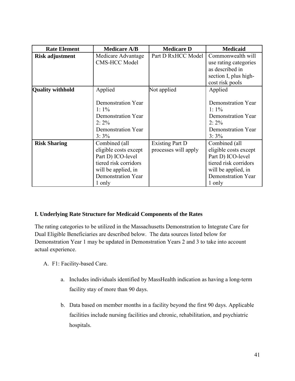| <b>Rate Element</b>     | <b>Medicare A/B</b>                                                                                                                         | <b>Medicare D</b>                              | <b>Medicaid</b>                                                                                                                             |
|-------------------------|---------------------------------------------------------------------------------------------------------------------------------------------|------------------------------------------------|---------------------------------------------------------------------------------------------------------------------------------------------|
| <b>Risk adjustment</b>  | Part D RxHCC Model<br>Medicare Advantage<br><b>CMS-HCC Model</b>                                                                            |                                                | Commonwealth will<br>use rating categories<br>as described in<br>section I, plus high-<br>cost risk pools                                   |
| <b>Quality withhold</b> | Applied<br>Demonstration Year<br>1:1%<br>Demonstration Year<br>$2:2\%$<br><b>Demonstration Year</b><br>$3:3\%$                              | Not applied                                    | Applied<br>Demonstration Year<br>1:1%<br>Demonstration Year<br>$2:2\%$<br>Demonstration Year<br>$3:3\%$                                     |
| <b>Risk Sharing</b>     | Combined (all<br>eligible costs except<br>Part D) ICO-level<br>tiered risk corridors<br>will be applied, in<br>Demonstration Year<br>1 only | <b>Existing Part D</b><br>processes will apply | Combined (all<br>eligible costs except<br>Part D) ICO-level<br>tiered risk corridors<br>will be applied, in<br>Demonstration Year<br>1 only |

### **I. Underlying Rate Structure for Medicaid Components of the Rates**

The rating categories to be utilized in the Massachusetts Demonstration to Integrate Care for Dual Eligible Beneficiaries are described below. The data sources listed below for Demonstration Year 1 may be updated in Demonstration Years 2 and 3 to take into account actual experience.

- A. F1: Facility-based Care.
	- a. Includes individuals identified by MassHealth indication as having a long-term facility stay of more than 90 days.
	- b. Data based on member months in a facility beyond the first 90 days. Applicable facilities include nursing facilities and chronic, rehabilitation, and psychiatric hospitals.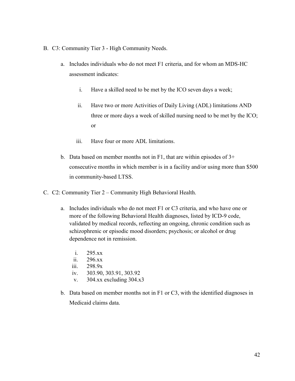- B. C3: Community Tier 3 High Community Needs.
	- a. Includes individuals who do not meet F1 criteria, and for whom an MDS-HC assessment indicates:
		- i. Have a skilled need to be met by the ICO seven days a week;
		- ii. Have two or more Activities of Daily Living (ADL) limitations AND three or more days a week of skilled nursing need to be met by the ICO; or
		- iii. Have four or more ADL limitations.
	- b. Data based on member months not in F1, that are within episodes of 3+ consecutive months in which member is in a facility and/or using more than \$500 in community-based LTSS.
- C. C2: Community Tier 2 Community High Behavioral Health.
	- a. Includes individuals who do not meet F1 or C3 criteria, and who have one or more of the following Behavioral Health diagnoses, listed by ICD-9 code, validated by medical records, reflecting an ongoing, chronic condition such as schizophrenic or episodic mood disorders; psychosis; or alcohol or drug dependence not in remission.
		- i. 295.xx
		- ii. 296.xx
		- iii. 298.9x
		- iv. 303.90, 303.91, 303.92
		- v. 304.xx excluding 304.x3
	- b. Data based on member months not in F1 or C3, with the identified diagnoses in Medicaid claims data.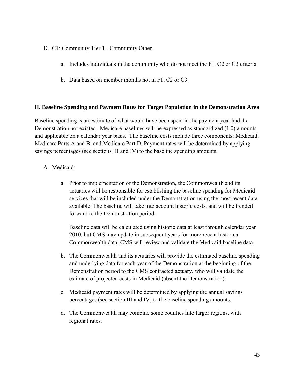- D. C1: Community Tier 1 Community Other.
	- a. Includes individuals in the community who do not meet the F1, C2 or C3 criteria.
	- b. Data based on member months not in F1, C2 or C3.

#### **II. Baseline Spending and Payment Rates for Target Population in the Demonstration Area**

Baseline spending is an estimate of what would have been spent in the payment year had the Demonstration not existed. Medicare baselines will be expressed as standardized (1.0) amounts and applicable on a calendar year basis. The baseline costs include three components: Medicaid, Medicare Parts A and B, and Medicare Part D. Payment rates will be determined by applying savings percentages (see sections III and IV) to the baseline spending amounts.

- A. Medicaid:
	- a. Prior to implementation of the Demonstration, the Commonwealth and its actuaries will be responsible for establishing the baseline spending for Medicaid services that will be included under the Demonstration using the most recent data available. The baseline will take into account historic costs, and will be trended forward to the Demonstration period.

Baseline data will be calculated using historic data at least through calendar year 2010, but CMS may update in subsequent years for more recent historical Commonwealth data. CMS will review and validate the Medicaid baseline data.

- b. The Commonwealth and its actuaries will provide the estimated baseline spending and underlying data for each year of the Demonstration at the beginning of the Demonstration period to the CMS contracted actuary, who will validate the estimate of projected costs in Medicaid (absent the Demonstration).
- c. Medicaid payment rates will be determined by applying the annual savings percentages (see section III and IV) to the baseline spending amounts.
- d. The Commonwealth may combine some counties into larger regions, with regional rates.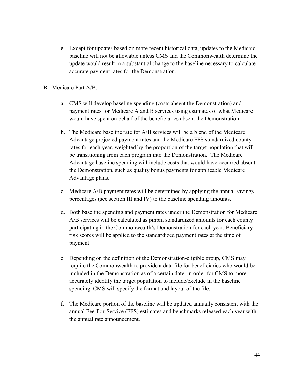- e. Except for updates based on more recent historical data, updates to the Medicaid baseline will not be allowable unless CMS and the Commonwealth determine the update would result in a substantial change to the baseline necessary to calculate accurate payment rates for the Demonstration.
- B. Medicare Part A/B:
	- a. CMS will develop baseline spending (costs absent the Demonstration) and payment rates for Medicare A and B services using estimates of what Medicare would have spent on behalf of the beneficiaries absent the Demonstration.
	- b. The Medicare baseline rate for A/B services will be a blend of the Medicare Advantage projected payment rates and the Medicare FFS standardized county rates for each year, weighted by the proportion of the target population that will be transitioning from each program into the Demonstration. The Medicare Advantage baseline spending will include costs that would have occurred absent the Demonstration, such as quality bonus payments for applicable Medicare Advantage plans.
	- c. Medicare A/B payment rates will be determined by applying the annual savings percentages (see section III and IV) to the baseline spending amounts.
	- d. Both baseline spending and payment rates under the Demonstration for Medicare A/B services will be calculated as pmpm standardized amounts for each county participating in the Commonwealth's Demonstration for each year. Beneficiary risk scores will be applied to the standardized payment rates at the time of payment.
	- e. Depending on the definition of the Demonstration-eligible group, CMS may require the Commonwealth to provide a data file for beneficiaries who would be included in the Demonstration as of a certain date, in order for CMS to more accurately identify the target population to include/exclude in the baseline spending. CMS will specify the format and layout of the file.
	- f. The Medicare portion of the baseline will be updated annually consistent with the annual Fee-For-Service (FFS) estimates and benchmarks released each year with the annual rate announcement.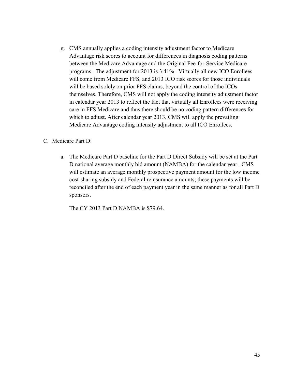g. CMS annually applies a coding intensity adjustment factor to Medicare Advantage risk scores to account for differences in diagnosis coding patterns between the Medicare Advantage and the Original Fee-for-Service Medicare programs. The adjustment for 2013 is 3.41%. Virtually all new ICO Enrollees will come from Medicare FFS, and 2013 ICO risk scores for those individuals will be based solely on prior FFS claims, beyond the control of the ICOs themselves. Therefore, CMS will not apply the coding intensity adjustment factor in calendar year 2013 to reflect the fact that virtually all Enrollees were receiving care in FFS Medicare and thus there should be no coding pattern differences for which to adjust. After calendar year 2013, CMS will apply the prevailing Medicare Advantage coding intensity adjustment to all ICO Enrollees.

#### C. Medicare Part D:

a. The Medicare Part D baseline for the Part D Direct Subsidy will be set at the Part D national average monthly bid amount (NAMBA) for the calendar year. CMS will estimate an average monthly prospective payment amount for the low income cost-sharing subsidy and Federal reinsurance amounts; these payments will be reconciled after the end of each payment year in the same manner as for all Part D sponsors.

The CY 2013 Part D NAMBA is \$79.64.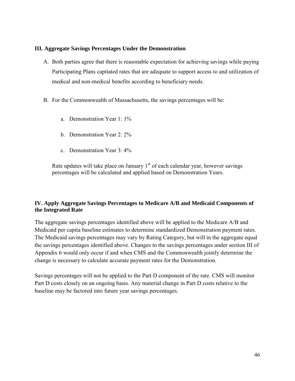#### **III. Aggregate Savings Percentages Under the Demonstration**

- A. Both parties agree that there is reasonable expectation for achieving savings while paying Participating Plans capitated rates that are adequate to support access to and utilization of medical and non-medical benefits according to beneficiary needs.
- B. For the Commonwealth of Massachusetts, the savings percentages will be:
	- a. Demonstration Year 1: 1%
	- b. Demonstration Year 2: 2%
	- c. Demonstration Year 3: 4%

Rate updates will take place on January  $1<sup>st</sup>$  of each calendar year, however savings percentages will be calculated and applied based on Demonstration Years.

## **IV. Apply Aggregate Savings Percentages to Medicare A/B and Medicaid Components of the Integrated Rate**

The aggregate savings percentages identified above will be applied to the Medicare A/B and Medicaid per capita baseline estimates to determine standardized Demonstration payment rates. The Medicaid savings percentages may vary by Rating Category, but will in the aggregate equal the savings percentages identified above. Changes to the savings percentages under section III of Appendix 6 would only occur if and when CMS and the Commonwealth jointly determine the change is necessary to calculate accurate payment rates for the Demonstration.

Savings percentages will not be applied to the Part D component of the rate. CMS will monitor Part D costs closely on an ongoing basis. Any material change in Part D costs relative to the baseline may be factored into future year savings percentages.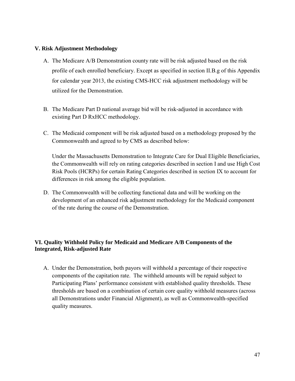#### **V. Risk Adjustment Methodology**

- A. The Medicare A/B Demonstration county rate will be risk adjusted based on the risk profile of each enrolled beneficiary. Except as specified in section II.B.g of this Appendix for calendar year 2013, the existing CMS-HCC risk adjustment methodology will be utilized for the Demonstration.
- B. The Medicare Part D national average bid will be risk-adjusted in accordance with existing Part D RxHCC methodology.
- C. The Medicaid component will be risk adjusted based on a methodology proposed by the Commonwealth and agreed to by CMS as described below:

Under the Massachusetts Demonstration to Integrate Care for Dual Eligible Beneficiaries, the Commonwealth will rely on rating categories described in section I and use High Cost Risk Pools (HCRPs) for certain Rating Categories described in section IX to account for differences in risk among the eligible population.

D. The Commonwealth will be collecting functional data and will be working on the development of an enhanced risk adjustment methodology for the Medicaid component of the rate during the course of the Demonstration.

## **VI. Quality Withhold Policy for Medicaid and Medicare A/B Components of the Integrated, Risk-adjusted Rate**

A. Under the Demonstration, both payors will withhold a percentage of their respective components of the capitation rate. The withheld amounts will be repaid subject to Participating Plans' performance consistent with established quality thresholds. These thresholds are based on a combination of certain core quality withhold measures (across all Demonstrations under Financial Alignment), as well as Commonwealth-specified quality measures.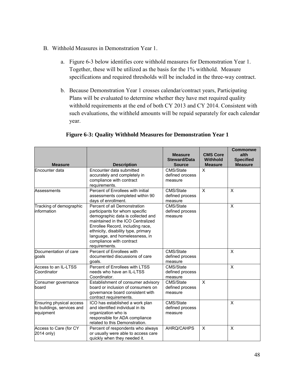- B. Withhold Measures in Demonstration Year 1.
	- a. Figure 6-3 below identifies core withhold measures for Demonstration Year 1. Together, these will be utilized as the basis for the 1% withhold. Measure specifications and required thresholds will be included in the three-way contract.
	- b. Because Demonstration Year 1 crosses calendar/contract years, Participating Plans will be evaluated to determine whether they have met required quality withhold requirements at the end of both CY 2013 and CY 2014. Consistent with such evaluations, the withheld amounts will be repaid separately for each calendar year.

| <b>Measure</b>                                                      | <b>Description</b>                                                                                                                                                                                                                                                                                 | <b>Measure</b><br><b>Steward/Data</b><br><b>Source</b> | <b>CMS Core</b><br><b>Withhold</b><br><b>Measure</b> | <b>Commonwe</b><br>alth<br><b>Specified</b><br><b>Measure</b> |
|---------------------------------------------------------------------|----------------------------------------------------------------------------------------------------------------------------------------------------------------------------------------------------------------------------------------------------------------------------------------------------|--------------------------------------------------------|------------------------------------------------------|---------------------------------------------------------------|
| Encounter data                                                      | Encounter data submitted<br>accurately and completely in<br>compliance with contract<br>requirements.                                                                                                                                                                                              | CMS/State<br>defined orocess<br>measure                | X                                                    |                                                               |
| Assessments                                                         | Percent of Enrollees with initial<br>assessments completed within 90<br>days of enrollment.                                                                                                                                                                                                        | CMS/State<br>defined process<br>measure                | X                                                    | X                                                             |
| Tracking of demographic<br>linformation                             | Percent of all Demonstration<br>participants for whom specific<br>demographic data is collected and<br>maintained in the ICO Centralized<br>Enrollee Record, including race,<br>ethnicity, disability type, primary<br>language, and homelessness, in<br>compliance with contract<br>requirements. | CMS/State<br>defined process<br>measure                |                                                      | $\pmb{\times}$                                                |
| Documentation of care<br>goals                                      | Percent of Enrollees with<br>documented discussions of care<br>qoals.                                                                                                                                                                                                                              | CMS/State<br>defined process<br>measure                |                                                      | X                                                             |
| Access to an IL-LTSS<br>Coordinator                                 | Percent of Enrollees with LTSS<br>needs who have an IL-LTSS<br>Coordinator.                                                                                                                                                                                                                        | CMS/State<br>defined process<br>measure                |                                                      | X                                                             |
| Consumer governance<br>board                                        | Establishment of consumer advisory<br>board or inclusion of consumers on<br>governance board consistent with<br>contract requirements.                                                                                                                                                             | CMS/State<br>defined process<br>measure                | $\times$                                             |                                                               |
| Ensuring physical access<br>to buildings, services and<br>equipment | ICO has established a work plan<br>and identified individual in its<br>organization who is<br>responsible for ADA compliance<br>related to this Demonstration.                                                                                                                                     | CMS/State<br>defined process<br>measure                |                                                      | X                                                             |
| Access to Care (for CY<br>2014 only)                                | Percent of respondents who always<br>or usually were able to access care<br>quickly when they needed it.                                                                                                                                                                                           | AHRQ/CAHPS                                             | X                                                    | $\pmb{\times}$                                                |

### **Figure 6-3: Quality Withhold Measures for Demonstration Year 1**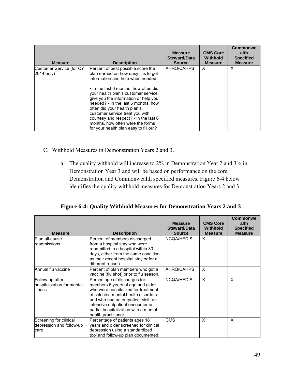| <b>Measure</b>                         | <b>Description</b>                                                                                                                                                                                                                                                                                                                                                                                                                                                             | <b>Measure</b><br><b>Steward/Data</b><br><b>Source</b> | <b>CMS Core</b><br><b>Withhold</b><br><b>Measure</b> | Commonwe<br>alth<br><b>Specified</b><br><b>Measure</b> |
|----------------------------------------|--------------------------------------------------------------------------------------------------------------------------------------------------------------------------------------------------------------------------------------------------------------------------------------------------------------------------------------------------------------------------------------------------------------------------------------------------------------------------------|--------------------------------------------------------|------------------------------------------------------|--------------------------------------------------------|
| Customer Service (for CY<br>2014 only) | Percent of best possible score the<br>plan earned on how easy it is to get<br>information and help when needed.<br>• In the last 6 months, how often did<br>your health plan's customer service<br>give you the information or help you<br>needed? • In the last 6 months, how<br>often did your health plan's<br>customer service treat you with<br>courtesy and respect? $\cdot$ In the last 6<br>months, how often were the forms<br>for your health plan easy to fill out? | AHRO/CAHPS                                             | X                                                    | X                                                      |

- C. Withhold Measures in Demonstration Years 2 and 3.
	- a. The quality withhold will increase to 2% in Demonstration Year 2 and 3% in Demonstration Year 3 and will be based on performance on the core Demonstration and Commonwealth specified measures. Figure 6-4 below identifies the quality withhold measures for Demonstration Years 2 and 3.

**Figure 6-4: Quality Withhold Measures for Demonstration Years 2 and 3** 

| <b>Measure</b>                                                  | <b>Description</b>                                                                                                                                                                                                                                                                          | <b>Measure</b><br><b>Steward/Data</b><br><b>Source</b> | <b>CMS Core</b><br>Withhold<br><b>Measure</b> | <b>Commonwe</b><br>alth<br><b>Specified</b><br><b>Measure</b> |
|-----------------------------------------------------------------|---------------------------------------------------------------------------------------------------------------------------------------------------------------------------------------------------------------------------------------------------------------------------------------------|--------------------------------------------------------|-----------------------------------------------|---------------------------------------------------------------|
| Plan all-cause<br>readmissions                                  | Percent of members discharged<br>from a hospital stay who were<br>readmitted to a hospital within 30<br>days, either from the same condition<br>as their recent hospital stay or for a<br>different reason.                                                                                 | NCQA/HEDIS                                             | X                                             |                                                               |
| Annual flu vaccine                                              | Percent of plan members who got a<br>vaccine (flu shot) prior to flu season.                                                                                                                                                                                                                | AHRQ/CAHPS                                             | X                                             |                                                               |
| Follow-up after<br>hospitalization for mental<br><b>illness</b> | Percentage of discharges for<br>members 6 years of age and older<br>who were hospitalized for treatment<br>of selected mental health disorders<br>and who had an outpatient visit, an<br>intensive outpatient encounter or<br>partial hospitalization with a mental<br>health practitioner. | <b>NCQA/HEDIS</b>                                      | X                                             | $\boldsymbol{\mathsf{x}}$                                     |
| Screening for clinical<br>depression and follow-up<br>care      | Percentage of patients ages 18<br>years and older screened for clinical<br>depression using a standardized<br>tool and follow-up plan documented.                                                                                                                                           | <b>CMS</b>                                             | X                                             | X                                                             |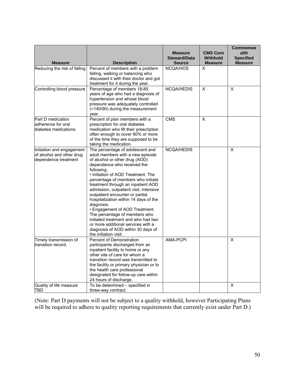|                                                                                |                                                                                                                                                                                                                                                                                                                                                                                                                                                                                                                                                                                                                          |                                                        |                                                      | <b>Commonwe</b>                            |
|--------------------------------------------------------------------------------|--------------------------------------------------------------------------------------------------------------------------------------------------------------------------------------------------------------------------------------------------------------------------------------------------------------------------------------------------------------------------------------------------------------------------------------------------------------------------------------------------------------------------------------------------------------------------------------------------------------------------|--------------------------------------------------------|------------------------------------------------------|--------------------------------------------|
| <b>Measure</b>                                                                 | <b>Description</b>                                                                                                                                                                                                                                                                                                                                                                                                                                                                                                                                                                                                       | <b>Measure</b><br><b>Steward/Data</b><br><b>Source</b> | <b>CMS Core</b><br><b>Withhold</b><br><b>Measure</b> | alth<br><b>Specified</b><br><b>Measure</b> |
| Reducing the risk of falling                                                   | Percent of members with a problem<br>falling, walking or balancing who<br>discussed it with their doctor and got<br>treatment for it during the year.                                                                                                                                                                                                                                                                                                                                                                                                                                                                    | NCQA/HOS                                               | X                                                    |                                            |
| Controlling blood pressure                                                     | Percentage of members 18-85<br>years of age who had a diagnosis of<br>hypertension and whose blood<br>pressure was adequately controlled<br>(<140/90) during the measurement<br>year.                                                                                                                                                                                                                                                                                                                                                                                                                                    | NCQA/HEDIS                                             | $\overline{X}$                                       | X                                          |
| Part D medication<br>adherence for oral<br>diabetes medications                | Percent of plan members with a<br>prescription for oral diabetes<br>medication who fill their prescription<br>often enough to cover 80% or more<br>of the time they are supposed to be<br>taking the medication.                                                                                                                                                                                                                                                                                                                                                                                                         | <b>CMS</b>                                             | X                                                    |                                            |
| Initiation and engagement<br>of alcohol and other drug<br>dependence treatment | The percentage of adolescent and<br>adult members with a new episode<br>of alcohol or other drug (AOD)<br>dependence who received the<br>following.<br>• Initiation of AOD Treatment. The<br>percentage of members who initiate<br>treatment through an inpatient AOD<br>admission, outpatient visit, intensive<br>outpatient encounter or partial<br>hospitalization within 14 days of the<br>diagnosis.<br>• Engagement of AOD Treatment.<br>The percentage of members who<br>initiated treatment and who had two<br>or more additional services with a<br>diagnosis of AOD within 30 days of<br>the initiation visit. | <b>NCQA/HEDIS</b>                                      |                                                      | X                                          |
| Timely transmission of<br>transition record.                                   | Percent of Demonstration<br>participants discharged from an<br>inpatient facility to home or any<br>other site of care for whom a<br>transition record was transmitted to<br>the facility or primary physician or to<br>the health care professional<br>designated for follow-up care within<br>24 hours of discharge.                                                                                                                                                                                                                                                                                                   | AMA-PCPI                                               |                                                      | X                                          |
| Quality of life measure<br><b>TBD</b>                                          | To be determined - specified in<br>three-way contract.                                                                                                                                                                                                                                                                                                                                                                                                                                                                                                                                                                   |                                                        |                                                      | X                                          |

(Note: Part D payments will not be subject to a quality withhold, however Participating Plans will be required to adhere to quality reporting requirements that currently exist under Part D.)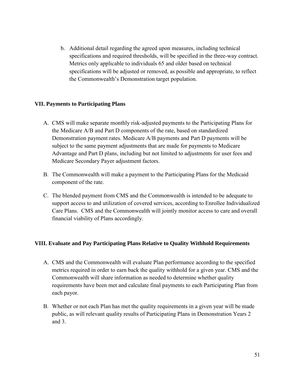b. Additional detail regarding the agreed upon measures, including technical specifications and required thresholds, will be specified in the three-way contract. Metrics only applicable to individuals 65 and older based on technical specifications will be adjusted or removed, as possible and appropriate, to reflect the Commonwealth's Demonstration target population.

### **VII. Payments to Participating Plans**

- A. CMS will make separate monthly risk-adjusted payments to the Participating Plans for the Medicare A/B and Part D components of the rate, based on standardized Demonstration payment rates. Medicare A/B payments and Part D payments will be subject to the same payment adjustments that are made for payments to Medicare Advantage and Part D plans, including but not limited to adjustments for user fees and Medicare Secondary Payer adjustment factors.
- B. The Commonwealth will make a payment to the Participating Plans for the Medicaid component of the rate.
- C. The blended payment from CMS and the Commonwealth is intended to be adequate to support access to and utilization of covered services, according to Enrollee Individualized Care Plans. CMS and the Commonwealth will jointly monitor access to care and overall financial viability of Plans accordingly.

### **VIII. Evaluate and Pay Participating Plans Relative to Quality Withhold Requirements**

- A. CMS and the Commonwealth will evaluate Plan performance according to the specified metrics required in order to earn back the quality withhold for a given year. CMS and the Commonwealth will share information as needed to determine whether quality requirements have been met and calculate final payments to each Participating Plan from each payor.
- B. Whether or not each Plan has met the quality requirements in a given year will be made public, as will relevant quality results of Participating Plans in Demonstration Years 2 and 3.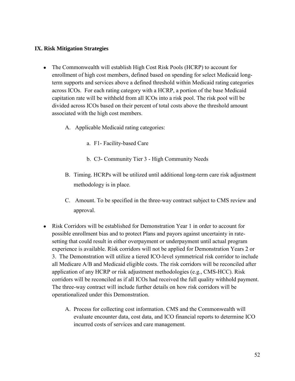#### **IX. Risk Mitigation Strategies**

- The Commonwealth will establish High Cost Risk Pools (HCRP) to account for enrollment of high cost members, defined based on spending for select Medicaid longterm supports and services above a defined threshold within Medicaid rating categories across ICOs. For each rating category with a HCRP, a portion of the base Medicaid capitation rate will be withheld from all ICOs into a risk pool. The risk pool will be divided across ICOs based on their percent of total costs above the threshold amount associated with the high cost members.
	- A. Applicable Medicaid rating categories:
		- a. F1- Facility-based Care
		- b. C3- Community Tier 3 High Community Needs
	- B. Timing. HCRPs will be utilized until additional long-term care risk adjustment methodology is in place.
	- C. Amount. To be specified in the three-way contract subject to CMS review and approval.
- Risk Corridors will be established for Demonstration Year 1 in order to account for possible enrollment bias and to protect Plans and payors against uncertainty in ratesetting that could result in either overpayment or underpayment until actual program experience is available. Risk corridors will not be applied for Demonstration Years 2 or 3. The Demonstration will utilize a tiered ICO-level symmetrical risk corridor to include all Medicare A/B and Medicaid eligible costs. The risk corridors will be reconciled after application of any HCRP or risk adjustment methodologies (e.g., CMS-HCC). Risk corridors will be reconciled as if all ICOs had received the full quality withhold payment. The three-way contract will include further details on how risk corridors will be operationalized under this Demonstration.
	- A. Process for collecting cost information. CMS and the Commonwealth will evaluate encounter data, cost data, and ICO financial reports to determine ICO incurred costs of services and care management.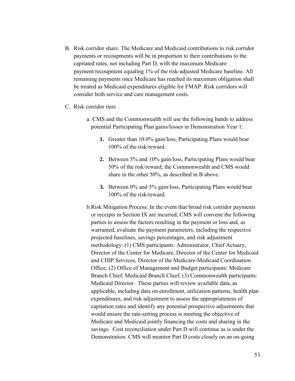- B. Risk corridor share. The Medicare and Medicaid contributions to risk corridor payments or recoupments will be in proportion to their contributions to the capitated rates, not including Part D, with the maximum Medicare payment/recoupment equaling 1% of the risk-adjusted Medicare baseline. All remaining payments once Medicare has reached its maximum obligation shall be treated as Medicaid expenditures eligible for FMAP. Risk corridors will consider both service and care management costs.
- C. Risk corridor tiers
	- a. CMS and the Commonwealth will use the following bands to address potential Participating Plan gains/losses in Demonstration Year 1:
		- **1.** Greater than 10.0% gain/loss, Participating Plans would bear 100% of the risk/reward.
		- **2.** Between 5% and 10% gain/loss, Participating Plans would bear 50% of the risk/reward; the Commonwealth and CMS would share in the other 50%, as described in B above.
		- **3.** Between 0% and 5% gain/loss, Participating Plans would bear 100% of the risk/reward.
	- b.Risk Mitigation Process: In the event that broad risk corridor payments or receipts in Section IX are incurred, CMS will convene the following parties to assess the factors resulting in the payment or loss and, as warranted, evaluate the payment parameters, including the respective projected baselines, savings percentages, and risk adjustment methodology: (1) CMS participants: Administrator, Chief Actuary, Director of the Center for Medicare, Director of the Center for Medicaid and CHIP Services, Director of the Medicare-Medicaid Coordination Office; (2) Office of Management and Budget participants: Medicare Branch Chief, Medicaid Branch Chief; (3) Commonwealth participants: Medicaid Director. These parties will review available data, as applicable, including data on enrollment, utilization patterns, health plan expenditures, and risk adjustment to assess the appropriateness of capitation rates and identify any potential prospective adjustments that would ensure the rate-setting process is meeting the objective of Medicare and Medicaid jointly financing the costs and sharing in the savings. Cost reconciliation under Part D will continue as is under the Demonstration. CMS will monitor Part D costs closely on an on-going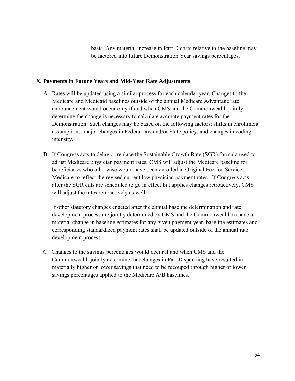basis. Any material increase in Part D costs relative to the baseline may be factored into future Demonstration Year savings percentages.

#### **X. Payments in Future Years and Mid-Year Rate Adjustments**

- A. Rates will be updated using a similar process for each calendar year. Changes to the Medicare and Medicaid baselines outside of the annual Medicare Advantage rate announcement would occur only if and when CMS and the Commonwealth jointly determine the change is necessary to calculate accurate payment rates for the Demonstration. Such changes may be based on the following factors: shifts in enrollment assumptions; major changes in Federal law and/or State policy; and changes in coding intensity.
- B. If Congress acts to delay or replace the Sustainable Growth Rate (SGR) formula used to adjust Medicare physician payment rates, CMS will adjust the Medicare baseline for beneficiaries who otherwise would have been enrolled in Original Fee-for-Service Medicare to reflect the revised current law physician payment rates. If Congress acts after the SGR cuts are scheduled to go in effect but applies changes retroactively, CMS will adjust the rates retroactively as well.

If other statutory changes enacted after the annual baseline determination and rate development process are jointly determined by CMS and the Commonwealth to have a material change in baseline estimates for any given payment year, baseline estimates and corresponding standardized payment rates shall be updated outside of the annual rate development process.

C. Changes to the savings percentages would occur if and when CMS and the Commonwealth jointly determine that changes in Part D spending have resulted in materially higher or lower savings that need to be recouped through higher or lower savings percentages applied to the Medicare A/B baselines.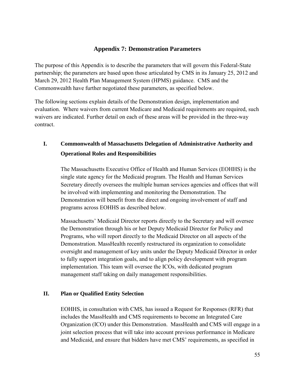## **Appendix 7: Demonstration Parameters**

The purpose of this Appendix is to describe the parameters that will govern this Federal-State partnership; the parameters are based upon those articulated by CMS in its January 25, 2012 and March 29, 2012 Health Plan Management System (HPMS) guidance. CMS and the Commonwealth have further negotiated these parameters, as specified below.

The following sections explain details of the Demonstration design, implementation and evaluation. Where waivers from current Medicare and Medicaid requirements are required, such waivers are indicated. Further detail on each of these areas will be provided in the three-way contract.

# **I. Commonwealth of Massachusetts Delegation of Administrative Authority and Operational Roles and Responsibilities**

The Massachusetts Executive Office of Health and Human Services (EOHHS) is the single state agency for the Medicaid program. The Health and Human Services Secretary directly oversees the multiple human services agencies and offices that will be involved with implementing and monitoring the Demonstration. The Demonstration will benefit from the direct and ongoing involvement of staff and programs across EOHHS as described below.

Massachusetts' Medicaid Director reports directly to the Secretary and will oversee the Demonstration through his or her Deputy Medicaid Director for Policy and Programs, who will report directly to the Medicaid Director on all aspects of the Demonstration. MassHealth recently restructured its organization to consolidate oversight and management of key units under the Deputy Medicaid Director in order to fully support integration goals, and to align policy development with program implementation. This team will oversee the ICOs, with dedicated program management staff taking on daily management responsibilities.

### **II. Plan or Qualified Entity Selection**

EOHHS, in consultation with CMS, has issued a Request for Responses (RFR) that includes the MassHealth and CMS requirements to become an Integrated Care Organization (ICO) under this Demonstration. MassHealth and CMS will engage in a joint selection process that will take into account previous performance in Medicare and Medicaid, and ensure that bidders have met CMS' requirements, as specified in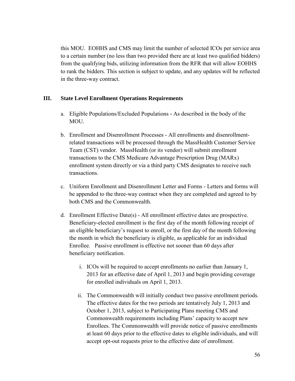this MOU. EOHHS and CMS may limit the number of selected ICOs per service area to a certain number (no less than two provided there are at least two qualified bidders) from the qualifying bids, utilizing information from the RFR that will allow EOHHS to rank the bidders. This section is subject to update, and any updates will be reflected in the three-way contract.

#### **III. State Level Enrollment Operations Requirements**

- a. Eligible Populations/Excluded Populations **-** As described in the body of the MOU.
- b. Enrollment and Disenrollment Processes All enrollments and disenrollmentrelated transactions will be processed through the MassHealth Customer Service Team (CST) vendor. MassHealth (or its vendor) will submit enrollment transactions to the CMS Medicare Advantage Prescription Drug (MARx) enrollment system directly or via a third party CMS designates to receive such transactions.
- c. Uniform Enrollment and Disenrollment Letter and Forms Letters and forms will be appended to the three-way contract when they are completed and agreed to by both CMS and the Commonwealth.
- d. Enrollment Effective Date(s) All enrollment effective dates are prospective. Beneficiary-elected enrollment is the first day of the month following receipt of an eligible beneficiary's request to enroll, or the first day of the month following the month in which the beneficiary is eligible, as applicable for an individual Enrollee. Passive enrollment is effective not sooner than 60 days after beneficiary notification.
	- i. ICOs will be required to accept enrollments no earlier than January 1, 2013 for an effective date of April 1, 2013 and begin providing coverage for enrolled individuals on April 1, 2013.
	- ii. The Commonwealth will initially conduct two passive enrollment periods. The effective dates for the two periods are tentatively July 1, 2013 and October 1, 2013, subject to Participating Plans meeting CMS and Commonwealth requirements including Plans' capacity to accept new Enrollees. The Commonwealth will provide notice of passive enrollments at least 60 days prior to the effective dates to eligible individuals, and will accept opt-out requests prior to the effective date of enrollment.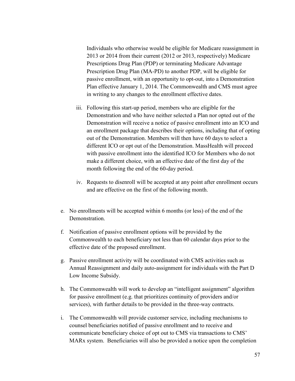Individuals who otherwise would be eligible for Medicare reassignment in 2013 or 2014 from their current (2012 or 2013, respectively) Medicare Prescriptions Drug Plan (PDP) or terminating Medicare Advantage Prescription Drug Plan (MA-PD) to another PDP, will be eligible for passive enrollment, with an opportunity to opt-out, into a Demonstration Plan effective January 1, 2014. The Commonwealth and CMS must agree in writing to any changes to the enrollment effective dates.

- iii. Following this start-up period, members who are eligible for the Demonstration and who have neither selected a Plan nor opted out of the Demonstration will receive a notice of passive enrollment into an ICO and an enrollment package that describes their options, including that of opting out of the Demonstration. Members will then have 60 days to select a different ICO or opt out of the Demonstration. MassHealth will proceed with passive enrollment into the identified ICO for Members who do not make a different choice, with an effective date of the first day of the month following the end of the 60-day period.
- iv. Requests to disenroll will be accepted at any point after enrollment occurs and are effective on the first of the following month.
- e. No enrollments will be accepted within 6 months (or less) of the end of the Demonstration.
- f. Notification of passive enrollment options will be provided by the Commonwealth to each beneficiary not less than 60 calendar days prior to the effective date of the proposed enrollment.
- g. Passive enrollment activity will be coordinated with CMS activities such as Annual Reassignment and daily auto-assignment for individuals with the Part D Low Income Subsidy.
- h. The Commonwealth will work to develop an "intelligent assignment" algorithm for passive enrollment (e.g. that prioritizes continuity of providers and/or services), with further details to be provided in the three-way contracts.
- i. The Commonwealth will provide customer service, including mechanisms to counsel beneficiaries notified of passive enrollment and to receive and communicate beneficiary choice of opt out to CMS via transactions to CMS' MARx system. Beneficiaries will also be provided a notice upon the completion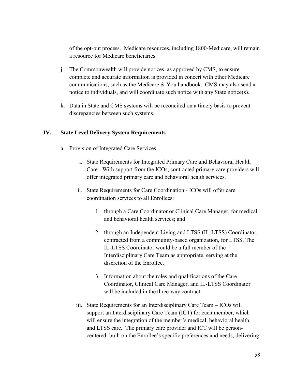of the opt-out process. Medicare resources, including 1800-Medicare, will remain a resource for Medicare beneficiaries.

- j. The Commonwealth will provide notices, as approved by CMS, to ensure complete and accurate information is provided in concert with other Medicare communications, such as the Medicare & You handbook. CMS may also send a notice to individuals, and will coordinate such notice with any State notice(s).
- k. Data in State and CMS systems will be reconciled on a timely basis to prevent discrepancies between such systems.

### **IV. State Level Delivery System Requirements**

- a. Provision of Integrated Care Services
	- i. State Requirements for Integrated Primary Care and Behavioral Health Care - With support from the ICOs, contracted primary care providers will offer integrated primary care and behavioral health services.
	- ii. State Requirements for Care Coordination ICOs will offer care coordination services to all Enrollees:
		- 1. through a Care Coordinator or Clinical Care Manager, for medical and behavioral health services; and
		- 2. through an Independent Living and LTSS (IL-LTSS) Coordinator, contracted from a community-based organization, for LTSS. The IL-LTSS Coordinator would be a full member of the Interdisciplinary Care Team as appropriate, serving at the discretion of the Enrollee.
		- 3. Information about the roles and qualifications of the Care Coordinator, Clinical Care Manager, and IL-LTSS Coordinator will be included in the three-way contract.
	- iii. State Requirements for an Interdisciplinary Care Team ICOs will support an Interdisciplinary Care Team (ICT) for each member, which will ensure the integration of the member's medical, behavioral health, and LTSS care. The primary care provider and ICT will be personcentered: built on the Enrollee's specific preferences and needs, delivering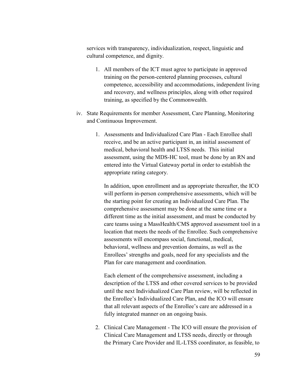services with transparency, individualization, respect, linguistic and cultural competence, and dignity.

- 1. All members of the ICT must agree to participate in approved training on the person-centered planning processes, cultural competence, accessibility and accommodations, independent living and recovery, and wellness principles, along with other required training, as specified by the Commonwealth.
- iv. State Requirements for member Assessment, Care Planning, Monitoring and Continuous Improvement.
	- 1. Assessments and Individualized Care Plan Each Enrollee shall receive, and be an active participant in, an initial assessment of medical, behavioral health and LTSS needs. This initial assessment, using the MDS-HC tool, must be done by an RN and entered into the Virtual Gateway portal in order to establish the appropriate rating category.

In addition, upon enrollment and as appropriate thereafter, the ICO will perform in-person comprehensive assessments, which will be the starting point for creating an Individualized Care Plan. The comprehensive assessment may be done at the same time or a different time as the initial assessment, and must be conducted by care teams using a MassHealth/CMS approved assessment tool in a location that meets the needs of the Enrollee. Such comprehensive assessments will encompass social, functional, medical, behavioral, wellness and prevention domains, as well as the Enrollees' strengths and goals, need for any specialists and the Plan for care management and coordination.

Each element of the comprehensive assessment, including a description of the LTSS and other covered services to be provided until the next Individualized Care Plan review, will be reflected in the Enrollee's Individualized Care Plan, and the ICO will ensure that all relevant aspects of the Enrollee's care are addressed in a fully integrated manner on an ongoing basis.

2. Clinical Care Management - The ICO will ensure the provision of Clinical Care Management and LTSS needs, directly or through the Primary Care Provider and IL-LTSS coordinator, as feasible, to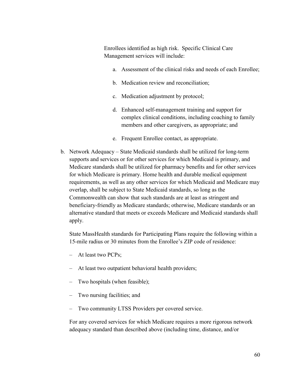Enrollees identified as high risk. Specific Clinical Care Management services will include:

- a. Assessment of the clinical risks and needs of each Enrollee;
- b. Medication review and reconciliation;
- c. Medication adjustment by protocol;
- d. Enhanced self-management training and support for complex clinical conditions, including coaching to family members and other caregivers, as appropriate; and
- e. Frequent Enrollee contact, as appropriate.
- b. Network Adequacy State Medicaid standards shall be utilized for long-term supports and services or for other services for which Medicaid is primary, and Medicare standards shall be utilized for pharmacy benefits and for other services for which Medicare is primary. Home health and durable medical equipment requirements, as well as any other services for which Medicaid and Medicare may overlap, shall be subject to State Medicaid standards, so long as the Commonwealth can show that such standards are at least as stringent and beneficiary-friendly as Medicare standards; otherwise, Medicare standards or an alternative standard that meets or exceeds Medicare and Medicaid standards shall apply.

State MassHealth standards for Participating Plans require the following within a 15-mile radius or 30 minutes from the Enrollee's ZIP code of residence:

- At least two PCPs;
- At least two outpatient behavioral health providers;
- Two hospitals (when feasible);
- Two nursing facilities; and
- Two community LTSS Providers per covered service.

For any covered services for which Medicare requires a more rigorous network adequacy standard than described above (including time, distance, and/or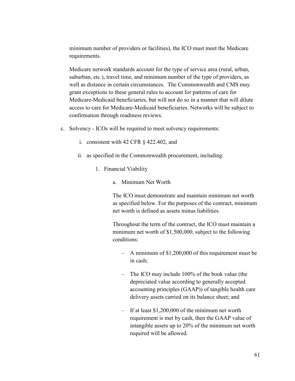minimum number of providers or facilities), the ICO must meet the Medicare requirements.

Medicare network standards account for the type of service area (rural, urban, suburban, etc.), travel time, and minimum number of the type of providers, as well as distance in certain circumstances. The Commonwealth and CMS may grant exceptions to these general rules to account for patterns of care for Medicare-Medicaid beneficiaries, but will not do so in a manner that will dilute access to care for Medicare-Medicaid beneficiaries. Networks will be subject to confirmation through readiness reviews.

- c. Solvency ICOs will be required to meet solvency requirements:
	- i. consistent with 42 CFR § 422.402, and
	- ii. as specified in the Commonwealth procurement, including:
		- 1. Financial Viability
			- a. Minimum Net Worth

The ICO must demonstrate and maintain minimum net worth as specified below. For the purposes of the contract, minimum net worth is defined as assets minus liabilities.

Throughout the term of the contract, the ICO must maintain a minimum net worth of \$1,500,000, subject to the following conditions:

- A minimum of \$1,200,000 of this requirement must be in cash;
- The ICO may include 100% of the book value (the depreciated value according to generally accepted accounting principles (GAAP)) of tangible health care delivery assets carried on its balance sheet; and
- If at least \$1,200,000 of the minimum net worth requirement is met by cash, then the GAAP value of intangible assets up to 20% of the minimum net worth required will be allowed.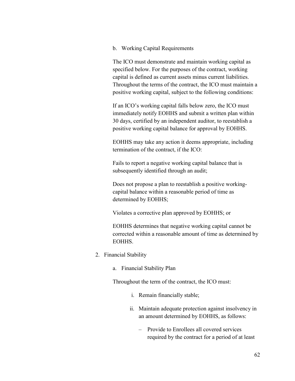b. Working Capital Requirements

The ICO must demonstrate and maintain working capital as specified below. For the purposes of the contract, working capital is defined as current assets minus current liabilities. Throughout the terms of the contract, the ICO must maintain a positive working capital, subject to the following conditions:

If an ICO's working capital falls below zero, the ICO must immediately notify EOHHS and submit a written plan within 30 days, certified by an independent auditor, to reestablish a positive working capital balance for approval by EOHHS.

EOHHS may take any action it deems appropriate, including termination of the contract, if the ICO:

Fails to report a negative working capital balance that is subsequently identified through an audit;

Does not propose a plan to reestablish a positive workingcapital balance within a reasonable period of time as determined by EOHHS;

Violates a corrective plan approved by EOHHS; or

EOHHS determines that negative working capital cannot be corrected within a reasonable amount of time as determined by EOHHS.

- 2. Financial Stability
	- a. Financial Stability Plan

Throughout the term of the contract, the ICO must:

- i. Remain financially stable;
- ii. Maintain adequate protection against insolvency in an amount determined by EOHHS, as follows:
	- Provide to Enrollees all covered services required by the contract for a period of at least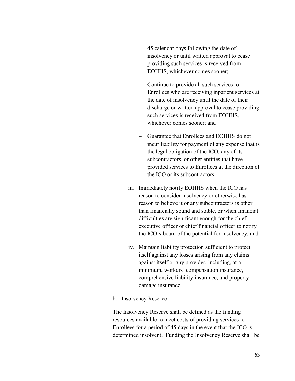45 calendar days following the date of insolvency or until written approval to cease providing such services is received from EOHHS, whichever comes sooner;

- Continue to provide all such services to Enrollees who are receiving inpatient services at the date of insolvency until the date of their discharge or written approval to cease providing such services is received from EOHHS, whichever comes sooner; and
- Guarantee that Enrollees and EOHHS do not incur liability for payment of any expense that is the legal obligation of the ICO, any of its subcontractors, or other entities that have provided services to Enrollees at the direction of the ICO or its subcontractors;
- iii. Immediately notify EOHHS when the ICO has reason to consider insolvency or otherwise has reason to believe it or any subcontractors is other than financially sound and stable, or when financial difficulties are significant enough for the chief executive officer or chief financial officer to notify the ICO's board of the potential for insolvency; and
- iv. Maintain liability protection sufficient to protect itself against any losses arising from any claims against itself or any provider, including, at a minimum, workers' compensation insurance, comprehensive liability insurance, and property damage insurance.
- b. Insolvency Reserve

The Insolvency Reserve shall be defined as the funding resources available to meet costs of providing services to Enrollees for a period of 45 days in the event that the ICO is determined insolvent. Funding the Insolvency Reserve shall be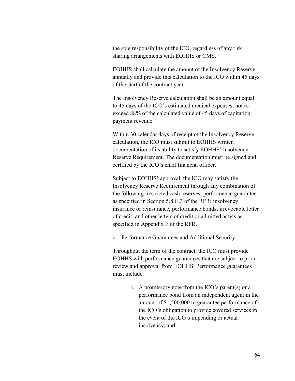the sole responsibility of the ICO, regardless of any risk sharing arrangements with EOHHS or CMS.

EOHHS shall calculate the amount of the Insolvency Reserve annually and provide this calculation to the ICO within 45 days of the start of the contract year.

The Insolvency Reserve calculation shall be an amount equal to 45 days of the ICO's estimated medical expenses, not to exceed 88% of the calculated value of 45 days of capitation payment revenue.

Within 30 calendar days of receipt of the Insolvency Reserve calculation, the ICO must submit to EOHHS written documentation of its ability to satisfy EOHHS' Insolvency Reserve Requirement. The documentation must be signed and certified by the ICO's chief financial officer.

Subject to EOHHS' approval, the ICO may satisfy the Insolvency Reserve Requirement through any combination of the following: restricted cash reserves; performance guarantee as specified in Section 5.8.C.3 of the RFR; insolvency insurance or reinsurance, performance bonds; irrevocable letter of credit; and other letters of credit or admitted assets as specified in Appendix F of the RFR.

c. Performance Guarantees and Additional Security

Throughout the term of the contract, the ICO must provide EOHHS with performance guarantees that are subject to prior review and approval from EOHHS. Performance guarantees must include:

> i. A promissory note from the ICO's parent(s) or a performance bond from an independent agent in the amount of \$1,500,000 to guarantee performance of the ICO's obligation to provide covered services in the event of the ICO's impending or actual insolvency; and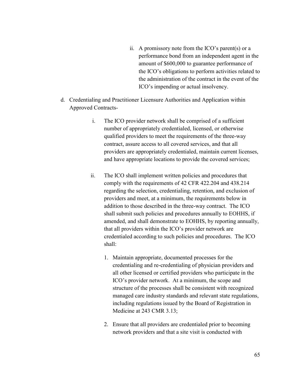- ii. A promissory note from the ICO's parent(s) or a performance bond from an independent agent in the amount of \$600,000 to guarantee performance of the ICO's obligations to perform activities related to the administration of the contract in the event of the ICO's impending or actual insolvency.
- d. Credentialing and Practitioner Licensure Authorities and Application within Approved Contracts
	- i. The ICO provider network shall be comprised of a sufficient number of appropriately credentialed, licensed, or otherwise qualified providers to meet the requirements of the three-way contract, assure access to all covered services, and that all providers are appropriately credentialed, maintain current licenses, and have appropriate locations to provide the covered services;
	- ii. The ICO shall implement written policies and procedures that comply with the requirements of 42 CFR 422.204 and 438.214 regarding the selection, credentialing, retention, and exclusion of providers and meet, at a minimum, the requirements below in addition to those described in the three-way contract. The ICO shall submit such policies and procedures annually to EOHHS, if amended, and shall demonstrate to EOHHS, by reporting annually, that all providers within the ICO's provider network are credentialed according to such policies and procedures. The ICO shall:
		- 1. Maintain appropriate, documented processes for the credentialing and re-credentialing of physician providers and all other licensed or certified providers who participate in the ICO's provider network. At a minimum, the scope and structure of the processes shall be consistent with recognized managed care industry standards and relevant state regulations, including regulations issued by the Board of Registration in Medicine at 243 CMR 3.13;
		- 2. Ensure that all providers are credentialed prior to becoming network providers and that a site visit is conducted with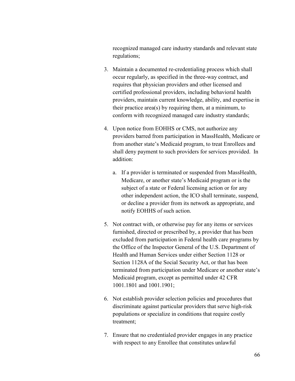recognized managed care industry standards and relevant state regulations;

- 3. Maintain a documented re-credentialing process which shall occur regularly, as specified in the three-way contract, and requires that physician providers and other licensed and certified professional providers, including behavioral health providers, maintain current knowledge, ability, and expertise in their practice area(s) by requiring them, at a minimum, to conform with recognized managed care industry standards;
- 4. Upon notice from EOHHS or CMS, not authorize any providers barred from participation in MassHealth, Medicare or from another state's Medicaid program, to treat Enrollees and shall deny payment to such providers for services provided. In addition:
	- a. If a provider is terminated or suspended from MassHealth, Medicare, or another state's Medicaid program or is the subject of a state or Federal licensing action or for any other independent action, the ICO shall terminate, suspend, or decline a provider from its network as appropriate, and notify EOHHS of such action.
- 5. Not contract with, or otherwise pay for any items or services furnished, directed or prescribed by, a provider that has been excluded from participation in Federal health care programs by the Office of the Inspector General of the U.S. Department of Health and Human Services under either Section 1128 or Section 1128A of the Social Security Act, or that has been terminated from participation under Medicare or another state's Medicaid program, except as permitted under 42 CFR 1001.1801 and 1001.1901;
- 6. Not establish provider selection policies and procedures that discriminate against particular providers that serve high-risk populations or specialize in conditions that require costly treatment;
- 7. Ensure that no credentialed provider engages in any practice with respect to any Enrollee that constitutes unlawful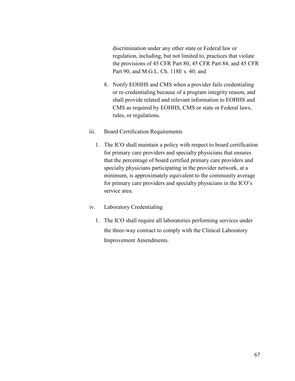discrimination under any other state or Federal law or regulation, including, but not limited to, practices that violate the provisions of 45 CFR Part 80, 45 CFR Part 84, and 45 CFR Part 90, and M.G.L. Ch. 118E s. 40; and

- 8. Notify EOHHS and CMS when a provider fails credentialing or re-credentialing because of a program integrity reason, and shall provide related and relevant information to EOHHS and CMS as required by EOHHS, CMS or state or Federal laws, rules, or regulations.
- iii. Board Certification Requirements
	- 1. The ICO shall maintain a policy with respect to board certification for primary care providers and specialty physicians that ensures that the percentage of board certified primary care providers and specialty physicians participating in the provider network, at a minimum, is approximately equivalent to the community average for primary care providers and specialty physicians in the ICO's service area.
- iv. Laboratory Credentialing
	- 1. The ICO shall require all laboratories performing services under the three-way contract to comply with the Clinical Laboratory Improvement Amendments.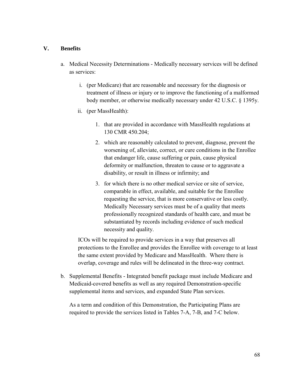#### **V. Benefits**

- a. Medical Necessity Determinations Medically necessary services will be defined as services:
	- i. (per Medicare) that are reasonable and necessary for the diagnosis or treatment of illness or injury or to improve the functioning of a malformed body member, or otherwise medically necessary under 42 U.S.C. § 1395y.
	- ii. (per MassHealth):
		- 1. that are provided in accordance with MassHealth regulations at 130 CMR 450.204;
		- 2. which are reasonably calculated to prevent, diagnose, prevent the worsening of, alleviate, correct, or cure conditions in the Enrollee that endanger life, cause suffering or pain, cause physical deformity or malfunction, threaten to cause or to aggravate a disability, or result in illness or infirmity; and
		- 3. for which there is no other medical service or site of service, comparable in effect, available, and suitable for the Enrollee requesting the service, that is more conservative or less costly. Medically Necessary services must be of a quality that meets professionally recognized standards of health care, and must be substantiated by records including evidence of such medical necessity and quality.

ICOs will be required to provide services in a way that preserves all protections to the Enrollee and provides the Enrollee with coverage to at least the same extent provided by Medicare and MassHealth. Where there is overlap, coverage and rules will be delineated in the three-way contract.

b. Supplemental Benefits - Integrated benefit package must include Medicare and Medicaid-covered benefits as well as any required Demonstration-specific supplemental items and services, and expanded State Plan services.

As a term and condition of this Demonstration, the Participating Plans are required to provide the services listed in Tables 7-A, 7-B, and 7-C below.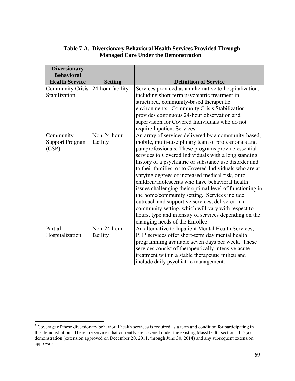|                                                   | Table 7-A. Diversionary Behavioral Health Services Provided Through |
|---------------------------------------------------|---------------------------------------------------------------------|
| Managed Care Under the Demonstration <sup>2</sup> |                                                                     |

| <b>Diversionary</b>     |                  |                                                          |
|-------------------------|------------------|----------------------------------------------------------|
| <b>Behavioral</b>       |                  |                                                          |
| <b>Health Service</b>   | <b>Setting</b>   | <b>Definition of Service</b>                             |
| <b>Community Crisis</b> | 24-hour facility | Services provided as an alternative to hospitalization,  |
| Stabilization           |                  | including short-term psychiatric treatment in            |
|                         |                  | structured, community-based therapeutic                  |
|                         |                  | environments. Community Crisis Stabilization             |
|                         |                  | provides continuous 24-hour observation and              |
|                         |                  | supervision for Covered Individuals who do not           |
|                         |                  | require Inpatient Services.                              |
| Community               | Non-24-hour      | An array of services delivered by a community-based,     |
| <b>Support Program</b>  | facility         | mobile, multi-disciplinary team of professionals and     |
| (CSP)                   |                  | paraprofessionals. These programs provide essential      |
|                         |                  | services to Covered Individuals with a long standing     |
|                         |                  | history of a psychiatric or substance use disorder and   |
|                         |                  | to their families, or to Covered Individuals who are at  |
|                         |                  | varying degrees of increased medical risk, or to         |
|                         |                  | children/adolescents who have behavioral health          |
|                         |                  | issues challenging their optimal level of functioning in |
|                         |                  | the home/community setting. Services include             |
|                         |                  | outreach and supportive services, delivered in a         |
|                         |                  | community setting, which will vary with respect to       |
|                         |                  | hours, type and intensity of services depending on the   |
|                         |                  | changing needs of the Enrollee.                          |
| Partial                 | Non-24-hour      | An alternative to Inpatient Mental Health Services,      |
| Hospitalization         | facility         | PHP services offer short-term day mental health          |
|                         |                  | programming available seven days per week. These         |
|                         |                  | services consist of therapeutically intensive acute      |
|                         |                  | treatment within a stable therapeutic milieu and         |
|                         |                  | include daily psychiatric management.                    |

 $\overline{a}$ 

<span id="page-70-0"></span> $2^2$  Coverage of these diversionary behavioral health services is required as a term and condition for participating in this demonstration. These are services that currently are covered under the existing MassHealth section 1115(a) demonstration (extension approved on December 20, 2011, through June 30, 2014) and any subsequent extension approvals.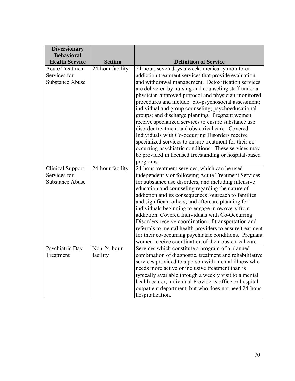| <b>Diversionary</b>                        |                                    |                                                                                                             |
|--------------------------------------------|------------------------------------|-------------------------------------------------------------------------------------------------------------|
| <b>Behavioral</b><br><b>Health Service</b> |                                    | <b>Definition of Service</b>                                                                                |
| <b>Acute Treatment</b>                     | <b>Setting</b><br>24-hour facility |                                                                                                             |
| Services for                               |                                    | 24-hour, seven days a week, medically monitored                                                             |
| <b>Substance Abuse</b>                     |                                    | addiction treatment services that provide evaluation                                                        |
|                                            |                                    | and withdrawal management. Detoxification services<br>are delivered by nursing and counseling staff under a |
|                                            |                                    |                                                                                                             |
|                                            |                                    | physician-approved protocol and physician-monitored<br>procedures and include: bio-psychosocial assessment; |
|                                            |                                    | individual and group counseling; psychoeducational                                                          |
|                                            |                                    | groups; and discharge planning. Pregnant women                                                              |
|                                            |                                    | receive specialized services to ensure substance use                                                        |
|                                            |                                    | disorder treatment and obstetrical care. Covered                                                            |
|                                            |                                    | Individuals with Co-occurring Disorders receive                                                             |
|                                            |                                    | specialized services to ensure treatment for their co-                                                      |
|                                            |                                    | occurring psychiatric conditions. These services may                                                        |
|                                            |                                    | be provided in licensed freestanding or hospital-based                                                      |
|                                            |                                    | programs.                                                                                                   |
| <b>Clinical Support</b>                    | 24-hour facility                   | 24-hour treatment services, which can be used                                                               |
| Services for                               |                                    | independently or following Acute Treatment Services                                                         |
| <b>Substance Abuse</b>                     |                                    | for substance use disorders, and including intensive                                                        |
|                                            |                                    | education and counseling regarding the nature of                                                            |
|                                            |                                    | addiction and its consequences; outreach to families                                                        |
|                                            |                                    | and significant others; and aftercare planning for                                                          |
|                                            |                                    | individuals beginning to engage in recovery from                                                            |
|                                            |                                    | addiction. Covered Individuals with Co-Occurring                                                            |
|                                            |                                    | Disorders receive coordination of transportation and                                                        |
|                                            |                                    | referrals to mental health providers to ensure treatment                                                    |
|                                            |                                    | for their co-occurring psychiatric conditions. Pregnant                                                     |
|                                            |                                    | women receive coordination of their obstetrical care.                                                       |
| Psychiatric Day                            | Non-24-hour                        | Services which constitute a program of a planned                                                            |
| Treatment                                  | facility                           | combination of diagnostic, treatment and rehabilitative                                                     |
|                                            |                                    | services provided to a person with mental illness who                                                       |
|                                            |                                    | needs more active or inclusive treatment than is                                                            |
|                                            |                                    | typically available through a weekly visit to a mental                                                      |
|                                            |                                    | health center, individual Provider's office or hospital                                                     |
|                                            |                                    | outpatient department, but who does not need 24-hour                                                        |
|                                            |                                    | hospitalization.                                                                                            |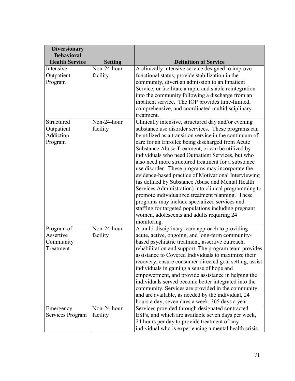| <b>Diversionary</b><br><b>Behavioral</b>          |                                             |                                                                                                                                                                                                                                                                                                                                                                                                                                                                                                                                                                                                                                                                                                                                                                                                                                              |
|---------------------------------------------------|---------------------------------------------|----------------------------------------------------------------------------------------------------------------------------------------------------------------------------------------------------------------------------------------------------------------------------------------------------------------------------------------------------------------------------------------------------------------------------------------------------------------------------------------------------------------------------------------------------------------------------------------------------------------------------------------------------------------------------------------------------------------------------------------------------------------------------------------------------------------------------------------------|
| <b>Health Service</b>                             | <b>Setting</b>                              | <b>Definition of Service</b>                                                                                                                                                                                                                                                                                                                                                                                                                                                                                                                                                                                                                                                                                                                                                                                                                 |
| Intensive<br>Outpatient<br>Program                | Non-24-hour<br>facility                     | A clinically intensive service designed to improve<br>functional status, provide stabilization in the<br>community, divert an admission to an Inpatient<br>Service, or facilitate a rapid and stable reintegration<br>into the community following a discharge from an<br>inpatient service. The IOP provides time-limited,<br>comprehensive, and coordinated multidisciplinary<br>treatment.                                                                                                                                                                                                                                                                                                                                                                                                                                                |
| Structured<br>Outpatient<br>Addiction<br>Program  | Non-24-hour<br>facility                     | Clinically intensive, structured day and/or evening<br>substance use disorder services. These programs can<br>be utilized as a transition service in the continuum of<br>care for an Enrollee being discharged from Acute<br>Substance Abuse Treatment, or can be utilized by<br>individuals who need Outpatient Services, but who<br>also need more structured treatment for a substance<br>use disorder. These programs may incorporate the<br>evidence-based practice of Motivational Interviewing<br>(as defined by Substance Abuse and Mental Health<br>Services Administration) into clinical programming to<br>promote individualized treatment planning. These<br>programs may include specialized services and<br>staffing for targeted populations including pregnant<br>women, adolescents and adults requiring 24<br>monitoring. |
| Program of<br>Assertive<br>Community<br>Treatment | $\overline{\text{Non-24-hour}}$<br>facility | A multi-disciplinary team approach to providing<br>acute, active, ongoing, and long-term community-<br>based psychiatric treatment, assertive outreach,<br>rehabilitation and support. The program team provides<br>assistance to Covered Individuals to maximize their<br>recovery, ensure consumer-directed goal setting, assist<br>individuals in gaining a sense of hope and<br>empowerment, and provide assistance in helping the<br>individuals served become better integrated into the<br>community. Services are provided in the community<br>and are available, as needed by the individual, 24<br>hours a day, seven days a week, 365 days a year.                                                                                                                                                                                |
| Emergency<br>Services Program                     | Non-24-hour<br>facility                     | Services provided through designated contracted<br>ESPs, and which are available seven days per week,<br>24 hours per day to provide treatment of any<br>individual who is experiencing a mental health crisis.                                                                                                                                                                                                                                                                                                                                                                                                                                                                                                                                                                                                                              |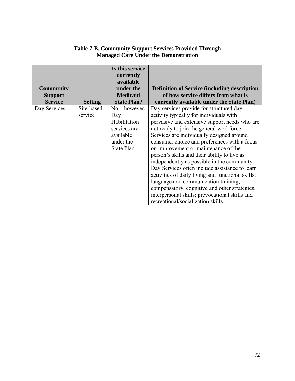| <b>Community</b><br><b>Support</b><br><b>Service</b> | <b>Setting</b>        | Is this service<br>currently<br>available<br>under the<br><b>Medicaid</b><br><b>State Plan?</b>       | <b>Definition of Service (including description)</b><br>of how service differs from what is<br>currently available under the State Plan)                                                                                                                                                                                                                                                                                                                                                                                                                                                                                                                                                                    |
|------------------------------------------------------|-----------------------|-------------------------------------------------------------------------------------------------------|-------------------------------------------------------------------------------------------------------------------------------------------------------------------------------------------------------------------------------------------------------------------------------------------------------------------------------------------------------------------------------------------------------------------------------------------------------------------------------------------------------------------------------------------------------------------------------------------------------------------------------------------------------------------------------------------------------------|
| Day Services                                         | Site-based<br>service | $No$ – however,<br>Day<br>Habilitation<br>services are<br>available<br>under the<br><b>State Plan</b> | Day services provide for structured day<br>activity typically for individuals with<br>pervasive and extensive support needs who are<br>not ready to join the general workforce.<br>Services are individually designed around<br>consumer choice and preferences with a focus<br>on improvement or maintenance of the<br>person's skills and their ability to live as<br>independently as possible in the community.<br>Day Services often include assistance to learn<br>activities of daily living and functional skills;<br>language and communication training;<br>compensatory, cognitive and other strategies;<br>interpersonal skills; prevocational skills and<br>recreational/socialization skills. |

# **Table 7-B. Community Support Services Provided Through Managed Care Under the Demonstration**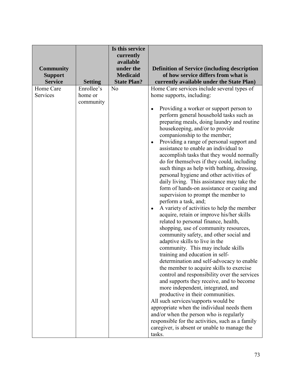| <b>Community</b><br><b>Support</b><br><b>Service</b> | <b>Setting</b>                     | Is this service<br>currently<br>available<br>under the<br><b>Medicaid</b><br><b>State Plan?</b> | <b>Definition of Service (including description</b><br>of how service differs from what is<br>currently available under the State Plan)                                                                                                                                                                                                                                                                                                                                                                                                                                                                                                                                                                                                                                                                                                                                                                                                                                                                                                                                                                                                                                                                                                                                                                                                                                                                                                                                                                                                                                                      |
|------------------------------------------------------|------------------------------------|-------------------------------------------------------------------------------------------------|----------------------------------------------------------------------------------------------------------------------------------------------------------------------------------------------------------------------------------------------------------------------------------------------------------------------------------------------------------------------------------------------------------------------------------------------------------------------------------------------------------------------------------------------------------------------------------------------------------------------------------------------------------------------------------------------------------------------------------------------------------------------------------------------------------------------------------------------------------------------------------------------------------------------------------------------------------------------------------------------------------------------------------------------------------------------------------------------------------------------------------------------------------------------------------------------------------------------------------------------------------------------------------------------------------------------------------------------------------------------------------------------------------------------------------------------------------------------------------------------------------------------------------------------------------------------------------------------|
| Home Care<br>Services                                | Enrollee's<br>home or<br>community | N <sub>o</sub>                                                                                  | Home Care services include several types of<br>home supports, including:<br>Providing a worker or support person to<br>perform general household tasks such as<br>preparing meals, doing laundry and routine<br>housekeeping, and/or to provide<br>companionship to the member;<br>Providing a range of personal support and<br>$\bullet$<br>assistance to enable an individual to<br>accomplish tasks that they would normally<br>do for themselves if they could, including<br>such things as help with bathing, dressing,<br>personal hygiene and other activities of<br>daily living. This assistance may take the<br>form of hands-on assistance or cueing and<br>supervision to prompt the member to<br>perform a task, and;<br>A variety of activities to help the member<br>$\bullet$<br>acquire, retain or improve his/her skills<br>related to personal finance, health,<br>shopping, use of community resources,<br>community safety, and other social and<br>adaptive skills to live in the<br>community. This may include skills<br>training and education in self-<br>determination and self-advocacy to enable<br>the member to acquire skills to exercise<br>control and responsibility over the services<br>and supports they receive, and to become<br>more independent, integrated, and<br>productive in their communities.<br>All such services/supports would be<br>appropriate when the individual needs them<br>and/or when the person who is regularly<br>responsible for the activities, such as a family<br>caregiver, is absent or unable to manage the<br>tasks. |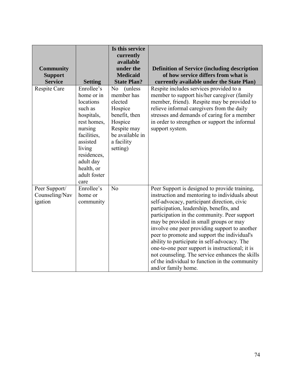| <b>Community</b><br><b>Support</b><br><b>Service</b> | <b>Setting</b>                                                                                                                                                                                  | Is this service<br>currently<br>available<br>under the<br><b>Medicaid</b><br><b>State Plan?</b>                                                        | <b>Definition of Service (including description</b><br>of how service differs from what is<br>currently available under the State Plan)                                                                                                                                                                                                                                                                                                                                                                                                                                                                              |
|------------------------------------------------------|-------------------------------------------------------------------------------------------------------------------------------------------------------------------------------------------------|--------------------------------------------------------------------------------------------------------------------------------------------------------|----------------------------------------------------------------------------------------------------------------------------------------------------------------------------------------------------------------------------------------------------------------------------------------------------------------------------------------------------------------------------------------------------------------------------------------------------------------------------------------------------------------------------------------------------------------------------------------------------------------------|
| Respite Care                                         | Enrollee's<br>home or in<br>locations<br>such as<br>hospitals,<br>rest homes,<br>nursing<br>facilities,<br>assisted<br>living<br>residences,<br>adult day<br>health, or<br>adult foster<br>care | N <sub>o</sub><br>(unless)<br>member has<br>elected<br>Hospice<br>benefit, then<br>Hospice<br>Respite may<br>be available in<br>a facility<br>setting) | Respite includes services provided to a<br>member to support his/her caregiver (family<br>member, friend). Respite may be provided to<br>relieve informal caregivers from the daily<br>stresses and demands of caring for a member<br>in order to strengthen or support the informal<br>support system.                                                                                                                                                                                                                                                                                                              |
| Peer Support/<br>Counseling/Nav<br>igation           | Enrollee's<br>home or<br>community                                                                                                                                                              | No                                                                                                                                                     | Peer Support is designed to provide training,<br>instruction and mentoring to individuals about<br>self-advocacy, participant direction, civic<br>participation, leadership, benefits, and<br>participation in the community. Peer support<br>may be provided in small groups or may<br>involve one peer providing support to another<br>peer to promote and support the individual's<br>ability to participate in self-advocacy. The<br>one-to-one peer support is instructional; it is<br>not counseling. The service enhances the skills<br>of the individual to function in the community<br>and/or family home. |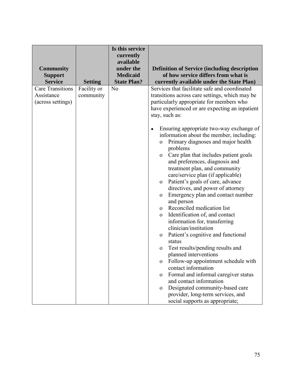| <b>Community</b><br><b>Support</b><br><b>Service</b>       | <b>Setting</b>           | Is this service<br>currently<br>available<br>under the<br><b>Medicaid</b><br><b>State Plan?</b> | <b>Definition of Service (including description</b><br>of how service differs from what is<br>currently available under the State Plan)                                                                                                                                                                                                                                                                                                                                                                                                                                                                                                                                                                                                                                                                                                                                                                                                                                                                                                                                                                                                                             |
|------------------------------------------------------------|--------------------------|-------------------------------------------------------------------------------------------------|---------------------------------------------------------------------------------------------------------------------------------------------------------------------------------------------------------------------------------------------------------------------------------------------------------------------------------------------------------------------------------------------------------------------------------------------------------------------------------------------------------------------------------------------------------------------------------------------------------------------------------------------------------------------------------------------------------------------------------------------------------------------------------------------------------------------------------------------------------------------------------------------------------------------------------------------------------------------------------------------------------------------------------------------------------------------------------------------------------------------------------------------------------------------|
| <b>Care Transitions</b><br>Assistance<br>(across settings) | Facility or<br>community | N <sub>o</sub>                                                                                  | Services that facilitate safe and coordinated<br>transitions across care settings, which may be<br>particularly appropriate for members who<br>have experienced or are expecting an inpatient<br>stay, such as:<br>Ensuring appropriate two-way exchange of<br>information about the member, including:<br>Primary diagnoses and major health<br>$\mathbf{O}$<br>problems<br>Care plan that includes patient goals<br>$\mathbf{O}$<br>and preferences, diagnosis and<br>treatment plan, and community<br>care/service plan (if applicable)<br>Patient's goals of care, advance<br>$\mathbf{O}$<br>directives, and power of attorney<br>Emergency plan and contact number<br>$\mathbf{O}$<br>and person<br>Reconciled medication list<br>$\Omega$<br>Identification of, and contact<br>$\mathbf 0$<br>information for, transferring<br>clinician/institution<br>Patient's cognitive and functional<br>$\mathbf 0$<br>status<br>Test results/pending results and<br>$\mathbf{O}$<br>planned interventions<br>Follow-up appointment schedule with<br>$\mathbf 0$<br>contact information<br>Formal and informal caregiver status<br>$\Omega$<br>and contact information |
|                                                            |                          |                                                                                                 | Designated community-based care<br>$\mathbf{O}$<br>provider, long-term services, and<br>social supports as appropriate;                                                                                                                                                                                                                                                                                                                                                                                                                                                                                                                                                                                                                                                                                                                                                                                                                                                                                                                                                                                                                                             |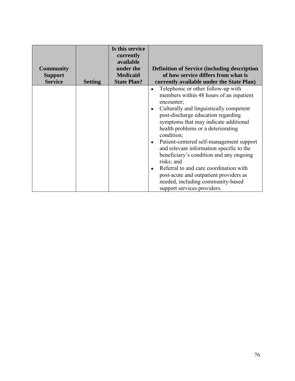| <b>Community</b> |                | Is this service<br>currently<br>available<br>under the | <b>Definition of Service (including description</b>                                                                                                                                                                                                                                                                                                                                                                                                                                                                                                                                |
|------------------|----------------|--------------------------------------------------------|------------------------------------------------------------------------------------------------------------------------------------------------------------------------------------------------------------------------------------------------------------------------------------------------------------------------------------------------------------------------------------------------------------------------------------------------------------------------------------------------------------------------------------------------------------------------------------|
| <b>Support</b>   |                | <b>Medicaid</b>                                        | of how service differs from what is                                                                                                                                                                                                                                                                                                                                                                                                                                                                                                                                                |
| <b>Service</b>   | <b>Setting</b> | <b>State Plan?</b>                                     | currently available under the State Plan)                                                                                                                                                                                                                                                                                                                                                                                                                                                                                                                                          |
|                  |                |                                                        | Telephonic or other follow-up with<br>members within 48 hours of an inpatient<br>encounter;<br>Culturally and linguistically competent<br>post-discharge education regarding<br>symptoms that may indicate additional<br>health problems or a deteriorating<br>condition;<br>Patient-centered self-management support<br>and relevant information specific to the<br>beneficiary's condition and any ongoing<br>risks; and<br>Referral to and care coordination with<br>post-acute and outpatient providers as<br>needed, including community-based<br>support services providers. |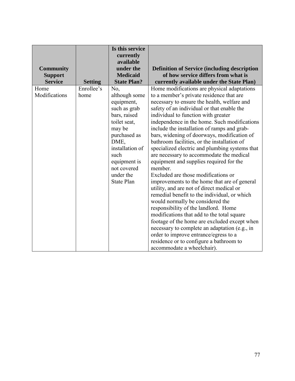|                  |                | Is this service                                  |                                                     |
|------------------|----------------|--------------------------------------------------|-----------------------------------------------------|
|                  |                | currently                                        |                                                     |
|                  |                | available                                        |                                                     |
| <b>Community</b> |                | under the                                        | <b>Definition of Service (including description</b> |
| <b>Support</b>   |                | <b>Medicaid</b>                                  | of how service differs from what is                 |
| <b>Service</b>   | <b>Setting</b> | <b>State Plan?</b>                               | currently available under the State Plan)           |
| Home             | Enrollee's     | No.                                              | Home modifications are physical adaptations         |
| Modifications    | home           | although some                                    | to a member's private residence that are            |
|                  |                | equipment,                                       | necessary to ensure the health, welfare and         |
|                  |                | such as grab                                     | safety of an individual or that enable the          |
|                  |                | bars, raised                                     | individual to function with greater                 |
|                  |                | toilet seat,                                     | independence in the home. Such modifications        |
|                  |                | may be                                           | include the installation of ramps and grab-         |
|                  |                | purchased as                                     | bars, widening of doorways, modification of         |
|                  |                | DME,                                             | bathroom facilities, or the installation of         |
|                  |                | installation of                                  | specialized electric and plumbing systems that      |
|                  |                | such                                             | are necessary to accommodate the medical            |
|                  |                | equipment is                                     | equipment and supplies required for the             |
|                  |                | not covered                                      | member.                                             |
|                  |                | under the<br>Excluded are those modifications or |                                                     |
|                  |                | <b>State Plan</b>                                | improvements to the home that are of general        |
|                  |                |                                                  | utility, and are not of direct medical or           |
|                  |                |                                                  | remedial benefit to the individual, or which        |
|                  |                |                                                  | would normally be considered the                    |
|                  |                |                                                  | responsibility of the landlord. Home                |
|                  |                |                                                  | modifications that add to the total square          |
|                  |                |                                                  | footage of the home are excluded except when        |
|                  |                |                                                  | necessary to complete an adaptation (e.g., in       |
|                  |                |                                                  | order to improve entrance/egress to a               |
|                  |                |                                                  | residence or to configure a bathroom to             |
|                  |                |                                                  | accommodate a wheelchair).                          |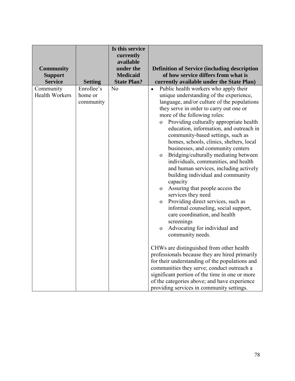| <b>Community</b>                   |                                    | Is this service<br>currently<br>available<br>under the<br><b>Medicaid</b> | <b>Definition of Service (including description</b><br>of how service differs from what is                                                                                                                                                                                                                                                                                                                                                                                                                                                                                                                                                                                                                                                                                                                                                                                                                                                 |
|------------------------------------|------------------------------------|---------------------------------------------------------------------------|--------------------------------------------------------------------------------------------------------------------------------------------------------------------------------------------------------------------------------------------------------------------------------------------------------------------------------------------------------------------------------------------------------------------------------------------------------------------------------------------------------------------------------------------------------------------------------------------------------------------------------------------------------------------------------------------------------------------------------------------------------------------------------------------------------------------------------------------------------------------------------------------------------------------------------------------|
| <b>Support</b><br><b>Service</b>   | <b>Setting</b>                     | <b>State Plan?</b>                                                        | currently available under the State Plan)                                                                                                                                                                                                                                                                                                                                                                                                                                                                                                                                                                                                                                                                                                                                                                                                                                                                                                  |
| Community<br><b>Health Workers</b> | Enrollee's<br>home or<br>community | N <sub>o</sub>                                                            | Public health workers who apply their<br>$\bullet$<br>unique understanding of the experience,<br>language, and/or culture of the populations<br>they serve in order to carry out one or<br>more of the following roles:<br>Providing culturally appropriate health<br>$\mathbf{O}$<br>education, information, and outreach in<br>community-based settings, such as<br>homes, schools, clinics, shelters, local<br>businesses, and community centers<br>Bridging/culturally mediating between<br>$\mathbf{O}$<br>individuals, communities, and health<br>and human services, including actively<br>building individual and community<br>capacity<br>Assuring that people access the<br>$\mathbf{O}$<br>services they need<br>Providing direct services, such as<br>$\mathbf{O}$<br>informal counseling, social support,<br>care coordination, and health<br>screenings<br>Advocating for individual and<br>$\mathbf{O}$<br>community needs. |
|                                    |                                    |                                                                           | CHWs are distinguished from other health<br>professionals because they are hired primarily<br>for their understanding of the populations and<br>communities they serve; conduct outreach a<br>significant portion of the time in one or more<br>of the categories above; and have experience<br>providing services in community settings.                                                                                                                                                                                                                                                                                                                                                                                                                                                                                                                                                                                                  |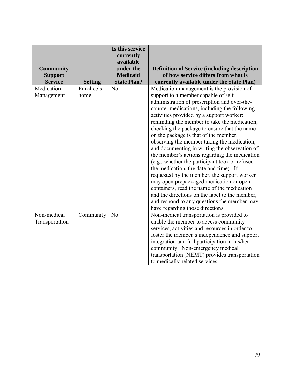| <b>Community</b><br><b>Support</b> |                    | Is this service<br>currently<br>available<br>under the<br><b>Medicaid</b> | <b>Definition of Service (including description</b><br>of how service differs from what is                                                                                                                                                                                                                                                                                                                                                                                                                                                                                                                                                                                                                                                                                                                                                                                                        |
|------------------------------------|--------------------|---------------------------------------------------------------------------|---------------------------------------------------------------------------------------------------------------------------------------------------------------------------------------------------------------------------------------------------------------------------------------------------------------------------------------------------------------------------------------------------------------------------------------------------------------------------------------------------------------------------------------------------------------------------------------------------------------------------------------------------------------------------------------------------------------------------------------------------------------------------------------------------------------------------------------------------------------------------------------------------|
| <b>Service</b>                     | <b>Setting</b>     | <b>State Plan?</b>                                                        | currently available under the State Plan)                                                                                                                                                                                                                                                                                                                                                                                                                                                                                                                                                                                                                                                                                                                                                                                                                                                         |
| Medication<br>Management           | Enrollee's<br>home | N <sub>o</sub>                                                            | Medication management is the provision of<br>support to a member capable of self-<br>administration of prescription and over-the-<br>counter medications, including the following<br>activities provided by a support worker:<br>reminding the member to take the medication;<br>checking the package to ensure that the name<br>on the package is that of the member;<br>observing the member taking the medication;<br>and documenting in writing the observation of<br>the member's actions regarding the medication<br>(e.g., whether the participant took or refused<br>the medication, the date and time). If<br>requested by the member, the support worker<br>may open prepackaged medication or open<br>containers, read the name of the medication<br>and the directions on the label to the member,<br>and respond to any questions the member may<br>have regarding those directions. |
| Non-medical<br>Transportation      | Community          | N <sub>o</sub>                                                            | Non-medical transportation is provided to<br>enable the member to access community<br>services, activities and resources in order to<br>foster the member's independence and support<br>integration and full participation in his/her<br>community. Non-emergency medical<br>transportation (NEMT) provides transportation<br>to medically-related services.                                                                                                                                                                                                                                                                                                                                                                                                                                                                                                                                      |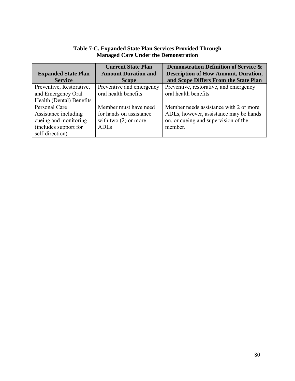| <b>Managed Care Under the Demonstration</b> |                                                                               |                                             |  |  |  |  |  |
|---------------------------------------------|-------------------------------------------------------------------------------|---------------------------------------------|--|--|--|--|--|
|                                             | <b>Demonstration Definition of Service &amp;</b><br><b>Current State Plan</b> |                                             |  |  |  |  |  |
| <b>Expanded State Plan</b>                  | <b>Amount Duration and</b>                                                    | <b>Description of How Amount, Duration,</b> |  |  |  |  |  |
| <b>Service</b>                              | <b>Scope</b>                                                                  | and Scope Differs From the State Plan       |  |  |  |  |  |
| Preventive, Restorative,                    | Preventive and emergency                                                      | Preventive, restorative, and emergency      |  |  |  |  |  |
| oral health benefits<br>and Emergency Oral  |                                                                               | oral health benefits                        |  |  |  |  |  |
| Health (Dental) Benefits                    |                                                                               |                                             |  |  |  |  |  |
| Personal Care                               | Member must have need                                                         | Member needs assistance with 2 or more      |  |  |  |  |  |
| Assistance including                        | for hands on assistance                                                       | ADLs, however, assistance may be hands      |  |  |  |  |  |
| cueing and monitoring                       | with two $(2)$ or more                                                        | on, or cueing and supervision of the        |  |  |  |  |  |
| (includes support for                       | <b>ADLs</b>                                                                   | member.                                     |  |  |  |  |  |
| self-direction)                             |                                                                               |                                             |  |  |  |  |  |

# **Table 7-C. Expanded State Plan Services Provided Through Managed Care Under the Demonstration**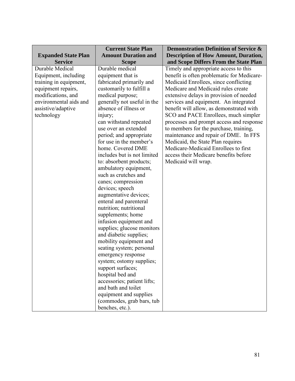|                            | <b>Current State Plan</b>   | <b>Demonstration Definition of Service &amp;</b> |
|----------------------------|-----------------------------|--------------------------------------------------|
| <b>Expanded State Plan</b> | <b>Amount Duration and</b>  | <b>Description of How Amount, Duration,</b>      |
| <b>Service</b>             | <b>Scope</b>                | and Scope Differs From the State Plan            |
| Durable Medical            | Durable medical             | Timely and appropriate access to this            |
| Equipment, including       | equipment that is           | benefit is often problematic for Medicare-       |
| training in equipment,     | fabricated primarily and    | Medicaid Enrollees, since conflicting            |
| equipment repairs,         | customarily to fulfill a    | Medicare and Medicaid rules create               |
| modifications, and         | medical purpose;            | extensive delays in provision of needed          |
| environmental aids and     | generally not useful in the | services and equipment. An integrated            |
| assistive/adaptive         | absence of illness or       | benefit will allow, as demonstrated with         |
| technology                 | injury;                     | SCO and PACE Enrollees, much simpler             |
|                            | can withstand repeated      | processes and prompt access and response         |
|                            | use over an extended        | to members for the purchase, training,           |
|                            | period; and appropriate     | maintenance and repair of DME. In FFS            |
|                            | for use in the member's     | Medicaid, the State Plan requires                |
|                            | home. Covered DME           | Medicare-Medicaid Enrollees to first             |
|                            | includes but is not limited | access their Medicare benefits before            |
|                            | to: absorbent products;     | Medicaid will wrap.                              |
|                            | ambulatory equipment,       |                                                  |
|                            | such as crutches and        |                                                  |
|                            | canes; compression          |                                                  |
|                            | devices; speech             |                                                  |
|                            | augmentative devices;       |                                                  |
|                            | enteral and parenteral      |                                                  |
|                            | nutrition; nutritional      |                                                  |
|                            | supplements; home           |                                                  |
|                            | infusion equipment and      |                                                  |
|                            | supplies; glucose monitors  |                                                  |
|                            | and diabetic supplies;      |                                                  |
|                            | mobility equipment and      |                                                  |
|                            | seating system; personal    |                                                  |
|                            | emergency response          |                                                  |
|                            | system; ostomy supplies;    |                                                  |
|                            | support surfaces;           |                                                  |
|                            | hospital bed and            |                                                  |
|                            | accessories; patient lifts; |                                                  |
|                            | and bath and toilet         |                                                  |
|                            | equipment and supplies      |                                                  |
|                            | (commodes, grab bars, tub   |                                                  |
|                            | benches, etc.).             |                                                  |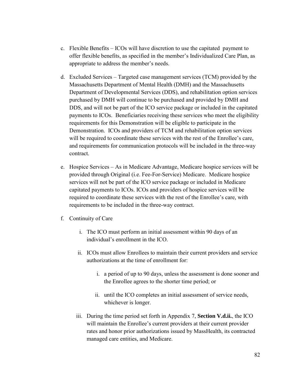- c. Flexible Benefits ICOs will have discretion to use the capitated payment to offer flexible benefits, as specified in the member's Individualized Care Plan, as appropriate to address the member's needs.
- d. Excluded Services Targeted case management services (TCM) provided by the Massachusetts Department of Mental Health (DMH) and the Massachusetts Department of Developmental Services (DDS), and rehabilitation option services purchased by DMH will continue to be purchased and provided by DMH and DDS, and will not be part of the ICO service package or included in the capitated payments to ICOs. Beneficiaries receiving these services who meet the eligibility requirements for this Demonstration will be eligible to participate in the Demonstration. ICOs and providers of TCM and rehabilitation option services will be required to coordinate these services with the rest of the Enrollee's care, and requirements for communication protocols will be included in the three-way contract.
- e. Hospice Services As in Medicare Advantage, Medicare hospice services will be provided through Original (i.e. Fee-For-Service) Medicare. Medicare hospice services will not be part of the ICO service package or included in Medicare capitated payments to ICOs. ICOs and providers of hospice services will be required to coordinate these services with the rest of the Enrollee's care, with requirements to be included in the three-way contract.
- f. Continuity of Care
	- i. The ICO must perform an initial assessment within 90 days of an individual's enrollment in the ICO.
	- ii. ICOs must allow Enrollees to maintain their current providers and service authorizations at the time of enrollment for:
		- i. a period of up to 90 days, unless the assessment is done sooner and the Enrollee agrees to the shorter time period; or
		- ii. until the ICO completes an initial assessment of service needs, whichever is longer.
	- iii. During the time period set forth in Appendix 7, **Section V.d.ii.**, the ICO will maintain the Enrollee's current providers at their current provider rates and honor prior authorizations issued by MassHealth, its contracted managed care entities, and Medicare.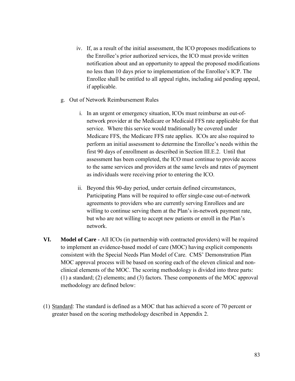- iv. If, as a result of the initial assessment, the ICO proposes modifications to the Enrollee's prior authorized services, the ICO must provide written notification about and an opportunity to appeal the proposed modifications no less than 10 days prior to implementation of the Enrollee's ICP. The Enrollee shall be entitled to all appeal rights, including aid pending appeal, if applicable.
- g. Out of Network Reimbursement Rules
	- i. In an urgent or emergency situation, ICOs must reimburse an out-ofnetwork provider at the Medicare or Medicaid FFS rate applicable for that service. Where this service would traditionally be covered under Medicare FFS, the Medicare FFS rate applies. ICOs are also required to perform an initial assessment to determine the Enrollee's needs within the first 90 days of enrollment as described in Section III.E.2. Until that assessment has been completed, the ICO must continue to provide access to the same services and providers at the same levels and rates of payment as individuals were receiving prior to entering the ICO.
	- ii. Beyond this 90-day period, under certain defined circumstances, Participating Plans will be required to offer single-case out-of-network agreements to providers who are currently serving Enrollees and are willing to continue serving them at the Plan's in-network payment rate, but who are not willing to accept new patients or enroll in the Plan's network.
- **VI. Model of Care -** All ICOs (in partnership with contracted providers) will be required to implement an evidence-based model of care (MOC) having explicit components consistent with the Special Needs Plan Model of Care. CMS' Demonstration Plan MOC approval process will be based on scoring each of the eleven clinical and nonclinical elements of the MOC. The scoring methodology is divided into three parts: (1) a standard; (2) elements; and (3) factors. These components of the MOC approval methodology are defined below:
- (1) Standard: The standard is defined as a MOC that has achieved a score of 70 percent or greater based on the scoring methodology described in Appendix 2.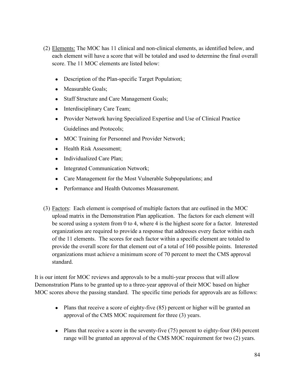- (2) Elements: The MOC has 11 clinical and non-clinical elements, as identified below, and each element will have a score that will be totaled and used to determine the final overall score. The 11 MOC elements are listed below:
	- Description of the Plan-specific Target Population;
	- Measurable Goals;
	- Staff Structure and Care Management Goals;
	- Interdisciplinary Care Team;
	- Provider Network having Specialized Expertise and Use of Clinical Practice Guidelines and Protocols;
	- MOC Training for Personnel and Provider Network;
	- Health Risk Assessment;
	- Individualized Care Plan;
	- Integrated Communication Network;
	- Care Management for the Most Vulnerable Subpopulations; and
	- Performance and Health Outcomes Measurement.
- (3) Factors: Each element is comprised of multiple factors that are outlined in the MOC upload matrix in the Demonstration Plan application. The factors for each element will be scored using a system from 0 to 4, where 4 is the highest score for a factor. Interested organizations are required to provide a response that addresses every factor within each of the 11 elements. The scores for each factor within a specific element are totaled to provide the overall score for that element out of a total of 160 possible points. Interested organizations must achieve a minimum score of 70 percent to meet the CMS approval standard.

It is our intent for MOC reviews and approvals to be a multi-year process that will allow Demonstration Plans to be granted up to a three-year approval of their MOC based on higher MOC scores above the passing standard. The specific time periods for approvals are as follows:

- Plans that receive a score of eighty-five (85) percent or higher will be granted an approval of the CMS MOC requirement for three (3) years.
- Plans that receive a score in the seventy-five (75) percent to eighty-four (84) percent range will be granted an approval of the CMS MOC requirement for two (2) years.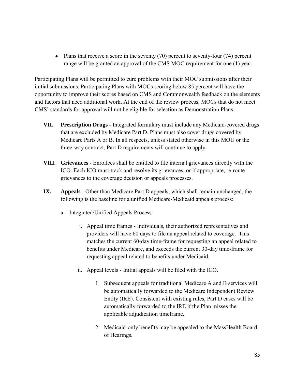• Plans that receive a score in the seventy  $(70)$  percent to seventy-four  $(74)$  percent range will be granted an approval of the CMS MOC requirement for one (1) year.

Participating Plans will be permitted to cure problems with their MOC submissions after their initial submissions. Participating Plans with MOCs scoring below 85 percent will have the opportunity to improve their scores based on CMS and Commonwealth feedback on the elements and factors that need additional work. At the end of the review process, MOCs that do not meet CMS' standards for approval will not be eligible for selection as Demonstration Plans.

- **VII. Prescription Drugs** Integrated formulary must include any Medicaid-covered drugs that are excluded by Medicare Part D. Plans must also cover drugs covered by Medicare Parts A or B. In all respects, unless stated otherwise in this MOU or the three-way contract, Part D requirements will continue to apply.
- **VIII. Grievances** Enrollees shall be entitled to file internal grievances directly with the ICO. Each ICO must track and resolve its grievances, or if appropriate, re-route grievances to the coverage decision or appeals processes.
- **IX. Appeals** Other than Medicare Part D appeals, which shall remain unchanged, the following is the baseline for a unified Medicare-Medicaid appeals process:
	- a. Integrated/Unified Appeals Process:
		- i. Appeal time frames Individuals, their authorized representatives and providers will have 60 days to file an appeal related to coverage. This matches the current 60-day time-frame for requesting an appeal related to benefits under Medicare, and exceeds the current 30-day time-frame for requesting appeal related to benefits under Medicaid.
		- ii. Appeal levels Initial appeals will be filed with the ICO.
			- 1. Subsequent appeals for traditional Medicare A and B services will be automatically forwarded to the Medicare Independent Review Entity (IRE). Consistent with existing rules, Part D cases will be automatically forwarded to the IRE if the Plan misses the applicable adjudication timeframe.
			- 2. Medicaid-only benefits may be appealed to the MassHealth Board of Hearings.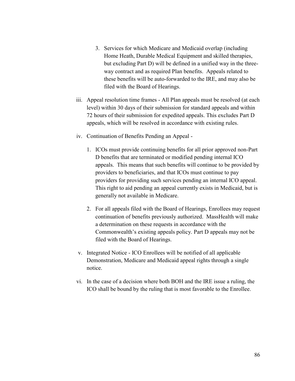- 3. Services for which Medicare and Medicaid overlap (including Home Heath, Durable Medical Equipment and skilled therapies, but excluding Part D) will be defined in a unified way in the threeway contract and as required Plan benefits. Appeals related to these benefits will be auto-forwarded to the IRE, and may also be filed with the Board of Hearings.
- iii. Appeal resolution time frames All Plan appeals must be resolved (at each level) within 30 days of their submission for standard appeals and within 72 hours of their submission for expedited appeals. This excludes Part D appeals, which will be resolved in accordance with existing rules.
- iv. Continuation of Benefits Pending an Appeal
	- 1. ICOs must provide continuing benefits for all prior approved non-Part D benefits that are terminated or modified pending internal ICO appeals. This means that such benefits will continue to be provided by providers to beneficiaries, and that ICOs must continue to pay providers for providing such services pending an internal ICO appeal. This right to aid pending an appeal currently exists in Medicaid, but is generally not available in Medicare.
	- 2. For all appeals filed with the Board of Hearings, Enrollees may request continuation of benefits previously authorized. MassHealth will make a determination on these requests in accordance with the Commonwealth's existing appeals policy. Part D appeals may not be filed with the Board of Hearings.
- v. Integrated Notice ICO Enrollees will be notified of all applicable Demonstration, Medicare and Medicaid appeal rights through a single notice.
- vi. In the case of a decision where both BOH and the IRE issue a ruling, the ICO shall be bound by the ruling that is most favorable to the Enrollee.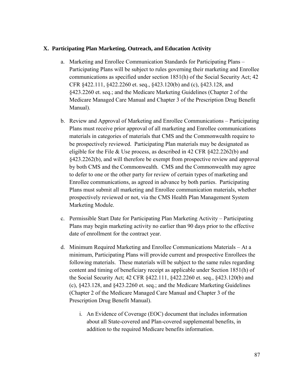## **X. Participating Plan Marketing, Outreach, and Education Activity**

- a. Marketing and Enrollee Communication Standards for Participating Plans Participating Plans will be subject to rules governing their marketing and Enrollee communications as specified under section 1851(h) of the Social Security Act; 42 CFR §422.111, §422.2260 et. seq., §423.120(b) and (c), §423.128, and §423.2260 et. seq.; and the Medicare Marketing Guidelines (Chapter 2 of the Medicare Managed Care Manual and Chapter 3 of the Prescription Drug Benefit Manual).
- b. Review and Approval of Marketing and Enrollee Communications Participating Plans must receive prior approval of all marketing and Enrollee communications materials in categories of materials that CMS and the Commonwealth require to be prospectively reviewed. Participating Plan materials may be designated as eligible for the File & Use process, as described in 42 CFR §422.2262(b) and §423.2262(b), and will therefore be exempt from prospective review and approval by both CMS and the Commonwealth. CMS and the Commonwealth may agree to defer to one or the other party for review of certain types of marketing and Enrollee communications, as agreed in advance by both parties. Participating Plans must submit all marketing and Enrollee communication materials, whether prospectively reviewed or not, via the CMS Health Plan Management System Marketing Module.
- c. Permissible Start Date for Participating Plan Marketing Activity Participating Plans may begin marketing activity no earlier than 90 days prior to the effective date of enrollment for the contract year.
- d. Minimum Required Marketing and Enrollee Communications Materials At a minimum, Participating Plans will provide current and prospective Enrollees the following materials. These materials will be subject to the same rules regarding content and timing of beneficiary receipt as applicable under Section 1851(h) of the Social Security Act; 42 CFR §422.111, §422.2260 et. seq., §423.120(b) and (c), §423.128, and §423.2260 et. seq.; and the Medicare Marketing Guidelines (Chapter 2 of the Medicare Managed Care Manual and Chapter 3 of the Prescription Drug Benefit Manual).
	- i. An Evidence of Coverage (EOC) document that includes information about all State-covered and Plan-covered supplemental benefits, in addition to the required Medicare benefits information.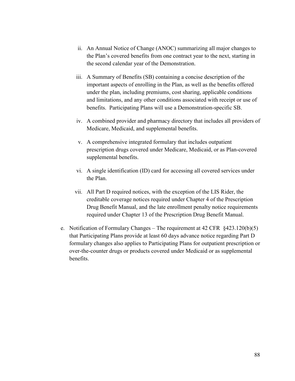- ii. An Annual Notice of Change (ANOC) summarizing all major changes to the Plan's covered benefits from one contract year to the next, starting in the second calendar year of the Demonstration.
- iii. A Summary of Benefits (SB) containing a concise description of the important aspects of enrolling in the Plan, as well as the benefits offered under the plan, including premiums, cost sharing, applicable conditions and limitations, and any other conditions associated with receipt or use of benefits. Participating Plans will use a Demonstration-specific SB.
- iv. A combined provider and pharmacy directory that includes all providers of Medicare, Medicaid, and supplemental benefits.
- v. A comprehensive integrated formulary that includes outpatient prescription drugs covered under Medicare, Medicaid, or as Plan-covered supplemental benefits.
- vi. A single identification (ID) card for accessing all covered services under the Plan.
- vii. All Part D required notices, with the exception of the LIS Rider, the creditable coverage notices required under Chapter 4 of the Prescription Drug Benefit Manual, and the late enrollment penalty notice requirements required under Chapter 13 of the Prescription Drug Benefit Manual.
- e. Notification of Formulary Changes The requirement at 42 CFR §423.120(b)(5) that Participating Plans provide at least 60 days advance notice regarding Part D formulary changes also applies to Participating Plans for outpatient prescription or over-the-counter drugs or products covered under Medicaid or as supplemental benefits.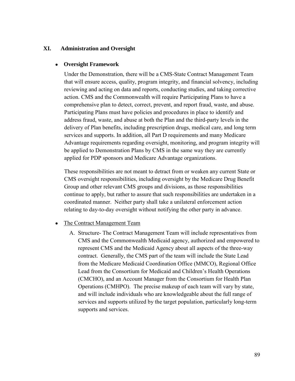## **XI. Administration and Oversight**

#### ● **Oversight Framework**

Under the Demonstration, there will be a CMS-State Contract Management Team that will ensure access, quality, program integrity, and financial solvency, including reviewing and acting on data and reports, conducting studies, and taking corrective action. CMS and the Commonwealth will require Participating Plans to have a comprehensive plan to detect, correct, prevent, and report fraud, waste, and abuse. Participating Plans must have policies and procedures in place to identify and address fraud, waste, and abuse at both the Plan and the third-party levels in the delivery of Plan benefits, including prescription drugs, medical care, and long term services and supports. In addition, all Part D requirements and many Medicare Advantage requirements regarding oversight, monitoring, and program integrity will be applied to Demonstration Plans by CMS in the same way they are currently applied for PDP sponsors and Medicare Advantage organizations.

These responsibilities are not meant to detract from or weaken any current State or CMS oversight responsibilities, including oversight by the Medicare Drug Benefit Group and other relevant CMS groups and divisions, as those responsibilities continue to apply, but rather to assure that such responsibilities are undertaken in a coordinated manner. Neither party shall take a unilateral enforcement action relating to day-to-day oversight without notifying the other party in advance.

- The Contract Management Team
	- A. Structure- The Contract Management Team will include representatives from CMS and the Commonwealth Medicaid agency, authorized and empowered to represent CMS and the Medicaid Agency about all aspects of the three-way contract. Generally, the CMS part of the team will include the State Lead from the Medicare Medicaid Coordination Office (MMCO), Regional Office Lead from the Consortium for Medicaid and Children's Health Operations (CMCHO), and an Account Manager from the Consortium for Health Plan Operations (CMHPO). The precise makeup of each team will vary by state, and will include individuals who are knowledgeable about the full range of services and supports utilized by the target population, particularly long-term supports and services.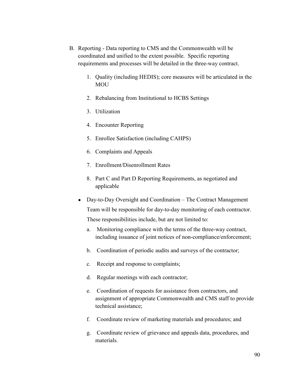- B. Reporting Data reporting to CMS and the Commonwealth will be coordinated and unified to the extent possible. Specific reporting requirements and processes will be detailed in the three-way contract.
	- 1. Quality (including HEDIS); core measures will be articulated in the MOU
	- 2. Rebalancing from Institutional to HCBS Settings
	- 3. Utilization
	- 4. Encounter Reporting
	- 5. Enrollee Satisfaction (including CAHPS)
	- 6. Complaints and Appeals
	- 7. Enrollment/Disenrollment Rates
	- 8. Part C and Part D Reporting Requirements, as negotiated and applicable
	- Day-to-Day Oversight and Coordination The Contract Management Team will be responsible for day-to-day monitoring of each contractor. These responsibilities include, but are not limited to:
		- a. Monitoring compliance with the terms of the three-way contract, including issuance of joint notices of non-compliance/enforcement;
		- b. Coordination of periodic audits and surveys of the contractor;
		- c. Receipt and response to complaints;
		- d. Regular meetings with each contractor;
		- e. Coordination of requests for assistance from contractors, and assignment of appropriate Commonwealth and CMS staff to provide technical assistance;
		- f. Coordinate review of marketing materials and procedures; and
		- g. Coordinate review of grievance and appeals data, procedures, and materials.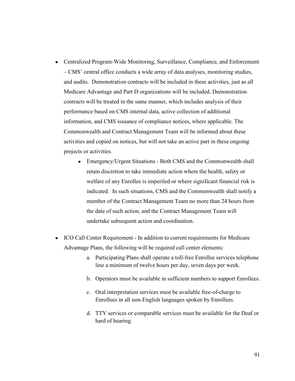- Centralized Program-Wide Monitoring, Surveillance, Compliance, and Enforcement – CMS' central office conducts a wide array of data analyses, monitoring studies, and audits. Demonstration contracts will be included in these activities, just as all Medicare Advantage and Part D organizations will be included. Demonstration contracts will be treated in the same manner, which includes analysis of their performance based on CMS internal data, active collection of additional information, and CMS issuance of compliance notices, where applicable. The Commonwealth and Contract Management Team will be informed about these activities and copied on notices, but will not take an active part in these ongoing projects or activities.
	- Emergency/Urgent Situations Both CMS and the Commonwealth shall retain discretion to take immediate action where the health, safety or welfare of any Enrollee is imperiled or where significant financial risk is indicated. In such situations, CMS and the Commonwealth shall notify a member of the Contract Management Team no more than 24 hours from the date of such action, and the Contract Management Team will undertake subsequent action and coordination.
- ICO Call Center Requirement In addition to current requirements for Medicare Advantage Plans, the following will be required call center elements:
	- a. Participating Plans shall operate a toll-free Enrollee services telephone line a minimum of twelve hours per day, seven days per week.
	- b. Operators must be available in sufficient numbers to support Enrollees.
	- c. Oral interpretation services must be available free-of-charge to Enrollees in all non-English languages spoken by Enrollees.
	- d. TTY services or comparable services must be available for the Deaf or hard of hearing.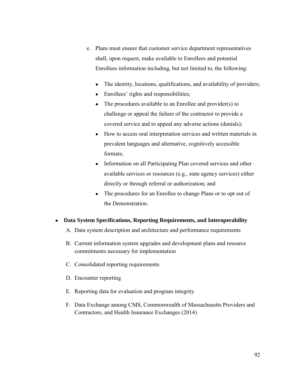- e. Plans must ensure that customer service department representatives shall, upon request, make available to Enrollees and potential Enrollees information including, but not limited to, the following:
	- The identity, locations, qualifications, and availability of providers;
	- Enrollees' rights and responsibilities;
	- The procedures available to an Enrollee and provider(s) to challenge or appeal the failure of the contractor to provide a covered service and to appeal any adverse actions (denials);
	- How to access oral interpretation services and written materials in prevalent languages and alternative, cognitively accessible formats;
	- Information on all Participating Plan covered services and other available services or resources (e.g., state agency services) either directly or through referral or authorization; and
	- The procedures for an Enrollee to change Plans or to opt out of the Demonstration.
- **Data System Specifications, Reporting Requirements, and Interoperability**
	- A. Data system description and architecture and performance requirements
	- B. Current information system upgrades and development plans and resource commitments necessary for implementation
	- C. Consolidated reporting requirements
	- D. Encounter reporting
	- E. Reporting data for evaluation and program integrity
	- F. Data Exchange among CMS, Commonwealth of Massachusetts Providers and Contractors, and Health Insurance Exchanges (2014)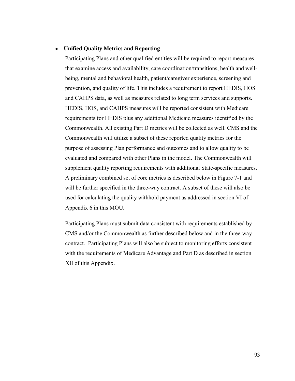#### ● **Unified Quality Metrics and Reporting**

Participating Plans and other qualified entities will be required to report measures that examine access and availability, care coordination/transitions, health and wellbeing, mental and behavioral health, patient/caregiver experience, screening and prevention, and quality of life. This includes a requirement to report HEDIS, HOS and CAHPS data, as well as measures related to long term services and supports. HEDIS, HOS, and CAHPS measures will be reported consistent with Medicare requirements for HEDIS plus any additional Medicaid measures identified by the Commonwealth. All existing Part D metrics will be collected as well. CMS and the Commonwealth will utilize a subset of these reported quality metrics for the purpose of assessing Plan performance and outcomes and to allow quality to be evaluated and compared with other Plans in the model. The Commonwealth will supplement quality reporting requirements with additional State-specific measures. A preliminary combined set of core metrics is described below in Figure 7-1 and will be further specified in the three-way contract. A subset of these will also be used for calculating the quality withhold payment as addressed in section VI of Appendix 6 in this MOU.

Participating Plans must submit data consistent with requirements established by CMS and/or the Commonwealth as further described below and in the three-way contract. Participating Plans will also be subject to monitoring efforts consistent with the requirements of Medicare Advantage and Part D as described in section XII of this Appendix.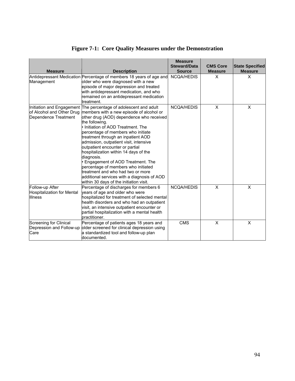# **Figure 7-1: Core Quality Measures under the Demonstration**

| <b>Measure</b>                                                                 | <b>Description</b>                                                                                                                                                                                                                                                                                                                                                                                                                                                                                                                                                                                                 | <b>Measure</b><br><b>Steward/Data</b><br><b>Source</b> | <b>CMS Core</b><br><b>Measure</b> | <b>State Specified</b><br><b>Measure</b> |
|--------------------------------------------------------------------------------|--------------------------------------------------------------------------------------------------------------------------------------------------------------------------------------------------------------------------------------------------------------------------------------------------------------------------------------------------------------------------------------------------------------------------------------------------------------------------------------------------------------------------------------------------------------------------------------------------------------------|--------------------------------------------------------|-----------------------------------|------------------------------------------|
| Management                                                                     | Antidepressant Medication Percentage of members 18 years of age and<br>older who were diagnosed with a new<br>episode of major depression and treated<br>with antidepressant medication, and who<br>remained on an antidepressant medication<br>treatment.                                                                                                                                                                                                                                                                                                                                                         | <b>NCQA/HEDIS</b>                                      | X                                 | X                                        |
| Initiation and Engagement<br>of Alcohol and Other Drug<br>Dependence Treatment | The percentage of adolescent and adult<br>members with a new episode of alcohol or<br>other drug (AOD) dependence who received<br>the following.<br>• Initiation of AOD Treatment. The<br>percentage of members who initiate<br>treatment through an inpatient AOD<br>admission, outpatient visit, intensive<br>outpatient encounter or partial<br>hospitalization within 14 days of the<br>diagnosis.<br>· Engagement of AOD Treatment. The<br>percentage of members who initiated<br>treatment and who had two or more<br>additional services with a diagnosis of AOD<br>within 30 days of the initiation visit. | <b>NCQA/HEDIS</b>                                      | X                                 | X                                        |
| Follow-up After<br>Hospitalization for Mental<br><b>Illness</b>                | Percentage of discharges for members 6<br>years of age and older who were<br>hospitalized for treatment of selected mental<br>health disorders and who had an outpatient<br>visit, an intensive outpatient encounter or<br>partial hospitalization with a mental health<br>practitioner.                                                                                                                                                                                                                                                                                                                           | <b>NCQA/HEDIS</b>                                      | $\times$                          | X                                        |
| Screening for Clinical<br>Depression and Follow-up<br>Care                     | Percentage of patients ages 18 years and<br>older screened for clinical depression using<br>a standardized tool and follow-up plan<br>documented.                                                                                                                                                                                                                                                                                                                                                                                                                                                                  | <b>CMS</b>                                             | X                                 | X                                        |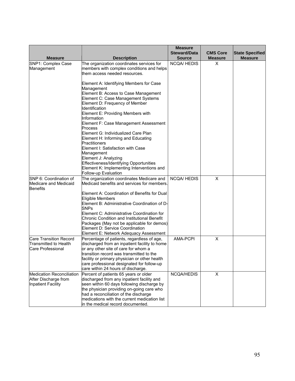|                                                                                |                                                                                                                                                                                                                                                                                                                                                                                                                                                                                                                     | <b>Measure</b>                       |                                   |                                          |
|--------------------------------------------------------------------------------|---------------------------------------------------------------------------------------------------------------------------------------------------------------------------------------------------------------------------------------------------------------------------------------------------------------------------------------------------------------------------------------------------------------------------------------------------------------------------------------------------------------------|--------------------------------------|-----------------------------------|------------------------------------------|
| <b>Measure</b>                                                                 | <b>Description</b>                                                                                                                                                                                                                                                                                                                                                                                                                                                                                                  | <b>Steward/Data</b><br><b>Source</b> | <b>CMS Core</b><br><b>Measure</b> | <b>State Specified</b><br><b>Measure</b> |
| SNP1: Complex Case                                                             | The organization coordinates services for                                                                                                                                                                                                                                                                                                                                                                                                                                                                           | <b>NCQA/HEDIS</b>                    | X                                 |                                          |
| Management                                                                     | members with complex conditions and helps<br>them access needed resources.                                                                                                                                                                                                                                                                                                                                                                                                                                          |                                      |                                   |                                          |
|                                                                                | Element A: Identifying Members for Case<br>Management<br>Element B: Access to Case Management<br>Element C: Case Management Systems<br>Element D: Frequency of Member<br>Identification<br>Element E: Providing Members with<br>Information<br>Element F: Case Management Assessment<br>Process<br>Element G: Individualized Care Plan<br>Element H: Informing and Educating<br>Practitioners<br>Element I: Satisfaction with Case<br>Management<br>Element J: Analyzing<br>Effectiveness/Identifying Opportunities |                                      |                                   |                                          |
|                                                                                | Element K: Implementing Interventions and                                                                                                                                                                                                                                                                                                                                                                                                                                                                           |                                      |                                   |                                          |
|                                                                                | Follow-up Evaluation                                                                                                                                                                                                                                                                                                                                                                                                                                                                                                |                                      |                                   |                                          |
| SNP 6: Coordination of<br>Medicare and Medicaid<br>Benefits                    | The organization coordinates Medicare and<br>Medicaid benefits and services for members.                                                                                                                                                                                                                                                                                                                                                                                                                            | <b>NCQA/HEDIS</b>                    | $\pmb{\times}$                    |                                          |
|                                                                                | Element A: Coordination of Benefits for Dual<br>Eligible Members<br>Element B: Administrative Coordination of D-<br><b>SNPs</b><br>Element C: Administrative Coordination for<br>Chronic Condition and Institutional Benefit<br>Packages (May not be applicable for demos)<br>Element D: Service Coordination<br>Element E: Network Adequacy Assessment                                                                                                                                                             |                                      |                                   |                                          |
| Care Transition Record                                                         | Percentage of patients, regardless of age,                                                                                                                                                                                                                                                                                                                                                                                                                                                                          | <b>AMA-PCPI</b>                      | $\mathsf{X}$                      |                                          |
| <b>Transmitted to Health</b><br>Care Professional                              | discharged from an inpatient facility to home<br>or any other site of care for whom a<br>transition record was transmitted to the<br>facility or primary physician or other health<br>care professional designated for follow-up<br>care within 24 hours of discharge.                                                                                                                                                                                                                                              |                                      |                                   |                                          |
| <b>Medication Reconciliation</b><br>After Discharge from<br>Inpatient Facility | Percent of patients 65 years or older<br>discharged from any inpatient facility and<br>seen within 60 days following discharge by<br>the physician providing on-going care who<br>had a reconciliation of the discharge<br>medications with the current medication list<br>in the medical record documented.                                                                                                                                                                                                        | NCQA/HEDIS                           | $\mathsf{x}$                      |                                          |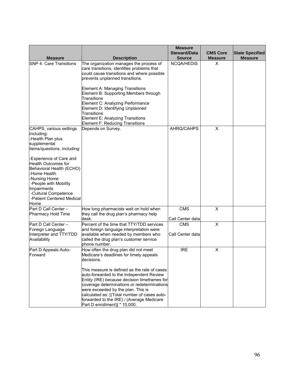|                                                                                                                                                                                                                                                                                                                                    |                                                                                                                                                                                                                                                                                                                                                                                                                                                              | <b>Measure</b>                       |                                   |                                          |
|------------------------------------------------------------------------------------------------------------------------------------------------------------------------------------------------------------------------------------------------------------------------------------------------------------------------------------|--------------------------------------------------------------------------------------------------------------------------------------------------------------------------------------------------------------------------------------------------------------------------------------------------------------------------------------------------------------------------------------------------------------------------------------------------------------|--------------------------------------|-----------------------------------|------------------------------------------|
| <b>Measure</b>                                                                                                                                                                                                                                                                                                                     | <b>Description</b>                                                                                                                                                                                                                                                                                                                                                                                                                                           | <b>Steward/Data</b><br><b>Source</b> | <b>CMS Core</b><br><b>Measure</b> | <b>State Specified</b><br><b>Measure</b> |
| <b>SNP 4: Care Transitions</b>                                                                                                                                                                                                                                                                                                     | The organization manages the process of<br>care transitions, identifies problems that<br>could cause transitions and where possible<br>prevents unplanned transitions.<br><b>Element A: Managing Transitions</b><br>Element B: Supporting Members through<br>Transitions<br>Element C: Analyzing Performance<br>Element D: Identifying Unplanned<br>Transitions<br>Element E; Analyzing Transitions<br>Element F: Reducing Transitions                       | NCQA/HEDIS                           | X                                 |                                          |
| CAHPS, various settings<br>including:<br>Health Plan plus<br>supplemental<br>items/questions, including:<br>-Experience of Care and<br><b>Health Outcomes for</b><br>Behavioral Health (ECHO)<br>Home Health<br>-Nursing Home<br>-People with Mobility<br>Impairments<br>-Cultural Competence<br>-Patient Centered Medical<br>Home | Depends on Survey.                                                                                                                                                                                                                                                                                                                                                                                                                                           | AHRQ/CAHPS                           | X                                 |                                          |
| Part D Call Center -<br>Pharmacy Hold Time                                                                                                                                                                                                                                                                                         | How long pharmacists wait on hold when<br>they call the drug plan's pharmacy help<br>desk.                                                                                                                                                                                                                                                                                                                                                                   | <b>CMS</b><br>Call Center data       | $\pmb{\times}$                    |                                          |
| Part D Call Center -<br>Foreign Language<br>Interpreter and TTY/TDD<br>Availability                                                                                                                                                                                                                                                | Percent of the time that TTY/TDD services<br>and foreign language interpretation were<br>available when needed by members who<br>called the drug plan's customer service<br>phone number.                                                                                                                                                                                                                                                                    | <b>CMS</b><br>Call Center data       | $\mathsf X$                       |                                          |
| Part D Appeals Auto-<br>Forward                                                                                                                                                                                                                                                                                                    | How often the drug plan did not meet<br>Medicare's deadlines for timely appeals<br>decisions.<br>This measure is defined as the rate of cases<br>auto-forwarded to the Independent Review<br>Entity (IRE) because decision timeframes for<br>coverage determinations or redeterminations<br>were exceeded by the plan. This is<br>calculated as: [(Total number of cases auto-<br>forwarded to the IRE) / (Average Medicare<br>Part D enrollment)] * 10,000. | <b>IRE</b>                           | X                                 |                                          |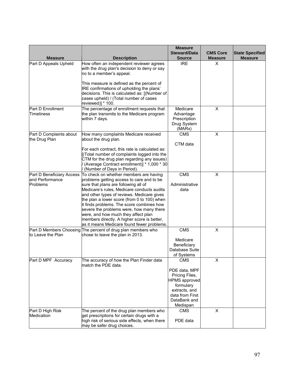| <b>Measure</b>                                           | <b>Description</b>                                                                                                                                                                                                                                                                                                                                                                                                                                                                                  | <b>Measure</b><br><b>Steward/Data</b><br><b>Source</b>                                                                                                    | <b>CMS Core</b><br><b>Measure</b> | <b>State Specified</b><br><b>Measure</b> |
|----------------------------------------------------------|-----------------------------------------------------------------------------------------------------------------------------------------------------------------------------------------------------------------------------------------------------------------------------------------------------------------------------------------------------------------------------------------------------------------------------------------------------------------------------------------------------|-----------------------------------------------------------------------------------------------------------------------------------------------------------|-----------------------------------|------------------------------------------|
| Part D Appeals Upheld                                    | How often an independent reviewer agrees<br>with the drug plan's decision to deny or say<br>no to a member's appeal.<br>This measure is defined as the percent of<br>IRE confirmations of upholding the plans'<br>decisions. This is calculated as: [(Number of<br>cases upheld) / (Total number of cases<br>reviewed)] * 100.                                                                                                                                                                      | <b>IRE</b>                                                                                                                                                | X                                 |                                          |
| Part D Enrollment<br><b>Timeliness</b>                   | The percentage of enrollment requests that<br>the plan transmits to the Medicare program<br>within 7 days.                                                                                                                                                                                                                                                                                                                                                                                          | Medicare<br>Advantage<br>Prescription<br>Drug System<br>(MARx)                                                                                            | $\pmb{\times}$                    |                                          |
| Part D Complaints about<br>the Drug Plan                 | How many complaints Medicare received<br>about the drug plan.<br>For each contract, this rate is calculated as:<br>(Total number of complaints logged into the<br>CTM for the drug plan regarding any issues)<br>(Average Contract enrollment)] * 1,000 * 30<br>(Number of Days in Period).                                                                                                                                                                                                         | <b>CMS</b><br>CTM data                                                                                                                                    | $\pmb{\times}$                    |                                          |
| Part D Beneficiary Access<br>and Performance<br>Problems | To check on whether members are having<br>problems getting access to care and to be<br>sure that plans are following all of<br>Medicare's rules, Medicare conducts audits<br>and other types of reviews. Medicare gives<br>the plan a lower score (from 0 to 100) when<br>it finds problems. The score combines how<br>severe the problems were, how many there<br>were, and how much they affect plan<br>members directly. A higher score is better,<br>as it means Medicare found fewer problems. | <b>CMS</b><br>Administrative<br>data                                                                                                                      | X                                 |                                          |
| to Leave the Plan                                        | Part D Members Choosing The percent of drug plan members who<br>chose to leave the plan in 2013.                                                                                                                                                                                                                                                                                                                                                                                                    | CMS<br>Medicare<br>Beneficiary<br>Database Suite<br>of Systems                                                                                            | X                                 |                                          |
| Part D MPF Accuracy<br>Part D High Risk                  | The accuracy of how the Plan Finder data<br>match the PDE data.<br>The percent of the drug plan members who                                                                                                                                                                                                                                                                                                                                                                                         | CMS<br>PDE data, MPF<br>Pricing Files,<br><b>HPMS</b> approved<br>formulary<br>extracts, and<br>data from First<br>DataBank and<br>Medispan<br><b>CMS</b> | X<br>X                            |                                          |
| Medication                                               | get prescriptions for certain drugs with a<br>high risk of serious side effects, when there<br>may be safer drug choices.                                                                                                                                                                                                                                                                                                                                                                           | PDE data                                                                                                                                                  |                                   |                                          |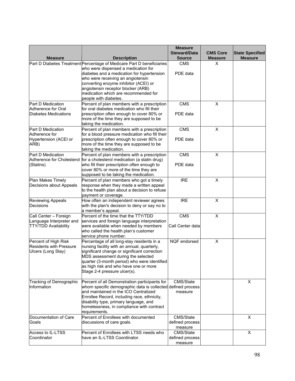|                                                        |                                                                                           | <b>Measure</b><br><b>Steward/Data</b> | <b>CMS Core</b> | <b>State Specified</b> |
|--------------------------------------------------------|-------------------------------------------------------------------------------------------|---------------------------------------|-----------------|------------------------|
| <b>Measure</b>                                         | <b>Description</b>                                                                        | <b>Source</b>                         | <b>Measure</b>  | <b>Measure</b>         |
|                                                        | Part D Diabetes Treatment Percentage of Medicare Part D beneficiaries                     | <b>CMS</b>                            | X               |                        |
|                                                        | who were dispensed a medication for                                                       |                                       |                 |                        |
|                                                        | diabetes and a medication for hypertension                                                | PDE data                              |                 |                        |
|                                                        | who were receiving an angiotensin                                                         |                                       |                 |                        |
|                                                        | converting enzyme inhibitor (ACEI) or<br>angiotensin receptor blocker (ARB)               |                                       |                 |                        |
|                                                        | medication which are recommended for                                                      |                                       |                 |                        |
|                                                        | people with diabetes.                                                                     |                                       |                 |                        |
| Part D Medication                                      | Percent of plan members with a prescription                                               | <b>CMS</b>                            | $\pmb{\times}$  |                        |
| Adherence for Oral                                     | for oral diabetes medication who fill their                                               |                                       |                 |                        |
| Diabetes Medications                                   | prescription often enough to cover 80% or                                                 | PDE data                              |                 |                        |
|                                                        | more of the time they are supposed to be                                                  |                                       |                 |                        |
|                                                        | taking the medication.                                                                    |                                       |                 |                        |
| Part D Medication                                      | Percent of plan members with a prescription                                               | CMS                                   | $\pmb{\times}$  |                        |
| Adherence for                                          | for a blood pressure medication who fill their                                            | PDE data                              |                 |                        |
| Hypertension (ACEI or<br>ARB)                          | prescription often enough to cover 80% or<br>more of the time they are supposed to be     |                                       |                 |                        |
|                                                        | taking the medication.                                                                    |                                       |                 |                        |
| Part D Medication                                      | Percent of plan members with a prescription                                               | <b>CMS</b>                            | $\pmb{\times}$  |                        |
| Adherence for Cholesterol                              | for a cholesterol medication (a statin drug)                                              |                                       |                 |                        |
| (Statins)                                              | who fill their prescription often enough to                                               | PDE data                              |                 |                        |
|                                                        | cover 80% or more of the time they are                                                    |                                       |                 |                        |
|                                                        | supposed to be taking the medication.                                                     |                                       |                 |                        |
| Plan Makes Timely                                      | Percent of plan members who got a timely                                                  | <b>IRE</b>                            | X               |                        |
| Decisions about Appeals                                | response when they made a written appeal                                                  |                                       |                 |                        |
|                                                        | to the health plan about a decision to refuse                                             |                                       |                 |                        |
| Reviewing Appeals                                      | payment or coverage.<br>How often an independent reviewer agrees                          | <b>IRE</b>                            | $\pmb{\times}$  |                        |
| Decisions                                              | with the plan's decision to deny or say no to                                             |                                       |                 |                        |
|                                                        | a member's appeal.                                                                        |                                       |                 |                        |
| Call Center - Foreign                                  | Percent of the time that the TTY/TDD                                                      | CMS                                   | $\pmb{\times}$  |                        |
| Language Interpreter and                               | services and foreign language interpretation                                              |                                       |                 |                        |
| <b>TTY/TDD Availability</b>                            | were available when needed by members                                                     | Call Center data                      |                 |                        |
|                                                        | who called the health plan's customer                                                     |                                       |                 |                        |
|                                                        | service phone number.                                                                     |                                       |                 |                        |
| Percent of High Risk<br><b>Residents with Pressure</b> | Percentage of all long-stay residents in a<br>nursing facility with an annual, quarterly, | NQF endorsed                          | X               |                        |
| Ulcers (Long Stay)                                     | significant change or significant correction                                              |                                       |                 |                        |
|                                                        | MDS assessment during the selected                                                        |                                       |                 |                        |
|                                                        | quarter (3-month period) who were identified                                              |                                       |                 |                        |
|                                                        | as high risk and who have one or more                                                     |                                       |                 |                        |
|                                                        | Stage 2-4 pressure ulcer(s).                                                              |                                       |                 |                        |
|                                                        |                                                                                           |                                       |                 |                        |
| Tracking of Demographic                                | Percent of all Demonstration participants for                                             | CMS/State                             |                 | X                      |
| Information                                            | whom specific demographic data is collected defined process                               |                                       |                 |                        |
|                                                        | and maintained in the ICO Centralized<br>Enrollee Record, including race, ethnicity,      | measure                               |                 |                        |
|                                                        | disability type, primary language, and                                                    |                                       |                 |                        |
|                                                        | homelessness, in compliance with contract                                                 |                                       |                 |                        |
|                                                        | requirements.                                                                             |                                       |                 |                        |
| Documentation of Care                                  | Percent of Enrollees with documented                                                      | CMS/State                             |                 | X                      |
| Goals                                                  | discussions of care goals.                                                                | defined process                       |                 |                        |
|                                                        |                                                                                           | measure                               |                 |                        |
| Access to IL-LTSS                                      | Percent of Enrollees with LTSS needs who                                                  | CMS/State                             |                 | $\mathsf{X}$           |
| Coordinator                                            | have an IL-LTSS Coordinator.                                                              | defined process<br>measure            |                 |                        |
|                                                        |                                                                                           |                                       |                 |                        |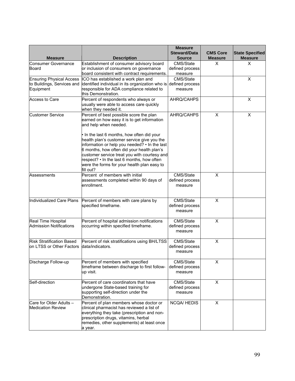| <b>Measure</b>                                                             | <b>Description</b>                                                                                                                                                                                                                                                                                                                                        | <b>Measure</b><br><b>Steward/Data</b><br><b>Source</b> | <b>CMS Core</b><br><b>Measure</b> | <b>State Specified</b><br><b>Measure</b> |
|----------------------------------------------------------------------------|-----------------------------------------------------------------------------------------------------------------------------------------------------------------------------------------------------------------------------------------------------------------------------------------------------------------------------------------------------------|--------------------------------------------------------|-----------------------------------|------------------------------------------|
| <b>Consumer Governance</b><br>Board                                        | Establishment of consumer advisory board<br>or inclusion of consumers on governance<br>board consistent with contract requirements.                                                                                                                                                                                                                       | CMS/State<br>defined process<br>measure                | X                                 | X                                        |
| <b>Ensuring Physical Access</b><br>to Buildings, Services and<br>Equipment | ICO has established a work plan and<br>identified individual in its organization who is defined process<br>responsible for ADA compliance related to<br>this Demonstration.                                                                                                                                                                               | CMS/State<br>measure                                   |                                   | X                                        |
| Access to Care                                                             | Percent of respondents who always or<br>usually were able to access care quickly<br>when they needed it.                                                                                                                                                                                                                                                  | AHRQ/CAHPS                                             |                                   | X                                        |
| <b>Customer Service</b>                                                    | Percent of best possible score the plan<br>earned on how easy it is to get information<br>and help when needed.<br>In the last 6 months, how often did your<br>health plan's customer service give you the<br>information or help you needed? • In the last<br>6 months, how often did your health plan's<br>customer service treat you with courtesy and | AHRQ/CAHPS                                             | X                                 | X                                        |
|                                                                            | respect? • In the last 6 months, how often<br>were the forms for your health plan easy to<br>fill out?                                                                                                                                                                                                                                                    |                                                        |                                   |                                          |
| Assessments                                                                | Percent of members with initial<br>assessments completed within 90 days of<br>enrollment.                                                                                                                                                                                                                                                                 | CMS/State<br>defined process<br>measure                | X                                 |                                          |
| Individualized Care Plans                                                  | Percent of members with care plans by<br>specified timeframe.                                                                                                                                                                                                                                                                                             | CMS/State<br>defined process<br>measure                | X                                 |                                          |
| Real Time Hospital<br><b>Admission Notifications</b>                       | Percent of hospital admission notifications<br>occurring within specified timeframe.                                                                                                                                                                                                                                                                      | CMS/State<br>defined process<br>measure                | X                                 |                                          |
| <b>Risk Stratification Based</b><br>on LTSS or Other Factors               | Percent of risk stratifications using BH/LTSS<br>data/indicators.                                                                                                                                                                                                                                                                                         | CMS/State<br>defined process<br>measure                | X                                 |                                          |
| Discharge Follow-up                                                        | Percent of members with specified<br>timeframe between discharge to first follow-<br>up visit.                                                                                                                                                                                                                                                            | CMS/State<br>defined process<br>measure                | Χ                                 |                                          |
| Self-direction                                                             | Percent of care coordinators that have<br>undergone State-based training for<br>supporting self-direction under the<br>Demonstration.                                                                                                                                                                                                                     | CMS/State<br>defined process<br>measure                | X                                 |                                          |
| Care for Older Adults -<br><b>Medication Review</b>                        | Percent of plan members whose doctor or<br>clinical pharmacist has reviewed a list of<br>everything they take (prescription and non-<br>prescription drugs, vitamins, herbal<br>remedies, other supplements) at least once<br>a year.                                                                                                                     | <b>NCQA/HEDIS</b>                                      | X                                 |                                          |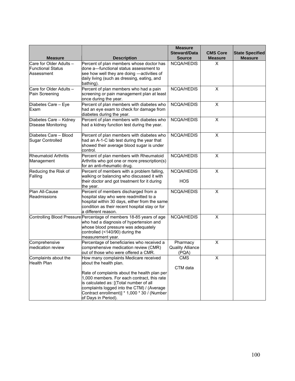|                                                                   |                                                                                                                                                                                                                                                                                                                                | <b>Measure</b><br><b>Steward/Data</b>        | <b>CMS Core</b> | <b>State Specified</b> |
|-------------------------------------------------------------------|--------------------------------------------------------------------------------------------------------------------------------------------------------------------------------------------------------------------------------------------------------------------------------------------------------------------------------|----------------------------------------------|-----------------|------------------------|
| <b>Measure</b>                                                    | <b>Description</b>                                                                                                                                                                                                                                                                                                             | <b>Source</b>                                | <b>Measure</b>  | <b>Measure</b>         |
| Care for Older Adults -<br><b>Functional Status</b><br>Assessment | Percent of plan members whose doctor has<br>done a-functional status assessment to<br>see how well they are doing -activities of<br>daily living (such as dressing, eating, and<br>bathing).                                                                                                                                   | <b>NCQA/HEDIS</b>                            | X               |                        |
| Care for Older Adults -<br>Pain Screening                         | Percent of plan members who had a pain<br>screening or pain management plan at least<br>once during the year.                                                                                                                                                                                                                  | NCQA/HEDIS                                   | X               |                        |
| Diabetes Care - Eye<br>Exam                                       | Percent of plan members with diabetes who<br>had an eye exam to check for damage from<br>diabetes during the year.                                                                                                                                                                                                             | NCQA/HEDIS                                   | $\pmb{\times}$  |                        |
| Diabetes Care - Kidney<br>Disease Monitoring                      | Percent of plan members with diabetes who<br>had a kidney function test during the year.                                                                                                                                                                                                                                       | <b>NCQA/HEDIS</b>                            | X               |                        |
| Diabetes Care - Blood<br>Sugar Controlled                         | Percent of plan members with diabetes who<br>had an A-1-C lab test during the year that<br>showed their average blood sugar is under<br>control.                                                                                                                                                                               | NCQA/HEDIS                                   | X               |                        |
| Rheumatoid Arthritis<br>Management                                | Percent of plan members with Rheumatoid<br>Arthritis who got one or more prescription(s)<br>for an anti-rheumatic drug.                                                                                                                                                                                                        | NCQA/HEDIS                                   | $\pmb{\times}$  |                        |
| Reducing the Risk of<br>Falling                                   | Percent of members with a problem falling,<br>walking or balancing who discussed it with<br>their doctor and got treatment for it during<br>the year.                                                                                                                                                                          | <b>NCQA/HEDIS</b><br><b>HOS</b>              | $\pmb{\times}$  |                        |
| Plan All-Cause<br>Readmissions                                    | Percent of members discharged from a<br>hospital stay who were readmitted to a<br>hospital within 30 days, either from the same<br>condition as their recent hospital stay or for<br>a different reason.                                                                                                                       | NCQA/HEDIS                                   | X               |                        |
|                                                                   | Controlling Blood Pressure Percentage of members 18-85 years of age<br>who had a diagnosis of hypertension and<br>whose blood pressure was adequately<br>controlled (<140/90) during the<br>measurement year.                                                                                                                  | <b>NCQA/HEDIS</b>                            | X               |                        |
| Comprehensive<br>medication review                                | Percentage of beneficiaries who received a<br>comprehensive medication review (CMR)<br>out of those who were offered a CMR.                                                                                                                                                                                                    | Pharmacy<br><b>Quality Alliance</b><br>(PQA) | X               |                        |
| Complaints about the<br><b>Health Plan</b>                        | How many complaints Medicare received<br>about the health plan.<br>Rate of complaints about the health plan per<br>1,000 members. For each contract, this rate<br>is calculated as: [(Total number of all<br>complaints logged into the CTM) / (Average<br>Contract enrollment)] * 1,000 * 30 / (Number<br>of Days in Period). | <b>CMS</b><br>CTM data                       | X               |                        |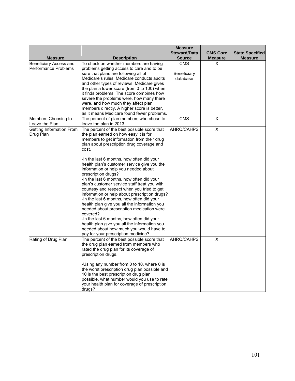|                                                 |                                                                                                                                                                                                                                                                                                                                                                                                                                                                                                                                                                                                                                                                                                                                                                                                                                                                                      | <b>Measure</b><br><b>Steward/Data</b> | <b>CMS Core</b>         | <b>State Specified</b> |
|-------------------------------------------------|--------------------------------------------------------------------------------------------------------------------------------------------------------------------------------------------------------------------------------------------------------------------------------------------------------------------------------------------------------------------------------------------------------------------------------------------------------------------------------------------------------------------------------------------------------------------------------------------------------------------------------------------------------------------------------------------------------------------------------------------------------------------------------------------------------------------------------------------------------------------------------------|---------------------------------------|-------------------------|------------------------|
| <b>Measure</b>                                  | <b>Description</b>                                                                                                                                                                                                                                                                                                                                                                                                                                                                                                                                                                                                                                                                                                                                                                                                                                                                   | <b>Source</b>                         | <b>Measure</b>          | <b>Measure</b>         |
| Beneficiary Access and<br>lPerformance Problems | To check on whether members are having<br>problems getting access to care and to be<br>sure that plans are following all of<br>Medicare's rules, Medicare conducts audits<br>and other types of reviews. Medicare gives<br>the plan a lower score (from 0 to 100) when<br>it finds problems. The score combines how<br>severe the problems were, how many there<br>were, and how much they affect plan<br>members directly. A higher score is better,                                                                                                                                                                                                                                                                                                                                                                                                                                | <b>CMS</b><br>Beneficiary<br>database | X                       |                        |
|                                                 | as it means Medicare found fewer problems.                                                                                                                                                                                                                                                                                                                                                                                                                                                                                                                                                                                                                                                                                                                                                                                                                                           |                                       |                         |                        |
| Members Choosing to<br>Leave the Plan           | The percent of plan members who chose to<br>leave the plan in 2013.                                                                                                                                                                                                                                                                                                                                                                                                                                                                                                                                                                                                                                                                                                                                                                                                                  | <b>CMS</b>                            | $\pmb{\times}$          |                        |
| Getting Information From<br>Drug Plan           | The percent of the best possible score that<br>the plan earned on how easy it is for<br>members to get information from their drug<br>plan about prescription drug coverage and<br>cost.<br>-In the last 6 months, how often did your<br>health plan's customer service give you the<br>information or help you needed about<br>prescription drugs?<br>-In the last 6 months, how often did your<br>plan's customer service staff treat you with<br>courtesy and respect when you tried to get<br>information or help about prescription drugs?<br>-In the last 6 months, how often did your<br>health plan give you all the information you<br>needed about prescription medication were<br>covered?<br>-In the last 6 months, how often did your<br>health plan give you all the information you<br>needed about how much you would have to<br>pay for your prescription medicine? | AHRQ/CAHPS                            | $\mathsf X$             |                        |
| Rating of Drug Plan                             | The percent of the best possible score that<br>the drug plan earned from members who<br>rated the drug plan for its coverage of<br>prescription drugs.<br>-Using any number from 0 to 10, where 0 is<br>the worst prescription drug plan possible and<br>10 is the best prescription drug plan<br>possible, what number would you use to rate<br>your health plan for coverage of prescription<br>drugs?                                                                                                                                                                                                                                                                                                                                                                                                                                                                             | AHRQ/CAHPS                            | $\overline{\mathsf{x}}$ |                        |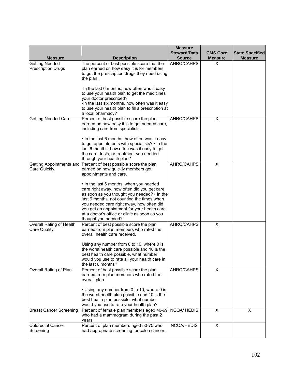|                                                    |                                                                                                                                                                                                                                                                                                                                                       | <b>Measure</b><br><b>Steward/Data</b> | <b>CMS Core</b> | <b>State Specified</b> |
|----------------------------------------------------|-------------------------------------------------------------------------------------------------------------------------------------------------------------------------------------------------------------------------------------------------------------------------------------------------------------------------------------------------------|---------------------------------------|-----------------|------------------------|
| <b>Measure</b>                                     | <b>Description</b>                                                                                                                                                                                                                                                                                                                                    | <b>Source</b>                         | <b>Measure</b>  | <b>Measure</b>         |
| <b>Getting Needed</b><br><b>Prescription Drugs</b> | The percent of best possible score that the<br>plan earned on how easy it is for members<br>to get the prescription drugs they need using<br>the plan.                                                                                                                                                                                                | AHRQ/CAHPS                            | X               |                        |
|                                                    | -In the last 6 months, how often was it easy<br>to use your health plan to get the medicines<br>your doctor prescribed?<br>-In the last six months, how often was it easy<br>to use your health plan to fill a prescription at<br>a local pharmacy?                                                                                                   |                                       |                 |                        |
| <b>Getting Needed Care</b>                         | Percent of best possible score the plan<br>earned on how easy it is to get needed care,<br>including care from specialists.<br>In the last 6 months, how often was it easy<br>to get appointments with specialists? • In the<br>last 6 months, how often was it easy to get<br>the care, tests, or treatment you needed                               | AHRQ/CAHPS                            | X               |                        |
|                                                    | through your health plan?                                                                                                                                                                                                                                                                                                                             |                                       |                 |                        |
| Getting Appointments and<br>Care Quickly           | Percent of best possible score the plan<br>earned on how quickly members get<br>appointments and care.                                                                                                                                                                                                                                                | AHRQ/CAHPS                            | X               |                        |
|                                                    | In the last 6 months, when you needed<br>care right away, how often did you get care<br>as soon as you thought you needed? • In the<br>last 6 months, not counting the times when<br>you needed care right away, how often did<br>you get an appointment for your health care<br>at a doctor's office or clinic as soon as you<br>thought you needed? |                                       |                 |                        |
| Overall Rating of Health<br><b>Care Quality</b>    | Percent of best possible score the plan<br>earned from plan members who rated the<br>overall health care received.<br>Using any number from 0 to 10, where 0 is<br>the worst health care possible and 10 is the<br>best health care possible, what number<br>would you use to rate all your health care in<br>the last 6 months?                      | AHRQ/CAHPS                            | X               |                        |
| Overall Rating of Plan                             | Percent of best possible score the plan<br>earned from plan members who rated the<br>overall plan.<br>Using any number from 0 to 10, where 0 is<br>the worst health plan possible and 10 is the<br>best health plan possible, what number<br>would you use to rate your health plan?                                                                  | AHRQ/CAHPS                            | X               |                        |
| <b>Breast Cancer Screening</b>                     | Percent of female plan members aged 40-69<br>who had a mammogram during the past 2<br>years.                                                                                                                                                                                                                                                          | <b>NCQA/HEDIS</b>                     | X               | X                      |
| <b>Colorectal Cancer</b>                           | Percent of plan members aged 50-75 who                                                                                                                                                                                                                                                                                                                | NCQA/HEDIS                            | X               |                        |
| Screening                                          | had appropriate screening for colon cancer.                                                                                                                                                                                                                                                                                                           |                                       |                 |                        |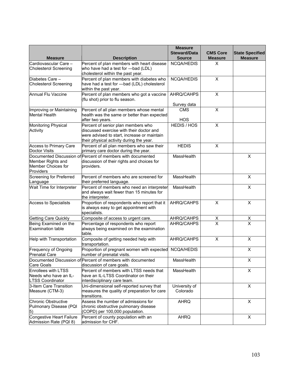| <b>Measure</b>                                                          | <b>Description</b>                                                                                                                                                        | <b>Measure</b><br><b>Steward/Data</b><br><b>Source</b> | <b>CMS Core</b><br><b>Measure</b> | <b>State Specified</b><br><b>Measure</b> |
|-------------------------------------------------------------------------|---------------------------------------------------------------------------------------------------------------------------------------------------------------------------|--------------------------------------------------------|-----------------------------------|------------------------------------------|
| Cardiovascular Care -<br><b>Cholesterol Screening</b>                   | Percent of plan members with heart disease<br>who have had a test for -bad (LDL)<br>cholesterol within the past year.                                                     | NCQA/HEDIS                                             | X                                 |                                          |
| Diabetes Care -<br>Cholesterol Screening                                | Percent of plan members with diabetes who<br>have had a test for - bad (LDL) cholesterol<br>within the past year.                                                         | NCQA/HEDIS                                             | X                                 |                                          |
| Annual Flu Vaccine                                                      | Percent of plan members who got a vaccine<br>(flu shot) prior to flu season.                                                                                              | AHRQ/CAHPS<br>Survey data                              | X                                 |                                          |
| Improving or Maintaining<br><b>Mental Health</b>                        | Percent of all plan members whose mental<br>health was the same or better than expected<br>after two years.                                                               | <b>CMS</b><br><b>HOS</b>                               | X                                 |                                          |
| Monitoring Physical<br>Activity                                         | Percent of senior plan members who<br>discussed exercise with their doctor and<br>were advised to start, increase or maintain<br>their physical activity during the year. | HEDIS / HOS                                            | $\pmb{\times}$                    |                                          |
| Access to Primary Care<br>Doctor Visits                                 | Percent of all plan members who saw their<br>primary care doctor during the year.                                                                                         | <b>HEDIS</b>                                           | $\pmb{\times}$                    |                                          |
| Member Rights and<br>Member Choices for<br>Providers                    | Documented Discussion of Percent of members with documented<br>discussion of their rights and choices for<br>providers.                                                   | MassHealth                                             |                                   | X                                        |
| <b>Screening for Preferred</b><br>Language                              | Percent of members who are screened for<br>their preferred language.                                                                                                      | MassHealth                                             |                                   | $\overline{\mathsf{x}}$                  |
| Wait Time for Interpreter                                               | Percent of members who need an interpreter<br>and always wait fewer than 15 minutes for<br>the interpreter.                                                               | MassHealth                                             |                                   | X                                        |
| <b>Access to Specialists</b>                                            | Proportion of respondents who report that it<br>is always easy to get appointment with<br>specialists.                                                                    | AHRQ/CAHPS                                             | $\pmb{\times}$                    | X                                        |
| <b>Getting Care Quickly</b>                                             | Composite of access to urgent care.                                                                                                                                       | AHRQ/CAHPS                                             | $\frac{x}{x}$                     | $\frac{x}{x}$                            |
| Being Examined on the<br><b>Examination table</b>                       | Percentage of respondents who report<br>always being examined on the examination<br>table.                                                                                | AHRQ/CAHPS                                             |                                   |                                          |
| Help with Transportation                                                | Composite of getting needed help with<br>transportation.                                                                                                                  | AHRQ/CAHPS                                             | X                                 | X                                        |
| Frequency of Ongoing<br>Prenatal Care                                   | Proportion of pregnant women with expected<br>number of prenatal visits.                                                                                                  | NCQA/HEDIS                                             |                                   | X                                        |
| Care Goals                                                              | Documented Discussion of Percent of members with documented<br>discussion of care goals.                                                                                  | MassHealth                                             |                                   | X                                        |
| Enrollees with LTSS<br>Needs who have an IL-<br><b>LTSS Coordinator</b> | Percent of members with LTSS needs that<br>have an IL-LTSS Coordinator on their<br>interdisciplinary care team.                                                           | MassHealth                                             |                                   | X                                        |
| 3-Item Care Transition<br>Measure (CTM-3)                               | Uni-dimensional self-reported survey that<br>measures the quality of preparation for care<br>transitions.                                                                 | University of<br>Colorado                              |                                   | X                                        |
| Chronic Obstructive<br>Pulmonary Disease (PQI<br>5)                     | Assess the number of admissions for<br>chronic obstructive pulmonary disease<br>(COPD) per 100,000 population.                                                            | <b>AHRQ</b>                                            |                                   | X                                        |
| Congestive Heart Failure<br>Admission Rate (PQI 8)                      | Percent of county population with an<br>admission for CHF.                                                                                                                | <b>AHRQ</b>                                            |                                   | X                                        |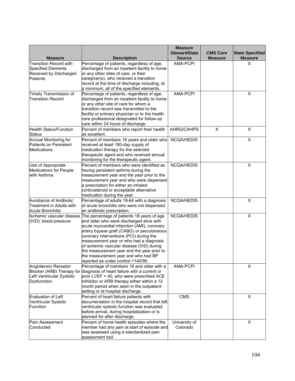| <b>Measure</b>                                                                                   | <b>Description</b>                                                                                                                                                                                                                                                                                                                                                                                                                                | <b>Measure</b><br><b>Steward/Data</b><br><b>Source</b> | <b>CMS Core</b><br><b>Measure</b> | <b>State Specified</b><br><b>Measure</b> |
|--------------------------------------------------------------------------------------------------|---------------------------------------------------------------------------------------------------------------------------------------------------------------------------------------------------------------------------------------------------------------------------------------------------------------------------------------------------------------------------------------------------------------------------------------------------|--------------------------------------------------------|-----------------------------------|------------------------------------------|
| <b>Transition Record with</b><br><b>Specified Elements</b><br>Received by Discharged<br>Patients | Percentage of patients, regardless of age,<br>discharged from an inpatient facility to home<br>or any other sites of care, or their<br>caregiver(s), who received a transition<br>record at the time of discharge including, at<br>a minimum, all of the specified elements.                                                                                                                                                                      | <b>AMA-PCPI</b>                                        |                                   | X                                        |
| Timely Transmission of<br><b>Transition Record</b>                                               | Percentage of patients, regardless of age,<br>discharged from an inpatient facility to home<br>or any other site of care for whom a<br>transition record was transmitted to the<br>facility or primary physician or to the health<br>care professional designated for follow-up<br>care within 24 hours of discharge.                                                                                                                             | <b>AMA-PCPI</b>                                        |                                   | X                                        |
| <b>Health Status/Function</b><br><b>Status</b>                                                   | Percent of members who report their health<br>as excellent.                                                                                                                                                                                                                                                                                                                                                                                       | AHRQ/CAHPS                                             | X                                 | X                                        |
| Annual Monitoring for<br>Patients on Persistent<br>Medications                                   | Percent of members 18 years and older who<br>received at least 180-day supply of<br>medication therapy for the selected<br>therapeutic agent and who received annual<br>monitoring for the therapeutic agent.                                                                                                                                                                                                                                     | NCQA/HEDIS                                             |                                   | X                                        |
| Use of Appropriate<br><b>Medications for People</b><br>with Asthma                               | Percent of members who were identified as<br>having persistent asthma during the<br>measurement year and the year prior to the<br>measurement year and who were dispensed<br>a prescription for either an inhaled<br>corticosteroid or acceptable alternative<br>medication during the year.                                                                                                                                                      | NCQA/HEDIS                                             |                                   | X                                        |
| Avoidance of Antibiotic<br>Treatment in Adults with<br><b>Acute Bronchitis</b>                   | Percentage of adults 18-64 with a diagnosis<br>of acute bronchitis who were not dispensed<br>an antibiotic prescription.                                                                                                                                                                                                                                                                                                                          | NCQA/HEDIS                                             |                                   | X                                        |
| Ilschemic vascular disease<br>(IVD): blood pressure                                              | The percentage of patients 18 years of age<br>and older who were discharged alive with<br>acute myocardial infarction (AMI), coronary<br>artery bypass graft (CABG) or percutaneous<br>coronary interventions (PCI) during the<br>measurement year or who had a diagnosis<br>of ischemic vascular disease (IVD) during<br>the measurement year and the year prior to<br>the measurement year and who had BP<br>reported as under control <140/90. | NCQA/HEDIS                                             |                                   | X                                        |
| Angiotensin Receptor<br>Blocker (ARB) Therapy for<br>Left Ventricular Systolic<br>Dysfunction    | Percentage of members 18 and older with a<br>diagnosis of heart failure with a current or<br>prior LVEF < 40, who were prescribed ACE<br>inihibitor or ARB therapy either within a 12<br>month period when seen in the outpatient<br>setting or at hospital discharge.                                                                                                                                                                            | AMA-PCPI                                               |                                   | X                                        |
| Evaluation of Left<br>Ventricular Systolic<br>Function                                           | Percent of heart failure patients with<br>documentation in the hospital record that left<br>ventricular systolic function was evaluated<br>before arrival, during hospitalization or is<br>planned for after discharge.                                                                                                                                                                                                                           | CMS                                                    |                                   | X                                        |
| Pain Assessment<br>Conducted                                                                     | Percent of home health episodes where the<br>member had any pain at start of episode and<br>was assessed using a standardized pain<br>assessment tool.                                                                                                                                                                                                                                                                                            | University of<br>Colorado                              |                                   | X                                        |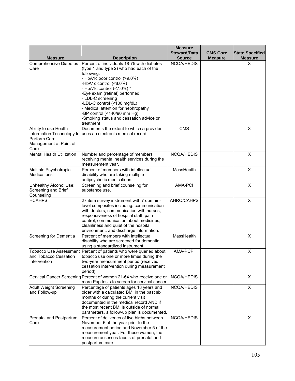| <b>Measure</b>                                     | <b>Description</b>                                                                          | <b>Measure</b><br><b>Steward/Data</b><br><b>Source</b> | <b>CMS Core</b><br><b>Measure</b> | <b>State Specified</b><br><b>Measure</b> |
|----------------------------------------------------|---------------------------------------------------------------------------------------------|--------------------------------------------------------|-----------------------------------|------------------------------------------|
| <b>Comprehensive Diabetes</b><br>Care              | Percent of individuals 18-75 with diabetes<br>(type 1 and type 2) who had each of the       | NCQA/HEDIS                                             |                                   | X                                        |
|                                                    | following:                                                                                  |                                                        |                                   |                                          |
|                                                    | HbA1c poor control (>9.0%)<br>-HbA1c control (<8.0%)                                        |                                                        |                                   |                                          |
|                                                    | HbA1c control (<7.0%) *                                                                     |                                                        |                                   |                                          |
|                                                    | -Eye exam (retinal) performed                                                               |                                                        |                                   |                                          |
|                                                    | LDL-C screening                                                                             |                                                        |                                   |                                          |
|                                                    | -LDL-C control (<100 mg/dL)<br>Medical attention for nephropathy                            |                                                        |                                   |                                          |
|                                                    | -BP control (<140/90 mm Hg)                                                                 |                                                        |                                   |                                          |
|                                                    | -Smoking status and cessation advice or                                                     |                                                        |                                   |                                          |
|                                                    | treatment                                                                                   |                                                        |                                   |                                          |
| Ability to use Health<br>Information Technology to | Documents the extent to which a provider<br>uses an electronic medical record.              | <b>CMS</b>                                             |                                   | X                                        |
| Perform Care                                       |                                                                                             |                                                        |                                   |                                          |
| Management at Point of                             |                                                                                             |                                                        |                                   |                                          |
| Care                                               |                                                                                             |                                                        |                                   | X                                        |
| Mental Health Utilization                          | Number and percentage of members<br>receiving mental health services during the             | NCQA/HEDIS                                             |                                   |                                          |
|                                                    | measurement year.                                                                           |                                                        |                                   |                                          |
| Multiple Psychotropic                              | Percent of members with intellectual                                                        | MassHealth                                             |                                   | X                                        |
| <b>Medications</b>                                 | disability who are taking multiple                                                          |                                                        |                                   |                                          |
| Unhealthy Alcohol Use:                             | antipsychotic medications.<br>Screening and brief counseling for                            | AMA-PCI                                                |                                   | X                                        |
| Screening and Brief                                | substance use.                                                                              |                                                        |                                   |                                          |
| Counseling                                         |                                                                                             |                                                        |                                   |                                          |
| <b>HCAHPS</b>                                      | 27 item survey instrument with 7 domain-                                                    | AHRQ/CAHPS                                             |                                   | X                                        |
|                                                    | level composites including: communication<br>with doctors, communication with nurses,       |                                                        |                                   |                                          |
|                                                    | responsiveness of hospital staff, pain                                                      |                                                        |                                   |                                          |
|                                                    | control, communication about medicines,                                                     |                                                        |                                   |                                          |
|                                                    | cleanliness and quiet of the hospital                                                       |                                                        |                                   |                                          |
| Screening for Dementia                             | environment, and discharge information.<br>Percent of members with intellectual             | MassHealth                                             |                                   | X                                        |
|                                                    | disability who are screened for dementia                                                    |                                                        |                                   |                                          |
|                                                    | using a standardized instrument.                                                            |                                                        |                                   |                                          |
| <b>Tobacco Use Assessment</b>                      | Percent of patients who were queried about                                                  | AMA-PCPI                                               |                                   | $\pmb{\times}$                           |
| and Tobacco Cessation                              | tobacco use one or more times during the                                                    |                                                        |                                   |                                          |
| Intervention                                       | two-year measurement period (received<br>cessation intervention during measurement          |                                                        |                                   |                                          |
|                                                    | period).                                                                                    |                                                        |                                   |                                          |
|                                                    | Cervical Cancer Screening Percent of women 21-64 who receive one or                         | <b>NCQA/HEDIS</b>                                      |                                   | X                                        |
|                                                    | more Pap tests to screen for cervical cancer.                                               |                                                        |                                   |                                          |
| <b>Adult Weight Screening</b><br>and Follow-up     | Percentage of patients ages 18 years and<br>older with a calculated BMI in the past six     | NCQA/HEDIS                                             |                                   | X                                        |
|                                                    | months or during the current visit                                                          |                                                        |                                   |                                          |
|                                                    | documented in the medical record AND if                                                     |                                                        |                                   |                                          |
|                                                    | the most recent BMI is outside of normal                                                    |                                                        |                                   |                                          |
| Prenatal and Postpartum                            | parameters, a follow-up plan is documented.<br>Percent of deliveries of live births between | NCQA/HEDIS                                             |                                   | X                                        |
| Care                                               | November 6 of the year prior to the                                                         |                                                        |                                   |                                          |
|                                                    | measurement period and November 5 of the                                                    |                                                        |                                   |                                          |
|                                                    | measurement year. For these women, the                                                      |                                                        |                                   |                                          |
|                                                    | measure assesses facets of prenatal and<br>postpartum care.                                 |                                                        |                                   |                                          |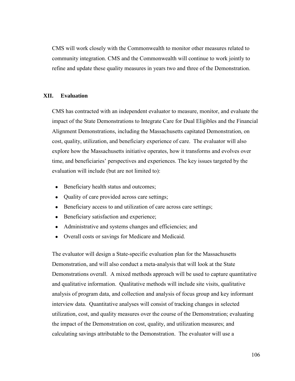CMS will work closely with the Commonwealth to monitor other measures related to community integration. CMS and the Commonwealth will continue to work jointly to refine and update these quality measures in years two and three of the Demonstration.

#### **XII. Evaluation**

CMS has contracted with an independent evaluator to measure, monitor, and evaluate the impact of the State Demonstrations to Integrate Care for Dual Eligibles and the Financial Alignment Demonstrations, including the Massachusetts capitated Demonstration, on cost, quality, utilization, and beneficiary experience of care. The evaluator will also explore how the Massachusetts initiative operates, how it transforms and evolves over time, and beneficiaries' perspectives and experiences. The key issues targeted by the evaluation will include (but are not limited to):

- Beneficiary health status and outcomes;
- Quality of care provided across care settings;
- Beneficiary access to and utilization of care across care settings;
- Beneficiary satisfaction and experience;
- Administrative and systems changes and efficiencies; and
- Overall costs or savings for Medicare and Medicaid.

The evaluator will design a State-specific evaluation plan for the Massachusetts Demonstration, and will also conduct a meta-analysis that will look at the State Demonstrations overall. A mixed methods approach will be used to capture quantitative and qualitative information. Qualitative methods will include site visits, qualitative analysis of program data, and collection and analysis of focus group and key informant interview data. Quantitative analyses will consist of tracking changes in selected utilization, cost, and quality measures over the course of the Demonstration; evaluating the impact of the Demonstration on cost, quality, and utilization measures; and calculating savings attributable to the Demonstration. The evaluator will use a